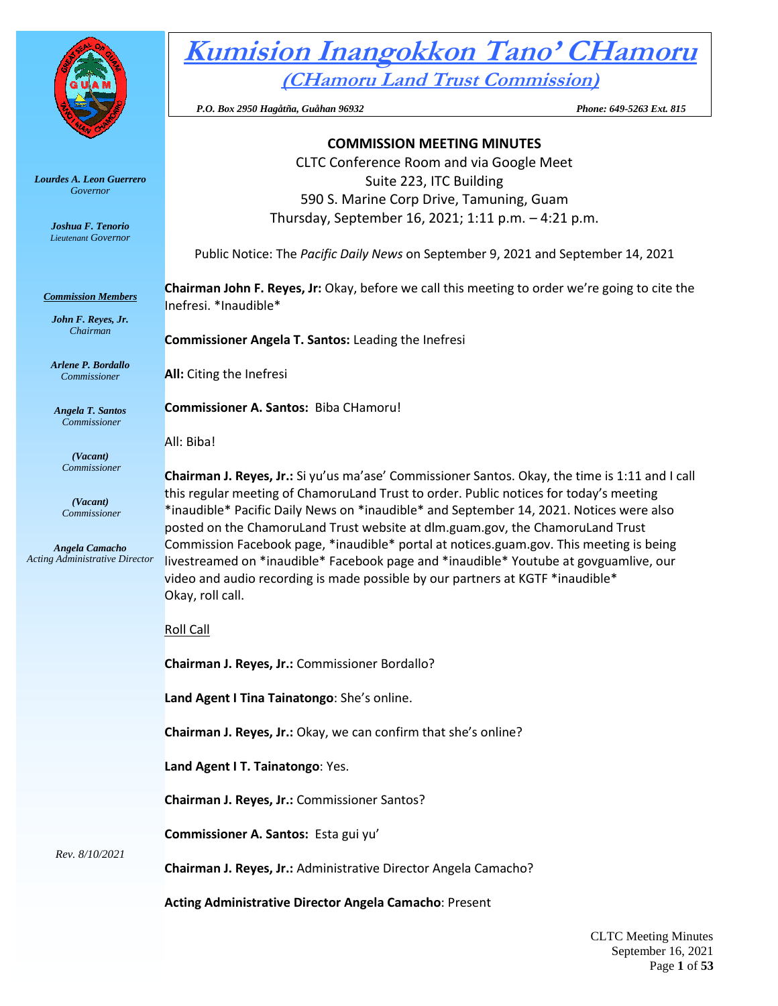

*Lourdes A. Leon Guerrero Governor* 

> *Joshua F. Tenorio Lieutenant Governor*

*Commission Members John F. Reyes, Jr. Chairman*

*Arlene P. Bordallo Commissioner*

*Angela T. Santos Commissioner*

> *(Vacant) Commissioner*

**Kumision Inangokkon Tano' CHamoru (CHamoru Land Trust Commission)**

 *P.O. Box 2950 Hagåtña, Guåhan 96932 Phone: 649-5263 Ext. 815* 

# **COMMISSION MEETING MINUTES** CLTC Conference Room and via Google Meet Suite 223, ITC Building 590 S. Marine Corp Drive, Tamuning, Guam Thursday, September 16, 2021; 1:11 p.m. – 4:21 p.m. Public Notice: The *Pacific Daily News* on September 9, 2021 and September 14, 2021 **Chairman John F. Reyes, Jr:** Okay, before we call this meeting to order we're going to cite the Inefresi. \*Inaudible\* **Commissioner Angela T. Santos:** Leading the Inefresi **All:** Citing the Inefresi **Commissioner A. Santos:** Biba CHamoru! All: Biba! **Chairman J. Reyes, Jr.:** Si yu'us ma'ase' Commissioner Santos. Okay, the time is 1:11 and I call this regular meeting of ChamoruLand Trust to order. Public notices for today's meeting \*inaudible\* Pacific Daily News on \*inaudible\* and September 14, 2021. Notices were also posted on the ChamoruLand Trust website at dlm.guam.gov, the ChamoruLand Trust Commission Facebook page, \*inaudible\* portal at notices.guam.gov. This meeting is being livestreamed on \*inaudible\* Facebook page and \*inaudible\* Youtube at govguamlive, our video and audio recording is made possible by our partners at KGTF \*inaudible\* Okay, roll call. Roll Call **Chairman J. Reyes, Jr.:** Commissioner Bordallo? **Land Agent I Tina Tainatongo**: She's online. **Chairman J. Reyes, Jr.:** Okay, we can confirm that she's online? **Land Agent I T. Tainatongo**: Yes. **Chairman J. Reyes, Jr.:** Commissioner Santos? **Commissioner A. Santos:** Esta gui yu' **Chairman J. Reyes, Jr.:** Administrative Director Angela Camacho? **Acting Administrative Director Angela Camacho**: Present

#### CLTC Meeting Minutes September 16, 2021 Page **1** of **53**

*(Vacant) Commissioner*

*Angela Camacho Acting Administrative Director*

*Rev. 8/10/2021*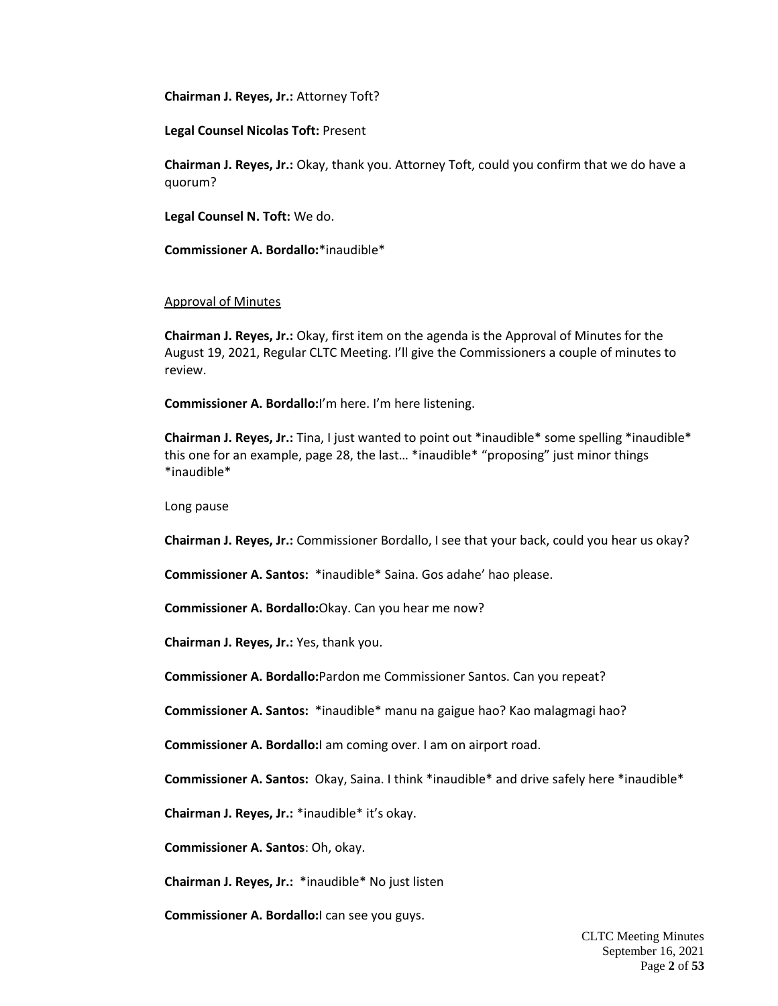**Chairman J. Reyes, Jr.:** Attorney Toft?

**Legal Counsel Nicolas Toft:** Present

**Chairman J. Reyes, Jr.:** Okay, thank you. Attorney Toft, could you confirm that we do have a quorum?

**Legal Counsel N. Toft:** We do.

**Commissioner A. Bordallo:**\*inaudible\*

## Approval of Minutes

**Chairman J. Reyes, Jr.:** Okay, first item on the agenda is the Approval of Minutes for the August 19, 2021, Regular CLTC Meeting. I'll give the Commissioners a couple of minutes to review.

**Commissioner A. Bordallo:**I'm here. I'm here listening.

**Chairman J. Reyes, Jr.:** Tina, I just wanted to point out \*inaudible\* some spelling \*inaudible\* this one for an example, page 28, the last… \*inaudible\* "proposing" just minor things \*inaudible\*

Long pause

**Chairman J. Reyes, Jr.:** Commissioner Bordallo, I see that your back, could you hear us okay?

**Commissioner A. Santos:** \*inaudible\* Saina. Gos adahe' hao please.

**Commissioner A. Bordallo:**Okay. Can you hear me now?

**Chairman J. Reyes, Jr.:** Yes, thank you.

**Commissioner A. Bordallo:**Pardon me Commissioner Santos. Can you repeat?

**Commissioner A. Santos:** \*inaudible\* manu na gaigue hao? Kao malagmagi hao?

**Commissioner A. Bordallo:**I am coming over. I am on airport road.

**Commissioner A. Santos:** Okay, Saina. I think \*inaudible\* and drive safely here \*inaudible\*

**Chairman J. Reyes, Jr.:** \*inaudible\* it's okay.

**Commissioner A. Santos**: Oh, okay.

**Chairman J. Reyes, Jr.:** \*inaudible\* No just listen

**Commissioner A. Bordallo:**I can see you guys.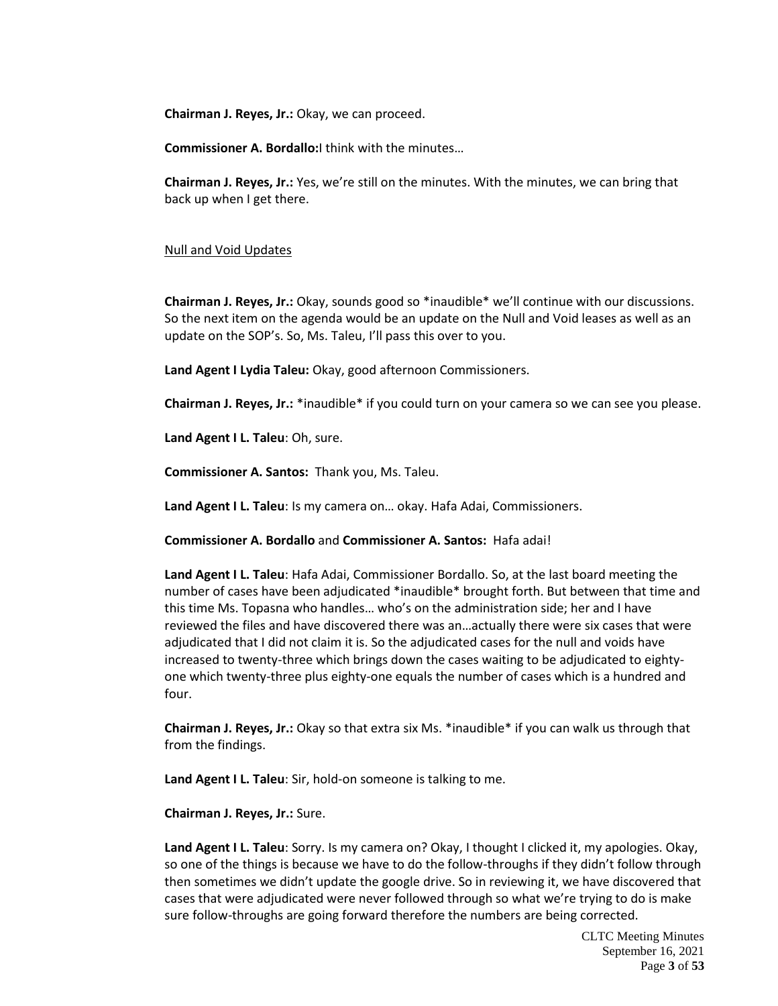**Chairman J. Reyes, Jr.:** Okay, we can proceed.

**Commissioner A. Bordallo:**I think with the minutes…

**Chairman J. Reyes, Jr.:** Yes, we're still on the minutes. With the minutes, we can bring that back up when I get there.

# Null and Void Updates

**Chairman J. Reyes, Jr.:** Okay, sounds good so \*inaudible\* we'll continue with our discussions. So the next item on the agenda would be an update on the Null and Void leases as well as an update on the SOP's. So, Ms. Taleu, I'll pass this over to you.

**Land Agent I Lydia Taleu:** Okay, good afternoon Commissioners.

**Chairman J. Reyes, Jr.:** \*inaudible\* if you could turn on your camera so we can see you please.

**Land Agent I L. Taleu**: Oh, sure.

**Commissioner A. Santos:** Thank you, Ms. Taleu.

**Land Agent I L. Taleu**: Is my camera on… okay. Hafa Adai, Commissioners.

**Commissioner A. Bordallo** and **Commissioner A. Santos:** Hafa adai!

**Land Agent I L. Taleu**: Hafa Adai, Commissioner Bordallo. So, at the last board meeting the number of cases have been adjudicated \*inaudible\* brought forth. But between that time and this time Ms. Topasna who handles… who's on the administration side; her and I have reviewed the files and have discovered there was an…actually there were six cases that were adjudicated that I did not claim it is. So the adjudicated cases for the null and voids have increased to twenty-three which brings down the cases waiting to be adjudicated to eightyone which twenty-three plus eighty-one equals the number of cases which is a hundred and four.

**Chairman J. Reyes, Jr.:** Okay so that extra six Ms. \*inaudible\* if you can walk us through that from the findings.

**Land Agent I L. Taleu**: Sir, hold-on someone is talking to me.

**Chairman J. Reyes, Jr.:** Sure.

**Land Agent I L. Taleu**: Sorry. Is my camera on? Okay, I thought I clicked it, my apologies. Okay, so one of the things is because we have to do the follow-throughs if they didn't follow through then sometimes we didn't update the google drive. So in reviewing it, we have discovered that cases that were adjudicated were never followed through so what we're trying to do is make sure follow-throughs are going forward therefore the numbers are being corrected.

> CLTC Meeting Minutes September 16, 2021 Page **3** of **53**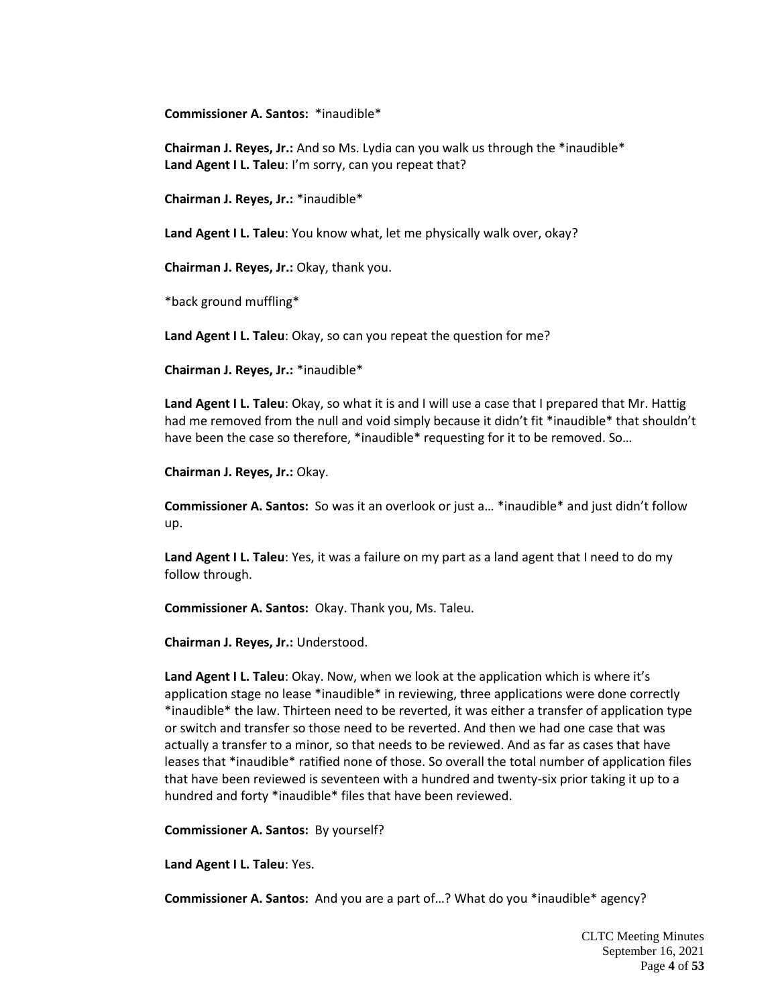**Commissioner A. Santos:** \*inaudible\*

**Chairman J. Reyes, Jr.:** And so Ms. Lydia can you walk us through the \*inaudible\* **Land Agent I L. Taleu**: I'm sorry, can you repeat that?

**Chairman J. Reyes, Jr.:** \*inaudible\*

**Land Agent I L. Taleu**: You know what, let me physically walk over, okay?

**Chairman J. Reyes, Jr.:** Okay, thank you.

\*back ground muffling\*

**Land Agent I L. Taleu**: Okay, so can you repeat the question for me?

**Chairman J. Reyes, Jr.:** \*inaudible\*

**Land Agent I L. Taleu**: Okay, so what it is and I will use a case that I prepared that Mr. Hattig had me removed from the null and void simply because it didn't fit \*inaudible\* that shouldn't have been the case so therefore, \*inaudible\* requesting for it to be removed. So...

**Chairman J. Reyes, Jr.:** Okay.

**Commissioner A. Santos:** So was it an overlook or just a… \*inaudible\* and just didn't follow up.

**Land Agent I L. Taleu**: Yes, it was a failure on my part as a land agent that I need to do my follow through.

**Commissioner A. Santos:** Okay. Thank you, Ms. Taleu.

**Chairman J. Reyes, Jr.:** Understood.

**Land Agent I L. Taleu**: Okay. Now, when we look at the application which is where it's application stage no lease \*inaudible\* in reviewing, three applications were done correctly \*inaudible\* the law. Thirteen need to be reverted, it was either a transfer of application type or switch and transfer so those need to be reverted. And then we had one case that was actually a transfer to a minor, so that needs to be reviewed. And as far as cases that have leases that \*inaudible\* ratified none of those. So overall the total number of application files that have been reviewed is seventeen with a hundred and twenty-six prior taking it up to a hundred and forty \*inaudible\* files that have been reviewed.

**Commissioner A. Santos:** By yourself?

**Land Agent I L. Taleu**: Yes.

**Commissioner A. Santos:** And you are a part of…? What do you \*inaudible\* agency?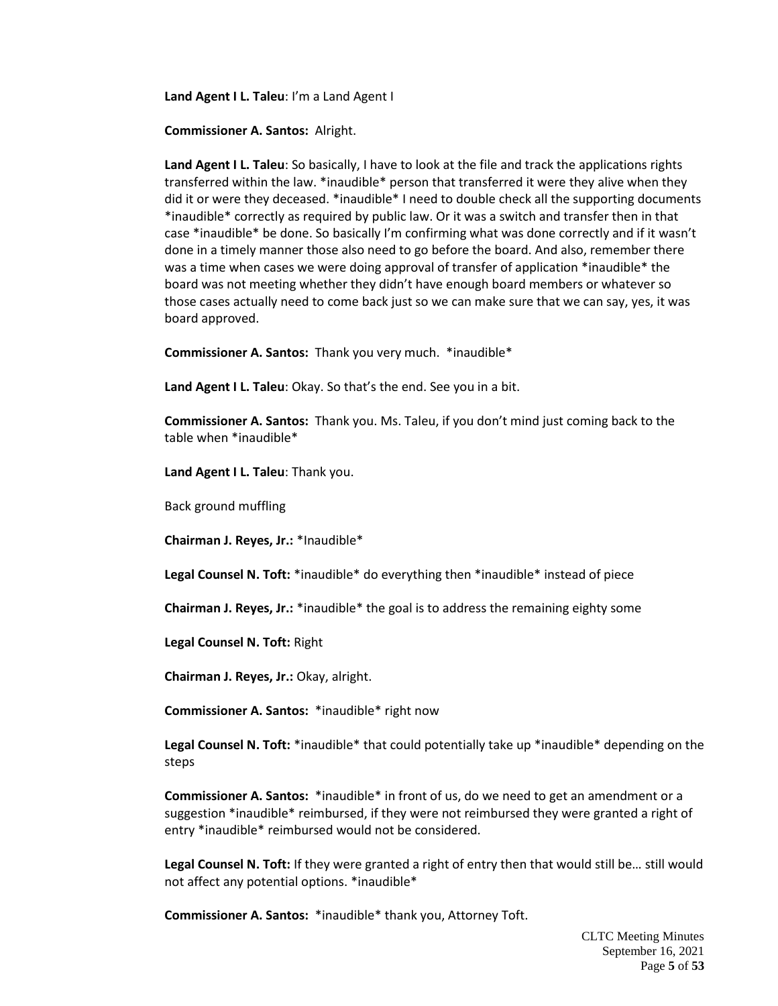**Land Agent I L. Taleu**: I'm a Land Agent I

**Commissioner A. Santos:** Alright.

**Land Agent I L. Taleu**: So basically, I have to look at the file and track the applications rights transferred within the law. \*inaudible\* person that transferred it were they alive when they did it or were they deceased. \*inaudible\* I need to double check all the supporting documents \*inaudible\* correctly as required by public law. Or it was a switch and transfer then in that case \*inaudible\* be done. So basically I'm confirming what was done correctly and if it wasn't done in a timely manner those also need to go before the board. And also, remember there was a time when cases we were doing approval of transfer of application \*inaudible\* the board was not meeting whether they didn't have enough board members or whatever so those cases actually need to come back just so we can make sure that we can say, yes, it was board approved.

**Commissioner A. Santos:** Thank you very much. \*inaudible\*

**Land Agent I L. Taleu**: Okay. So that's the end. See you in a bit.

**Commissioner A. Santos:** Thank you. Ms. Taleu, if you don't mind just coming back to the table when \*inaudible\*

**Land Agent I L. Taleu**: Thank you.

Back ground muffling

**Chairman J. Reyes, Jr.:** \*Inaudible\*

**Legal Counsel N. Toft:** \*inaudible\* do everything then \*inaudible\* instead of piece

**Chairman J. Reyes, Jr.:** \*inaudible\* the goal is to address the remaining eighty some

**Legal Counsel N. Toft:** Right

**Chairman J. Reyes, Jr.:** Okay, alright.

**Commissioner A. Santos:** \*inaudible\* right now

**Legal Counsel N. Toft:** \*inaudible\* that could potentially take up \*inaudible\* depending on the steps

**Commissioner A. Santos:** \*inaudible\* in front of us, do we need to get an amendment or a suggestion \*inaudible\* reimbursed, if they were not reimbursed they were granted a right of entry \*inaudible\* reimbursed would not be considered.

**Legal Counsel N. Toft:** If they were granted a right of entry then that would still be… still would not affect any potential options. \*inaudible\*

**Commissioner A. Santos:** \*inaudible\* thank you, Attorney Toft.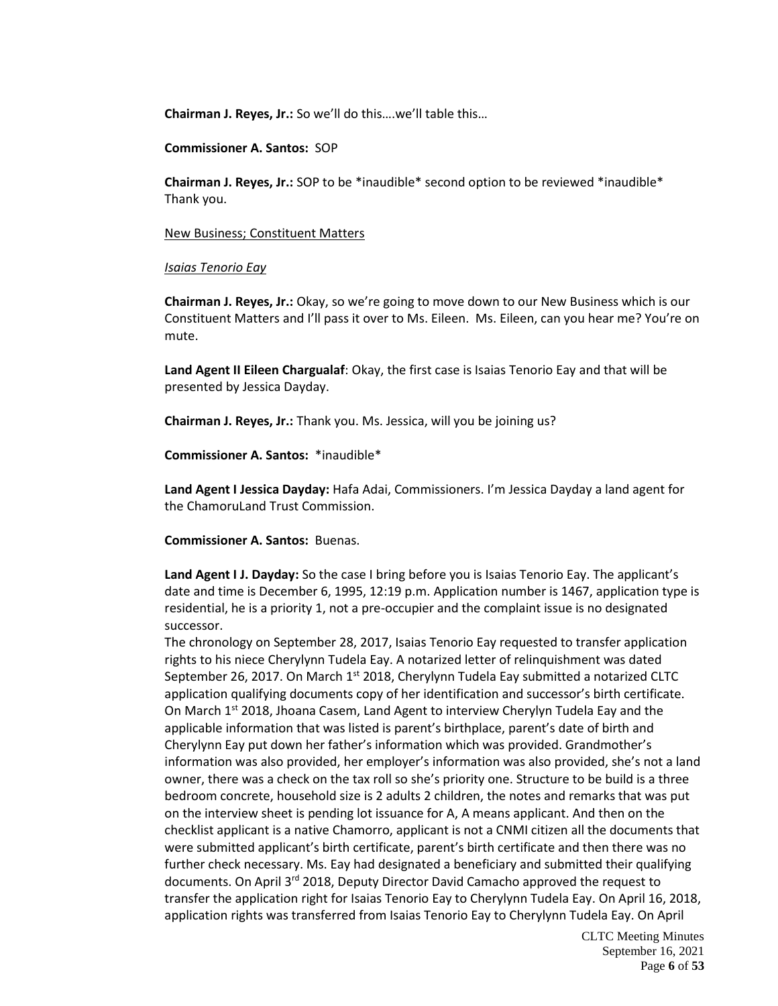**Chairman J. Reyes, Jr.:** So we'll do this….we'll table this…

**Commissioner A. Santos:** SOP

**Chairman J. Reyes, Jr.:** SOP to be \*inaudible\* second option to be reviewed \*inaudible\* Thank you.

#### New Business; Constituent Matters

## *Isaias Tenorio Eay*

**Chairman J. Reyes, Jr.:** Okay, so we're going to move down to our New Business which is our Constituent Matters and I'll pass it over to Ms. Eileen. Ms. Eileen, can you hear me? You're on mute.

**Land Agent II Eileen Chargualaf**: Okay, the first case is Isaias Tenorio Eay and that will be presented by Jessica Dayday.

**Chairman J. Reyes, Jr.:** Thank you. Ms. Jessica, will you be joining us?

**Commissioner A. Santos:** \*inaudible\*

**Land Agent I Jessica Dayday:** Hafa Adai, Commissioners. I'm Jessica Dayday a land agent for the ChamoruLand Trust Commission.

**Commissioner A. Santos:** Buenas.

**Land Agent I J. Dayday:** So the case I bring before you is Isaias Tenorio Eay. The applicant's date and time is December 6, 1995, 12:19 p.m. Application number is 1467, application type is residential, he is a priority 1, not a pre-occupier and the complaint issue is no designated successor.

The chronology on September 28, 2017, Isaias Tenorio Eay requested to transfer application rights to his niece Cherylynn Tudela Eay. A notarized letter of relinquishment was dated September 26, 2017. On March 1<sup>st</sup> 2018, Cherylynn Tudela Eay submitted a notarized CLTC application qualifying documents copy of her identification and successor's birth certificate. On March 1<sup>st</sup> 2018, Jhoana Casem, Land Agent to interview Cherylyn Tudela Eay and the applicable information that was listed is parent's birthplace, parent's date of birth and Cherylynn Eay put down her father's information which was provided. Grandmother's information was also provided, her employer's information was also provided, she's not a land owner, there was a check on the tax roll so she's priority one. Structure to be build is a three bedroom concrete, household size is 2 adults 2 children, the notes and remarks that was put on the interview sheet is pending lot issuance for A, A means applicant. And then on the checklist applicant is a native Chamorro, applicant is not a CNMI citizen all the documents that were submitted applicant's birth certificate, parent's birth certificate and then there was no further check necessary. Ms. Eay had designated a beneficiary and submitted their qualifying documents. On April 3rd 2018, Deputy Director David Camacho approved the request to transfer the application right for Isaias Tenorio Eay to Cherylynn Tudela Eay. On April 16, 2018, application rights was transferred from Isaias Tenorio Eay to Cherylynn Tudela Eay. On April

> CLTC Meeting Minutes September 16, 2021 Page **6** of **53**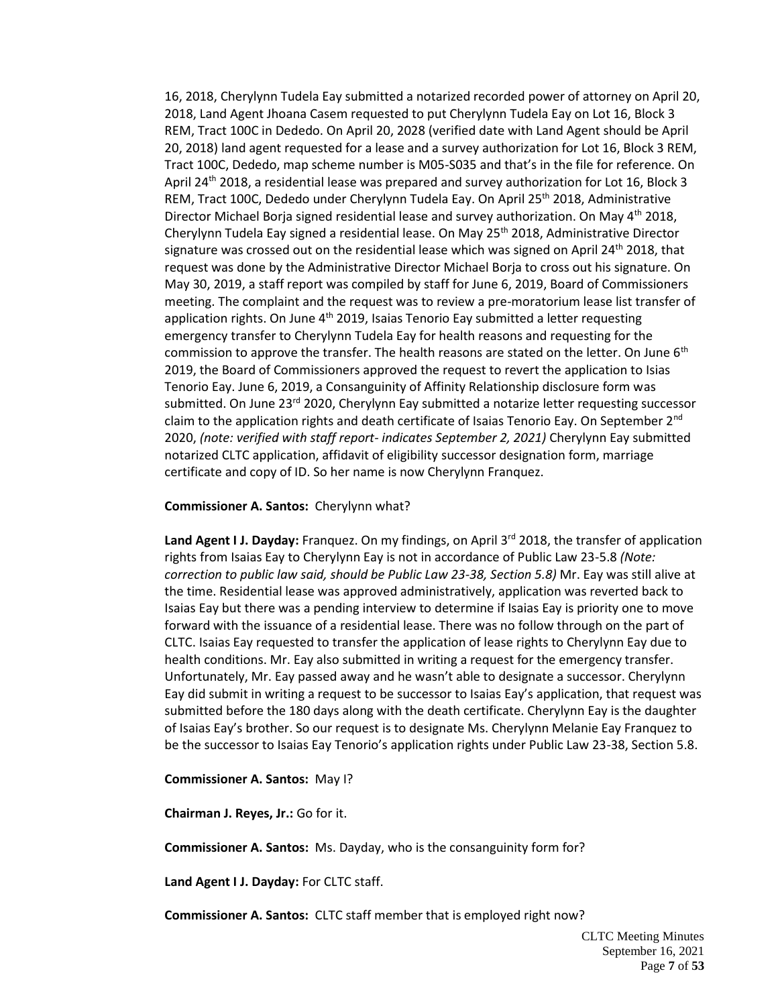16, 2018, Cherylynn Tudela Eay submitted a notarized recorded power of attorney on April 20, 2018, Land Agent Jhoana Casem requested to put Cherylynn Tudela Eay on Lot 16, Block 3 REM, Tract 100C in Dededo. On April 20, 2028 (verified date with Land Agent should be April 20, 2018) land agent requested for a lease and a survey authorization for Lot 16, Block 3 REM, Tract 100C, Dededo, map scheme number is M05-S035 and that's in the file for reference. On April 24<sup>th</sup> 2018, a residential lease was prepared and survey authorization for Lot 16, Block 3 REM, Tract 100C, Dededo under Cherylynn Tudela Eay. On April 25<sup>th</sup> 2018, Administrative Director Michael Borja signed residential lease and survey authorization. On May 4<sup>th</sup> 2018, Cherylynn Tudela Eay signed a residential lease. On May 25<sup>th</sup> 2018, Administrative Director signature was crossed out on the residential lease which was signed on April 24<sup>th</sup> 2018, that request was done by the Administrative Director Michael Borja to cross out his signature. On May 30, 2019, a staff report was compiled by staff for June 6, 2019, Board of Commissioners meeting. The complaint and the request was to review a pre-moratorium lease list transfer of application rights. On June  $4<sup>th</sup>$  2019, Isaias Tenorio Eay submitted a letter requesting emergency transfer to Cherylynn Tudela Eay for health reasons and requesting for the commission to approve the transfer. The health reasons are stated on the letter. On June 6<sup>th</sup> 2019, the Board of Commissioners approved the request to revert the application to Isias Tenorio Eay. June 6, 2019, a Consanguinity of Affinity Relationship disclosure form was submitted. On June 23<sup>rd</sup> 2020, Cherylynn Eay submitted a notarize letter requesting successor claim to the application rights and death certificate of Isaias Tenorio Eay. On September 2<sup>nd</sup> 2020, *(note: verified with staff report- indicates September 2, 2021)* Cherylynn Eay submitted notarized CLTC application, affidavit of eligibility successor designation form, marriage certificate and copy of ID. So her name is now Cherylynn Franquez.

# **Commissioner A. Santos:** Cherylynn what?

Land Agent I J. Dayday: Franquez. On my findings, on April 3<sup>rd</sup> 2018, the transfer of application rights from Isaias Eay to Cherylynn Eay is not in accordance of Public Law 23-5.8 *(Note: correction to public law said, should be Public Law 23-38, Section 5.8)* Mr. Eay was still alive at the time. Residential lease was approved administratively, application was reverted back to Isaias Eay but there was a pending interview to determine if Isaias Eay is priority one to move forward with the issuance of a residential lease. There was no follow through on the part of CLTC. Isaias Eay requested to transfer the application of lease rights to Cherylynn Eay due to health conditions. Mr. Eay also submitted in writing a request for the emergency transfer. Unfortunately, Mr. Eay passed away and he wasn't able to designate a successor. Cherylynn Eay did submit in writing a request to be successor to Isaias Eay's application, that request was submitted before the 180 days along with the death certificate. Cherylynn Eay is the daughter of Isaias Eay's brother. So our request is to designate Ms. Cherylynn Melanie Eay Franquez to be the successor to Isaias Eay Tenorio's application rights under Public Law 23-38, Section 5.8.

**Commissioner A. Santos:** May I?

**Chairman J. Reyes, Jr.:** Go for it.

**Commissioner A. Santos:** Ms. Dayday, who is the consanguinity form for?

**Land Agent I J. Dayday:** For CLTC staff.

**Commissioner A. Santos:** CLTC staff member that is employed right now?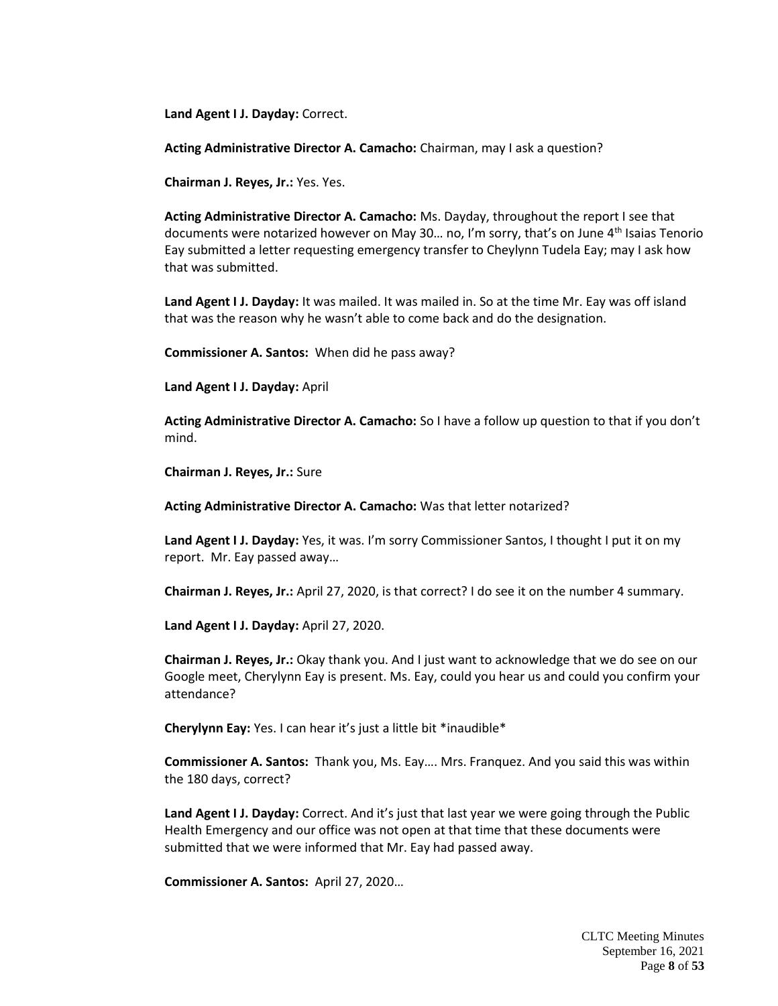**Land Agent I J. Dayday:** Correct.

**Acting Administrative Director A. Camacho:** Chairman, may I ask a question?

**Chairman J. Reyes, Jr.:** Yes. Yes.

**Acting Administrative Director A. Camacho:** Ms. Dayday, throughout the report I see that documents were notarized however on May 30… no, I'm sorry, that's on June 4th Isaias Tenorio Eay submitted a letter requesting emergency transfer to Cheylynn Tudela Eay; may I ask how that was submitted.

**Land Agent I J. Dayday:** It was mailed. It was mailed in. So at the time Mr. Eay was off island that was the reason why he wasn't able to come back and do the designation.

**Commissioner A. Santos:** When did he pass away?

**Land Agent I J. Dayday:** April

**Acting Administrative Director A. Camacho:** So I have a follow up question to that if you don't mind.

**Chairman J. Reyes, Jr.:** Sure

**Acting Administrative Director A. Camacho:** Was that letter notarized?

**Land Agent I J. Dayday:** Yes, it was. I'm sorry Commissioner Santos, I thought I put it on my report. Mr. Eay passed away…

**Chairman J. Reyes, Jr.:** April 27, 2020, is that correct? I do see it on the number 4 summary.

**Land Agent I J. Dayday:** April 27, 2020.

**Chairman J. Reyes, Jr.:** Okay thank you. And I just want to acknowledge that we do see on our Google meet, Cherylynn Eay is present. Ms. Eay, could you hear us and could you confirm your attendance?

**Cherylynn Eay:** Yes. I can hear it's just a little bit \*inaudible\*

**Commissioner A. Santos:** Thank you, Ms. Eay…. Mrs. Franquez. And you said this was within the 180 days, correct?

**Land Agent I J. Dayday:** Correct. And it's just that last year we were going through the Public Health Emergency and our office was not open at that time that these documents were submitted that we were informed that Mr. Eay had passed away.

**Commissioner A. Santos:** April 27, 2020…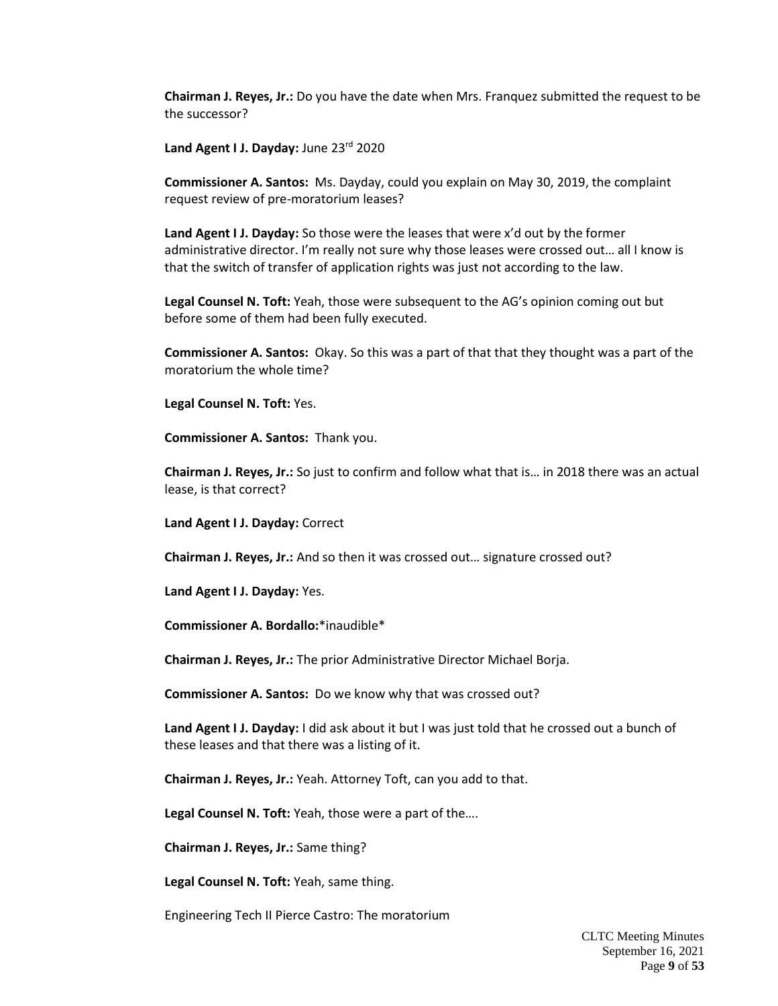**Chairman J. Reyes, Jr.:** Do you have the date when Mrs. Franquez submitted the request to be the successor?

**Land Agent I J. Dayday:** June 23rd 2020

**Commissioner A. Santos:** Ms. Dayday, could you explain on May 30, 2019, the complaint request review of pre-moratorium leases?

**Land Agent I J. Dayday:** So those were the leases that were x'd out by the former administrative director. I'm really not sure why those leases were crossed out… all I know is that the switch of transfer of application rights was just not according to the law.

**Legal Counsel N. Toft:** Yeah, those were subsequent to the AG's opinion coming out but before some of them had been fully executed.

**Commissioner A. Santos:** Okay. So this was a part of that that they thought was a part of the moratorium the whole time?

**Legal Counsel N. Toft:** Yes.

**Commissioner A. Santos:** Thank you.

**Chairman J. Reyes, Jr.:** So just to confirm and follow what that is… in 2018 there was an actual lease, is that correct?

**Land Agent I J. Dayday:** Correct

**Chairman J. Reyes, Jr.:** And so then it was crossed out… signature crossed out?

**Land Agent I J. Dayday:** Yes.

**Commissioner A. Bordallo:**\*inaudible\*

**Chairman J. Reyes, Jr.:** The prior Administrative Director Michael Borja.

**Commissioner A. Santos:** Do we know why that was crossed out?

**Land Agent I J. Dayday:** I did ask about it but I was just told that he crossed out a bunch of these leases and that there was a listing of it.

**Chairman J. Reyes, Jr.:** Yeah. Attorney Toft, can you add to that.

**Legal Counsel N. Toft:** Yeah, those were a part of the….

**Chairman J. Reyes, Jr.:** Same thing?

**Legal Counsel N. Toft:** Yeah, same thing.

Engineering Tech II Pierce Castro: The moratorium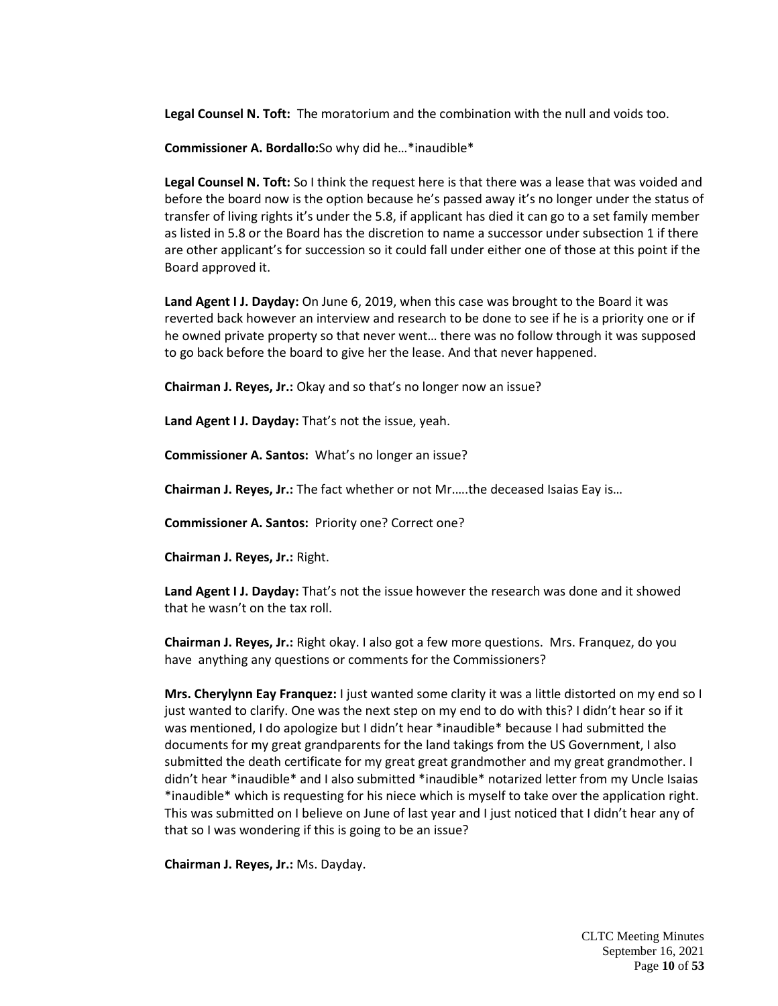**Legal Counsel N. Toft:** The moratorium and the combination with the null and voids too.

**Commissioner A. Bordallo:**So why did he…\*inaudible\*

**Legal Counsel N. Toft:** So I think the request here is that there was a lease that was voided and before the board now is the option because he's passed away it's no longer under the status of transfer of living rights it's under the 5.8, if applicant has died it can go to a set family member as listed in 5.8 or the Board has the discretion to name a successor under subsection 1 if there are other applicant's for succession so it could fall under either one of those at this point if the Board approved it.

**Land Agent I J. Dayday:** On June 6, 2019, when this case was brought to the Board it was reverted back however an interview and research to be done to see if he is a priority one or if he owned private property so that never went… there was no follow through it was supposed to go back before the board to give her the lease. And that never happened.

**Chairman J. Reyes, Jr.:** Okay and so that's no longer now an issue?

**Land Agent I J. Dayday:** That's not the issue, yeah.

**Commissioner A. Santos:** What's no longer an issue?

**Chairman J. Reyes, Jr.:** The fact whether or not Mr.….the deceased Isaias Eay is…

**Commissioner A. Santos:** Priority one? Correct one?

**Chairman J. Reyes, Jr.:** Right.

**Land Agent I J. Dayday:** That's not the issue however the research was done and it showed that he wasn't on the tax roll.

**Chairman J. Reyes, Jr.:** Right okay. I also got a few more questions. Mrs. Franquez, do you have anything any questions or comments for the Commissioners?

**Mrs. Cherylynn Eay Franquez:** I just wanted some clarity it was a little distorted on my end so I just wanted to clarify. One was the next step on my end to do with this? I didn't hear so if it was mentioned, I do apologize but I didn't hear \*inaudible\* because I had submitted the documents for my great grandparents for the land takings from the US Government, I also submitted the death certificate for my great great grandmother and my great grandmother. I didn't hear \*inaudible\* and I also submitted \*inaudible\* notarized letter from my Uncle Isaias \*inaudible\* which is requesting for his niece which is myself to take over the application right. This was submitted on I believe on June of last year and I just noticed that I didn't hear any of that so I was wondering if this is going to be an issue?

**Chairman J. Reyes, Jr.:** Ms. Dayday.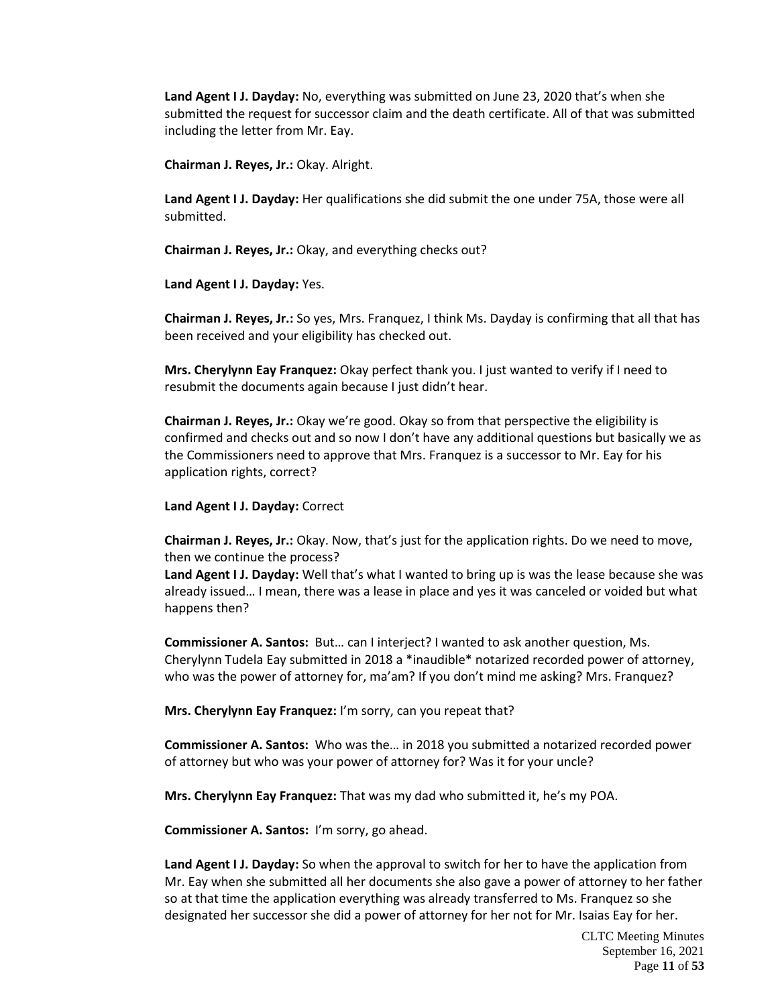**Land Agent I J. Dayday:** No, everything was submitted on June 23, 2020 that's when she submitted the request for successor claim and the death certificate. All of that was submitted including the letter from Mr. Eay.

**Chairman J. Reyes, Jr.:** Okay. Alright.

**Land Agent I J. Dayday:** Her qualifications she did submit the one under 75A, those were all submitted.

**Chairman J. Reyes, Jr.:** Okay, and everything checks out?

**Land Agent I J. Dayday:** Yes.

**Chairman J. Reyes, Jr.:** So yes, Mrs. Franquez, I think Ms. Dayday is confirming that all that has been received and your eligibility has checked out.

**Mrs. Cherylynn Eay Franquez:** Okay perfect thank you. I just wanted to verify if I need to resubmit the documents again because I just didn't hear.

**Chairman J. Reyes, Jr.:** Okay we're good. Okay so from that perspective the eligibility is confirmed and checks out and so now I don't have any additional questions but basically we as the Commissioners need to approve that Mrs. Franquez is a successor to Mr. Eay for his application rights, correct?

**Land Agent I J. Dayday:** Correct

**Chairman J. Reyes, Jr.:** Okay. Now, that's just for the application rights. Do we need to move, then we continue the process?

**Land Agent I J. Dayday:** Well that's what I wanted to bring up is was the lease because she was already issued… I mean, there was a lease in place and yes it was canceled or voided but what happens then?

**Commissioner A. Santos:** But… can I interject? I wanted to ask another question, Ms. Cherylynn Tudela Eay submitted in 2018 a \*inaudible\* notarized recorded power of attorney, who was the power of attorney for, ma'am? If you don't mind me asking? Mrs. Franquez?

**Mrs. Cherylynn Eay Franquez:** I'm sorry, can you repeat that?

**Commissioner A. Santos:** Who was the… in 2018 you submitted a notarized recorded power of attorney but who was your power of attorney for? Was it for your uncle?

**Mrs. Cherylynn Eay Franquez:** That was my dad who submitted it, he's my POA.

**Commissioner A. Santos:** I'm sorry, go ahead.

**Land Agent I J. Dayday:** So when the approval to switch for her to have the application from Mr. Eay when she submitted all her documents she also gave a power of attorney to her father so at that time the application everything was already transferred to Ms. Franquez so she designated her successor she did a power of attorney for her not for Mr. Isaias Eay for her.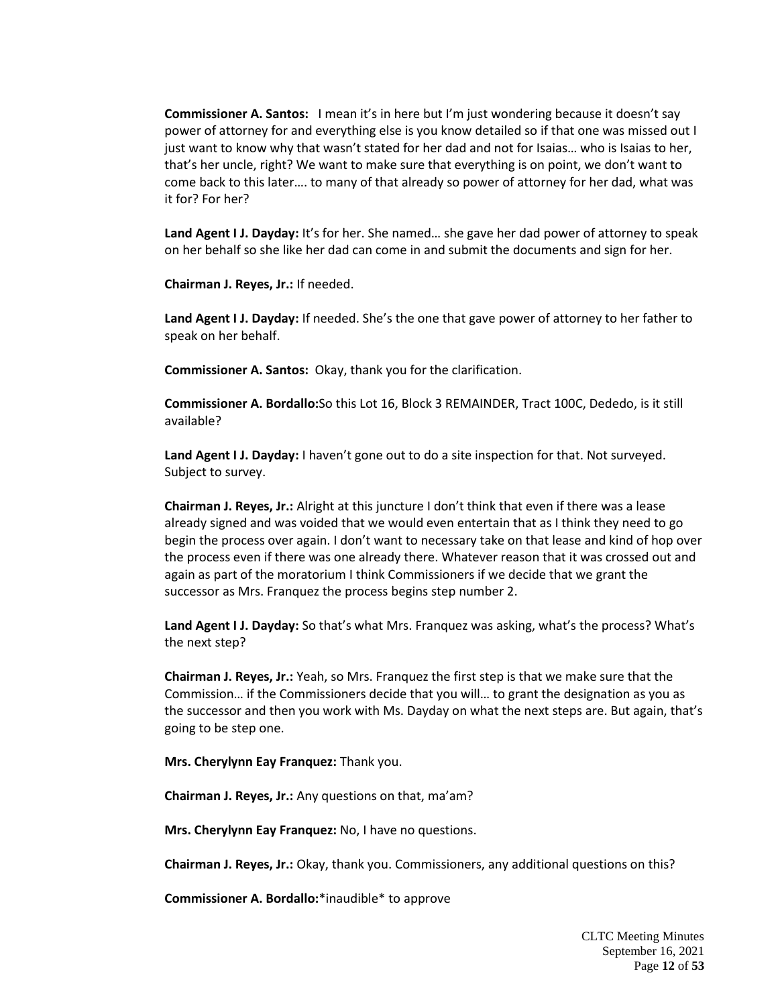**Commissioner A. Santos:** I mean it's in here but I'm just wondering because it doesn't say power of attorney for and everything else is you know detailed so if that one was missed out I just want to know why that wasn't stated for her dad and not for Isaias… who is Isaias to her, that's her uncle, right? We want to make sure that everything is on point, we don't want to come back to this later…. to many of that already so power of attorney for her dad, what was it for? For her?

**Land Agent I J. Dayday:** It's for her. She named… she gave her dad power of attorney to speak on her behalf so she like her dad can come in and submit the documents and sign for her.

**Chairman J. Reyes, Jr.:** If needed.

**Land Agent I J. Dayday:** If needed. She's the one that gave power of attorney to her father to speak on her behalf.

**Commissioner A. Santos:** Okay, thank you for the clarification.

**Commissioner A. Bordallo:**So this Lot 16, Block 3 REMAINDER, Tract 100C, Dededo, is it still available?

**Land Agent I J. Dayday:** I haven't gone out to do a site inspection for that. Not surveyed. Subject to survey.

**Chairman J. Reyes, Jr.:** Alright at this juncture I don't think that even if there was a lease already signed and was voided that we would even entertain that as I think they need to go begin the process over again. I don't want to necessary take on that lease and kind of hop over the process even if there was one already there. Whatever reason that it was crossed out and again as part of the moratorium I think Commissioners if we decide that we grant the successor as Mrs. Franquez the process begins step number 2.

**Land Agent I J. Dayday:** So that's what Mrs. Franquez was asking, what's the process? What's the next step?

**Chairman J. Reyes, Jr.:** Yeah, so Mrs. Franquez the first step is that we make sure that the Commission… if the Commissioners decide that you will… to grant the designation as you as the successor and then you work with Ms. Dayday on what the next steps are. But again, that's going to be step one.

**Mrs. Cherylynn Eay Franquez:** Thank you.

**Chairman J. Reyes, Jr.:** Any questions on that, ma'am?

**Mrs. Cherylynn Eay Franquez:** No, I have no questions.

**Chairman J. Reyes, Jr.:** Okay, thank you. Commissioners, any additional questions on this?

**Commissioner A. Bordallo:**\*inaudible\* to approve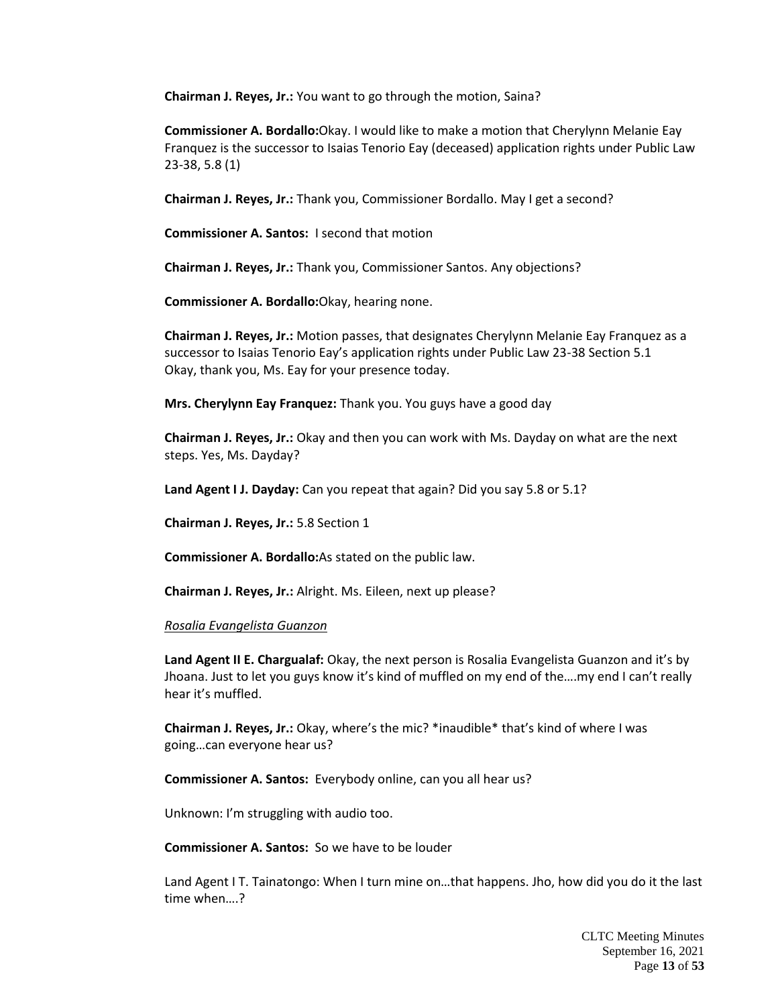**Chairman J. Reyes, Jr.:** You want to go through the motion, Saina?

**Commissioner A. Bordallo:**Okay. I would like to make a motion that Cherylynn Melanie Eay Franquez is the successor to Isaias Tenorio Eay (deceased) application rights under Public Law 23-38, 5.8 (1)

**Chairman J. Reyes, Jr.:** Thank you, Commissioner Bordallo. May I get a second?

**Commissioner A. Santos:** I second that motion

**Chairman J. Reyes, Jr.:** Thank you, Commissioner Santos. Any objections?

**Commissioner A. Bordallo:**Okay, hearing none.

**Chairman J. Reyes, Jr.:** Motion passes, that designates Cherylynn Melanie Eay Franquez as a successor to Isaias Tenorio Eay's application rights under Public Law 23-38 Section 5.1 Okay, thank you, Ms. Eay for your presence today.

**Mrs. Cherylynn Eay Franquez:** Thank you. You guys have a good day

**Chairman J. Reyes, Jr.:** Okay and then you can work with Ms. Dayday on what are the next steps. Yes, Ms. Dayday?

**Land Agent I J. Dayday:** Can you repeat that again? Did you say 5.8 or 5.1?

**Chairman J. Reyes, Jr.:** 5.8 Section 1

**Commissioner A. Bordallo:**As stated on the public law.

**Chairman J. Reyes, Jr.:** Alright. Ms. Eileen, next up please?

## *Rosalia Evangelista Guanzon*

**Land Agent II E. Chargualaf:** Okay, the next person is Rosalia Evangelista Guanzon and it's by Jhoana. Just to let you guys know it's kind of muffled on my end of the….my end I can't really hear it's muffled.

**Chairman J. Reyes, Jr.:** Okay, where's the mic? \*inaudible\* that's kind of where I was going…can everyone hear us?

**Commissioner A. Santos:** Everybody online, can you all hear us?

Unknown: I'm struggling with audio too.

**Commissioner A. Santos:** So we have to be louder

Land Agent I T. Tainatongo: When I turn mine on…that happens. Jho, how did you do it the last time when….?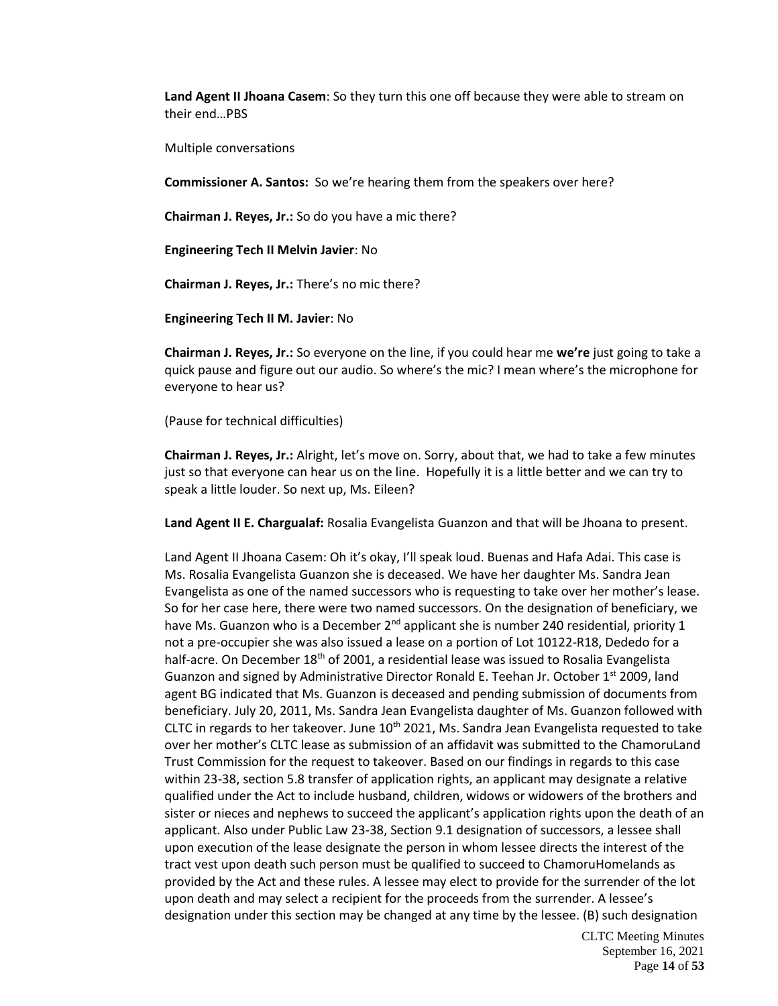**Land Agent II Jhoana Casem**: So they turn this one off because they were able to stream on their end…PBS

Multiple conversations

**Commissioner A. Santos:** So we're hearing them from the speakers over here?

**Chairman J. Reyes, Jr.:** So do you have a mic there?

**Engineering Tech II Melvin Javier**: No

**Chairman J. Reyes, Jr.:** There's no mic there?

**Engineering Tech II M. Javier**: No

**Chairman J. Reyes, Jr.:** So everyone on the line, if you could hear me **we're** just going to take a quick pause and figure out our audio. So where's the mic? I mean where's the microphone for everyone to hear us?

(Pause for technical difficulties)

**Chairman J. Reyes, Jr.:** Alright, let's move on. Sorry, about that, we had to take a few minutes just so that everyone can hear us on the line. Hopefully it is a little better and we can try to speak a little louder. So next up, Ms. Eileen?

**Land Agent II E. Chargualaf:** Rosalia Evangelista Guanzon and that will be Jhoana to present.

Land Agent II Jhoana Casem: Oh it's okay, I'll speak loud. Buenas and Hafa Adai. This case is Ms. Rosalia Evangelista Guanzon she is deceased. We have her daughter Ms. Sandra Jean Evangelista as one of the named successors who is requesting to take over her mother's lease. So for her case here, there were two named successors. On the designation of beneficiary, we have Ms. Guanzon who is a December 2<sup>nd</sup> applicant she is number 240 residential, priority 1 not a pre-occupier she was also issued a lease on a portion of Lot 10122-R18, Dededo for a half-acre. On December 18<sup>th</sup> of 2001, a residential lease was issued to Rosalia Evangelista Guanzon and signed by Administrative Director Ronald E. Teehan Jr. October  $1^{st}$  2009, land agent BG indicated that Ms. Guanzon is deceased and pending submission of documents from beneficiary. July 20, 2011, Ms. Sandra Jean Evangelista daughter of Ms. Guanzon followed with CLTC in regards to her takeover. June  $10<sup>th</sup>$  2021, Ms. Sandra Jean Evangelista requested to take over her mother's CLTC lease as submission of an affidavit was submitted to the ChamoruLand Trust Commission for the request to takeover. Based on our findings in regards to this case within 23-38, section 5.8 transfer of application rights, an applicant may designate a relative qualified under the Act to include husband, children, widows or widowers of the brothers and sister or nieces and nephews to succeed the applicant's application rights upon the death of an applicant. Also under Public Law 23-38, Section 9.1 designation of successors, a lessee shall upon execution of the lease designate the person in whom lessee directs the interest of the tract vest upon death such person must be qualified to succeed to ChamoruHomelands as provided by the Act and these rules. A lessee may elect to provide for the surrender of the lot upon death and may select a recipient for the proceeds from the surrender. A lessee's designation under this section may be changed at any time by the lessee. (B) such designation

> CLTC Meeting Minutes September 16, 2021 Page **14** of **53**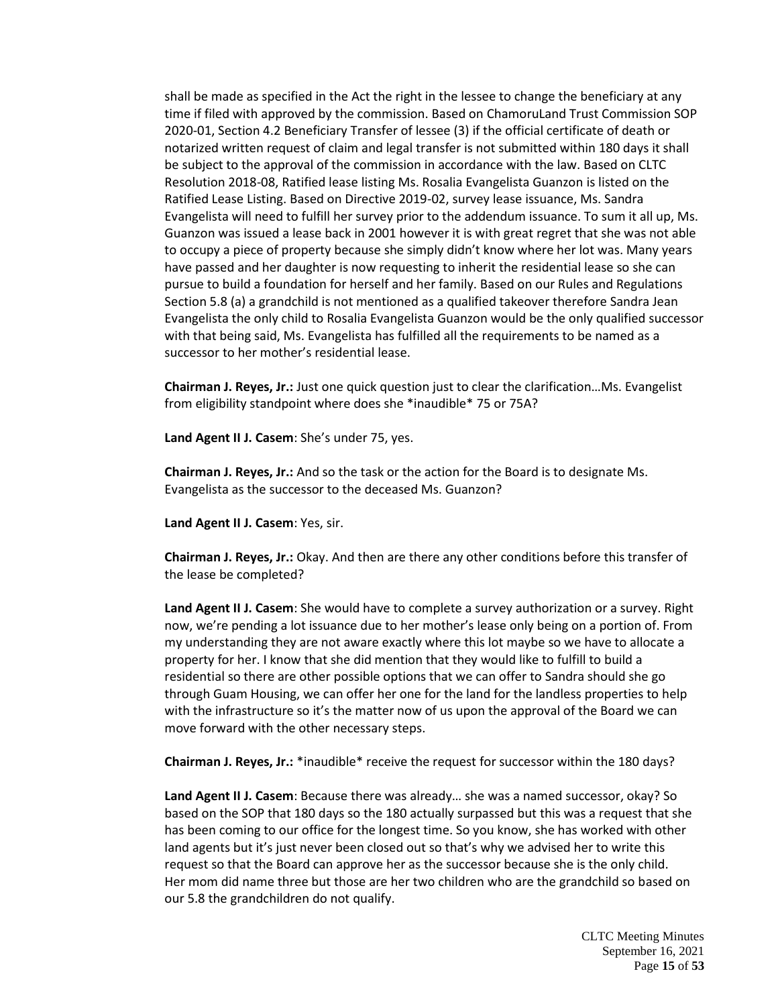shall be made as specified in the Act the right in the lessee to change the beneficiary at any time if filed with approved by the commission. Based on ChamoruLand Trust Commission SOP 2020-01, Section 4.2 Beneficiary Transfer of lessee (3) if the official certificate of death or notarized written request of claim and legal transfer is not submitted within 180 days it shall be subject to the approval of the commission in accordance with the law. Based on CLTC Resolution 2018-08, Ratified lease listing Ms. Rosalia Evangelista Guanzon is listed on the Ratified Lease Listing. Based on Directive 2019-02, survey lease issuance, Ms. Sandra Evangelista will need to fulfill her survey prior to the addendum issuance. To sum it all up, Ms. Guanzon was issued a lease back in 2001 however it is with great regret that she was not able to occupy a piece of property because she simply didn't know where her lot was. Many years have passed and her daughter is now requesting to inherit the residential lease so she can pursue to build a foundation for herself and her family. Based on our Rules and Regulations Section 5.8 (a) a grandchild is not mentioned as a qualified takeover therefore Sandra Jean Evangelista the only child to Rosalia Evangelista Guanzon would be the only qualified successor with that being said, Ms. Evangelista has fulfilled all the requirements to be named as a successor to her mother's residential lease.

**Chairman J. Reyes, Jr.:** Just one quick question just to clear the clarification…Ms. Evangelist from eligibility standpoint where does she \*inaudible\* 75 or 75A?

**Land Agent II J. Casem**: She's under 75, yes.

**Chairman J. Reyes, Jr.:** And so the task or the action for the Board is to designate Ms. Evangelista as the successor to the deceased Ms. Guanzon?

**Land Agent II J. Casem**: Yes, sir.

**Chairman J. Reyes, Jr.:** Okay. And then are there any other conditions before this transfer of the lease be completed?

**Land Agent II J. Casem**: She would have to complete a survey authorization or a survey. Right now, we're pending a lot issuance due to her mother's lease only being on a portion of. From my understanding they are not aware exactly where this lot maybe so we have to allocate a property for her. I know that she did mention that they would like to fulfill to build a residential so there are other possible options that we can offer to Sandra should she go through Guam Housing, we can offer her one for the land for the landless properties to help with the infrastructure so it's the matter now of us upon the approval of the Board we can move forward with the other necessary steps.

**Chairman J. Reyes, Jr.:** \*inaudible\* receive the request for successor within the 180 days?

**Land Agent II J. Casem**: Because there was already… she was a named successor, okay? So based on the SOP that 180 days so the 180 actually surpassed but this was a request that she has been coming to our office for the longest time. So you know, she has worked with other land agents but it's just never been closed out so that's why we advised her to write this request so that the Board can approve her as the successor because she is the only child. Her mom did name three but those are her two children who are the grandchild so based on our 5.8 the grandchildren do not qualify.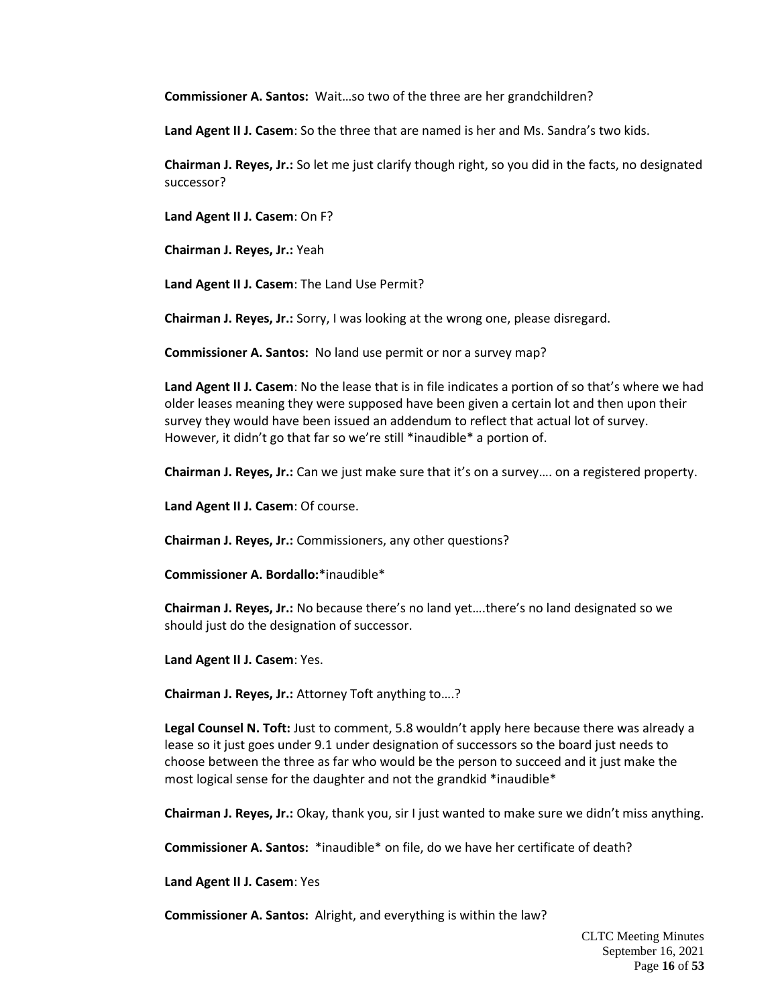**Commissioner A. Santos:** Wait…so two of the three are her grandchildren?

**Land Agent II J. Casem**: So the three that are named is her and Ms. Sandra's two kids.

**Chairman J. Reyes, Jr.:** So let me just clarify though right, so you did in the facts, no designated successor?

**Land Agent II J. Casem**: On F?

**Chairman J. Reyes, Jr.:** Yeah

**Land Agent II J. Casem**: The Land Use Permit?

**Chairman J. Reyes, Jr.:** Sorry, I was looking at the wrong one, please disregard.

**Commissioner A. Santos:** No land use permit or nor a survey map?

**Land Agent II J. Casem**: No the lease that is in file indicates a portion of so that's where we had older leases meaning they were supposed have been given a certain lot and then upon their survey they would have been issued an addendum to reflect that actual lot of survey. However, it didn't go that far so we're still \*inaudible\* a portion of.

**Chairman J. Reyes, Jr.:** Can we just make sure that it's on a survey…. on a registered property.

**Land Agent II J. Casem**: Of course.

**Chairman J. Reyes, Jr.:** Commissioners, any other questions?

**Commissioner A. Bordallo:**\*inaudible\*

**Chairman J. Reyes, Jr.:** No because there's no land yet….there's no land designated so we should just do the designation of successor.

**Land Agent II J. Casem**: Yes.

**Chairman J. Reyes, Jr.:** Attorney Toft anything to….?

**Legal Counsel N. Toft:** Just to comment, 5.8 wouldn't apply here because there was already a lease so it just goes under 9.1 under designation of successors so the board just needs to choose between the three as far who would be the person to succeed and it just make the most logical sense for the daughter and not the grandkid \*inaudible\*

**Chairman J. Reyes, Jr.:** Okay, thank you, sir I just wanted to make sure we didn't miss anything.

**Commissioner A. Santos:** \*inaudible\* on file, do we have her certificate of death?

**Land Agent II J. Casem**: Yes

**Commissioner A. Santos:** Alright, and everything is within the law?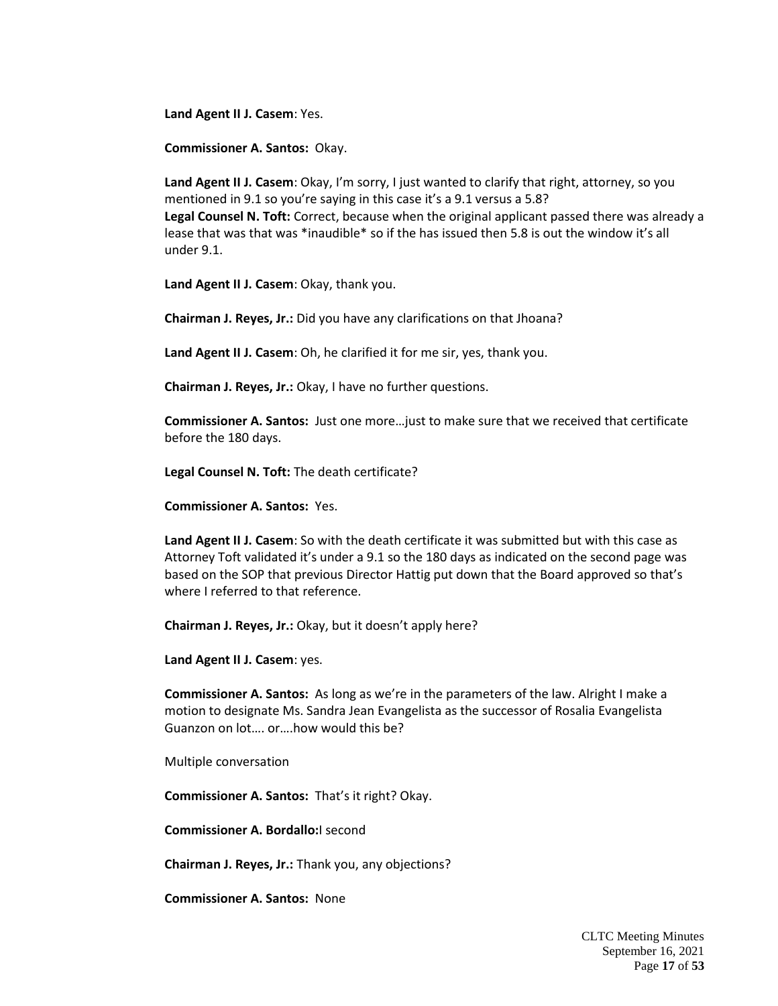**Land Agent II J. Casem**: Yes.

**Commissioner A. Santos:** Okay.

**Land Agent II J. Casem**: Okay, I'm sorry, I just wanted to clarify that right, attorney, so you mentioned in 9.1 so you're saying in this case it's a 9.1 versus a 5.8? **Legal Counsel N. Toft:** Correct, because when the original applicant passed there was already a lease that was that was \*inaudible\* so if the has issued then 5.8 is out the window it's all under 9.1.

**Land Agent II J. Casem**: Okay, thank you.

**Chairman J. Reyes, Jr.:** Did you have any clarifications on that Jhoana?

**Land Agent II J. Casem**: Oh, he clarified it for me sir, yes, thank you.

**Chairman J. Reyes, Jr.:** Okay, I have no further questions.

**Commissioner A. Santos:** Just one more…just to make sure that we received that certificate before the 180 days.

**Legal Counsel N. Toft:** The death certificate?

**Commissioner A. Santos:** Yes.

**Land Agent II J. Casem**: So with the death certificate it was submitted but with this case as Attorney Toft validated it's under a 9.1 so the 180 days as indicated on the second page was based on the SOP that previous Director Hattig put down that the Board approved so that's where I referred to that reference.

**Chairman J. Reyes, Jr.:** Okay, but it doesn't apply here?

**Land Agent II J. Casem**: yes.

**Commissioner A. Santos:** As long as we're in the parameters of the law. Alright I make a motion to designate Ms. Sandra Jean Evangelista as the successor of Rosalia Evangelista Guanzon on lot…. or….how would this be?

Multiple conversation

**Commissioner A. Santos:** That's it right? Okay.

**Commissioner A. Bordallo:**I second

**Chairman J. Reyes, Jr.:** Thank you, any objections?

**Commissioner A. Santos:** None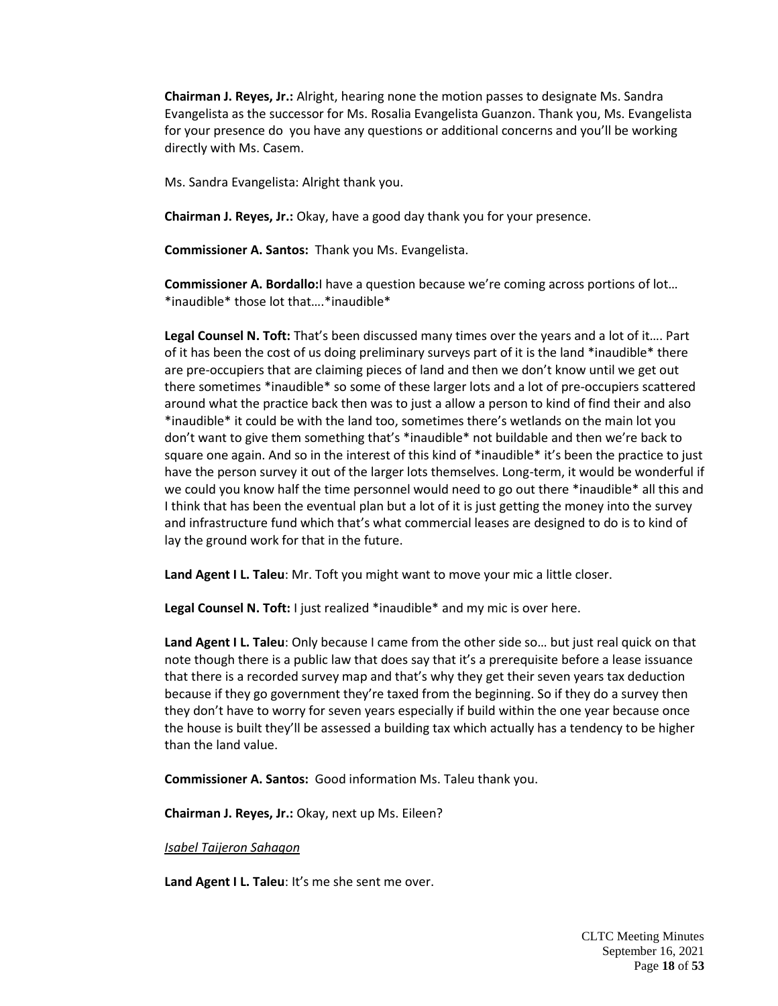**Chairman J. Reyes, Jr.:** Alright, hearing none the motion passes to designate Ms. Sandra Evangelista as the successor for Ms. Rosalia Evangelista Guanzon. Thank you, Ms. Evangelista for your presence do you have any questions or additional concerns and you'll be working directly with Ms. Casem.

Ms. Sandra Evangelista: Alright thank you.

**Chairman J. Reyes, Jr.:** Okay, have a good day thank you for your presence.

**Commissioner A. Santos:** Thank you Ms. Evangelista.

**Commissioner A. Bordallo:**I have a question because we're coming across portions of lot… \*inaudible\* those lot that….\*inaudible\*

**Legal Counsel N. Toft:** That's been discussed many times over the years and a lot of it…. Part of it has been the cost of us doing preliminary surveys part of it is the land \*inaudible\* there are pre-occupiers that are claiming pieces of land and then we don't know until we get out there sometimes \*inaudible\* so some of these larger lots and a lot of pre-occupiers scattered around what the practice back then was to just a allow a person to kind of find their and also \*inaudible\* it could be with the land too, sometimes there's wetlands on the main lot you don't want to give them something that's \*inaudible\* not buildable and then we're back to square one again. And so in the interest of this kind of \*inaudible\* it's been the practice to just have the person survey it out of the larger lots themselves. Long-term, it would be wonderful if we could you know half the time personnel would need to go out there \*inaudible\* all this and I think that has been the eventual plan but a lot of it is just getting the money into the survey and infrastructure fund which that's what commercial leases are designed to do is to kind of lay the ground work for that in the future.

**Land Agent I L. Taleu**: Mr. Toft you might want to move your mic a little closer.

**Legal Counsel N. Toft:** I just realized \*inaudible\* and my mic is over here.

**Land Agent I L. Taleu**: Only because I came from the other side so… but just real quick on that note though there is a public law that does say that it's a prerequisite before a lease issuance that there is a recorded survey map and that's why they get their seven years tax deduction because if they go government they're taxed from the beginning. So if they do a survey then they don't have to worry for seven years especially if build within the one year because once the house is built they'll be assessed a building tax which actually has a tendency to be higher than the land value.

**Commissioner A. Santos:** Good information Ms. Taleu thank you.

**Chairman J. Reyes, Jr.:** Okay, next up Ms. Eileen?

*Isabel Taijeron Sahagon*

**Land Agent I L. Taleu**: It's me she sent me over.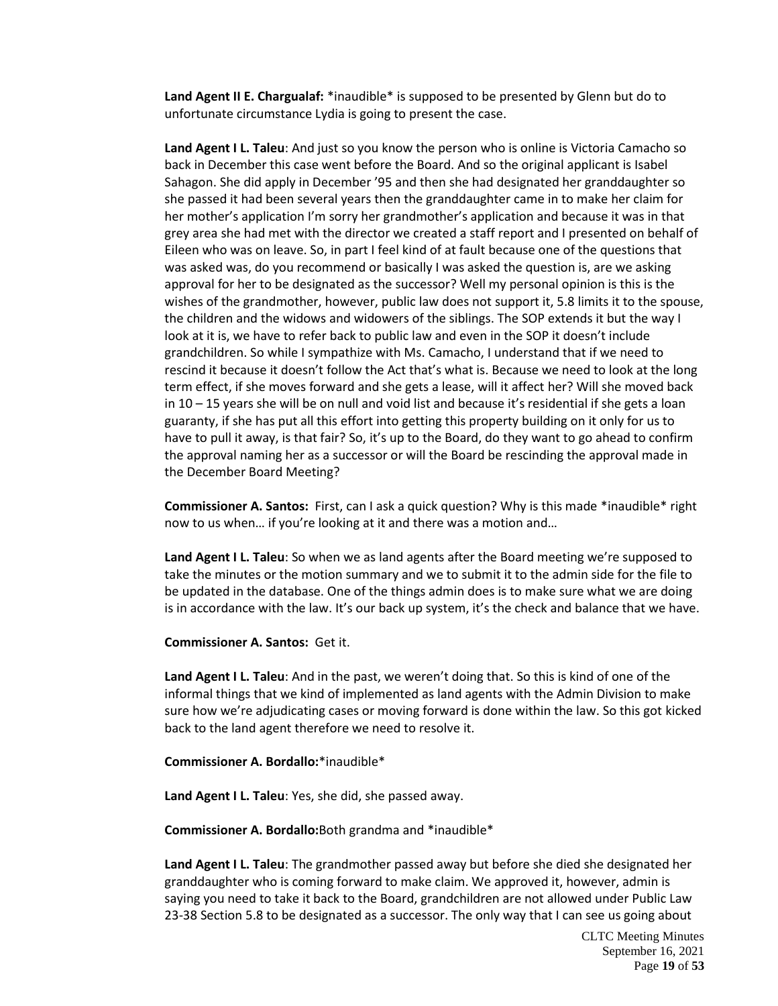**Land Agent II E. Chargualaf:** \*inaudible\* is supposed to be presented by Glenn but do to unfortunate circumstance Lydia is going to present the case.

**Land Agent I L. Taleu**: And just so you know the person who is online is Victoria Camacho so back in December this case went before the Board. And so the original applicant is Isabel Sahagon. She did apply in December '95 and then she had designated her granddaughter so she passed it had been several years then the granddaughter came in to make her claim for her mother's application I'm sorry her grandmother's application and because it was in that grey area she had met with the director we created a staff report and I presented on behalf of Eileen who was on leave. So, in part I feel kind of at fault because one of the questions that was asked was, do you recommend or basically I was asked the question is, are we asking approval for her to be designated as the successor? Well my personal opinion is this is the wishes of the grandmother, however, public law does not support it, 5.8 limits it to the spouse, the children and the widows and widowers of the siblings. The SOP extends it but the way I look at it is, we have to refer back to public law and even in the SOP it doesn't include grandchildren. So while I sympathize with Ms. Camacho, I understand that if we need to rescind it because it doesn't follow the Act that's what is. Because we need to look at the long term effect, if she moves forward and she gets a lease, will it affect her? Will she moved back in 10 – 15 years she will be on null and void list and because it's residential if she gets a loan guaranty, if she has put all this effort into getting this property building on it only for us to have to pull it away, is that fair? So, it's up to the Board, do they want to go ahead to confirm the approval naming her as a successor or will the Board be rescinding the approval made in the December Board Meeting?

**Commissioner A. Santos:** First, can I ask a quick question? Why is this made \*inaudible\* right now to us when… if you're looking at it and there was a motion and…

**Land Agent I L. Taleu**: So when we as land agents after the Board meeting we're supposed to take the minutes or the motion summary and we to submit it to the admin side for the file to be updated in the database. One of the things admin does is to make sure what we are doing is in accordance with the law. It's our back up system, it's the check and balance that we have.

## **Commissioner A. Santos:** Get it.

**Land Agent I L. Taleu**: And in the past, we weren't doing that. So this is kind of one of the informal things that we kind of implemented as land agents with the Admin Division to make sure how we're adjudicating cases or moving forward is done within the law. So this got kicked back to the land agent therefore we need to resolve it.

**Commissioner A. Bordallo:**\*inaudible\*

**Land Agent I L. Taleu**: Yes, she did, she passed away.

**Commissioner A. Bordallo:**Both grandma and \*inaudible\*

**Land Agent I L. Taleu**: The grandmother passed away but before she died she designated her granddaughter who is coming forward to make claim. We approved it, however, admin is saying you need to take it back to the Board, grandchildren are not allowed under Public Law 23-38 Section 5.8 to be designated as a successor. The only way that I can see us going about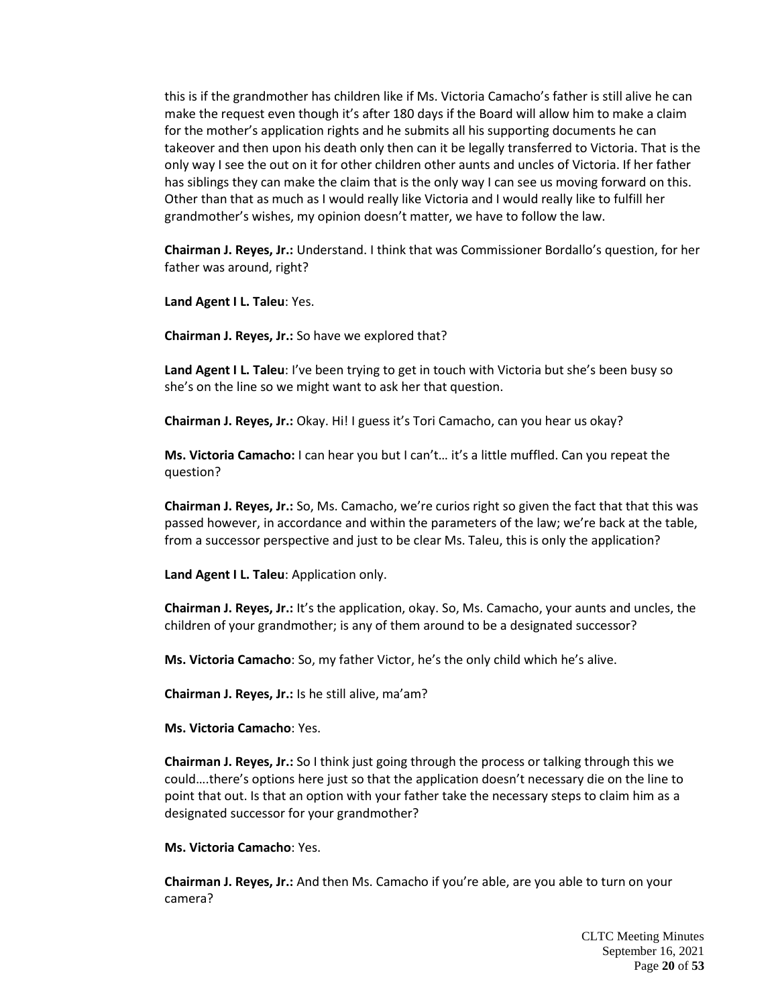this is if the grandmother has children like if Ms. Victoria Camacho's father is still alive he can make the request even though it's after 180 days if the Board will allow him to make a claim for the mother's application rights and he submits all his supporting documents he can takeover and then upon his death only then can it be legally transferred to Victoria. That is the only way I see the out on it for other children other aunts and uncles of Victoria. If her father has siblings they can make the claim that is the only way I can see us moving forward on this. Other than that as much as I would really like Victoria and I would really like to fulfill her grandmother's wishes, my opinion doesn't matter, we have to follow the law.

**Chairman J. Reyes, Jr.:** Understand. I think that was Commissioner Bordallo's question, for her father was around, right?

**Land Agent I L. Taleu**: Yes.

**Chairman J. Reyes, Jr.:** So have we explored that?

**Land Agent I L. Taleu**: I've been trying to get in touch with Victoria but she's been busy so she's on the line so we might want to ask her that question.

**Chairman J. Reyes, Jr.:** Okay. Hi! I guess it's Tori Camacho, can you hear us okay?

**Ms. Victoria Camacho:** I can hear you but I can't… it's a little muffled. Can you repeat the question?

**Chairman J. Reyes, Jr.:** So, Ms. Camacho, we're curios right so given the fact that that this was passed however, in accordance and within the parameters of the law; we're back at the table, from a successor perspective and just to be clear Ms. Taleu, this is only the application?

**Land Agent I L. Taleu**: Application only.

**Chairman J. Reyes, Jr.:** It's the application, okay. So, Ms. Camacho, your aunts and uncles, the children of your grandmother; is any of them around to be a designated successor?

**Ms. Victoria Camacho**: So, my father Victor, he's the only child which he's alive.

**Chairman J. Reyes, Jr.:** Is he still alive, ma'am?

**Ms. Victoria Camacho**: Yes.

**Chairman J. Reyes, Jr.:** So I think just going through the process or talking through this we could….there's options here just so that the application doesn't necessary die on the line to point that out. Is that an option with your father take the necessary steps to claim him as a designated successor for your grandmother?

**Ms. Victoria Camacho**: Yes.

**Chairman J. Reyes, Jr.:** And then Ms. Camacho if you're able, are you able to turn on your camera?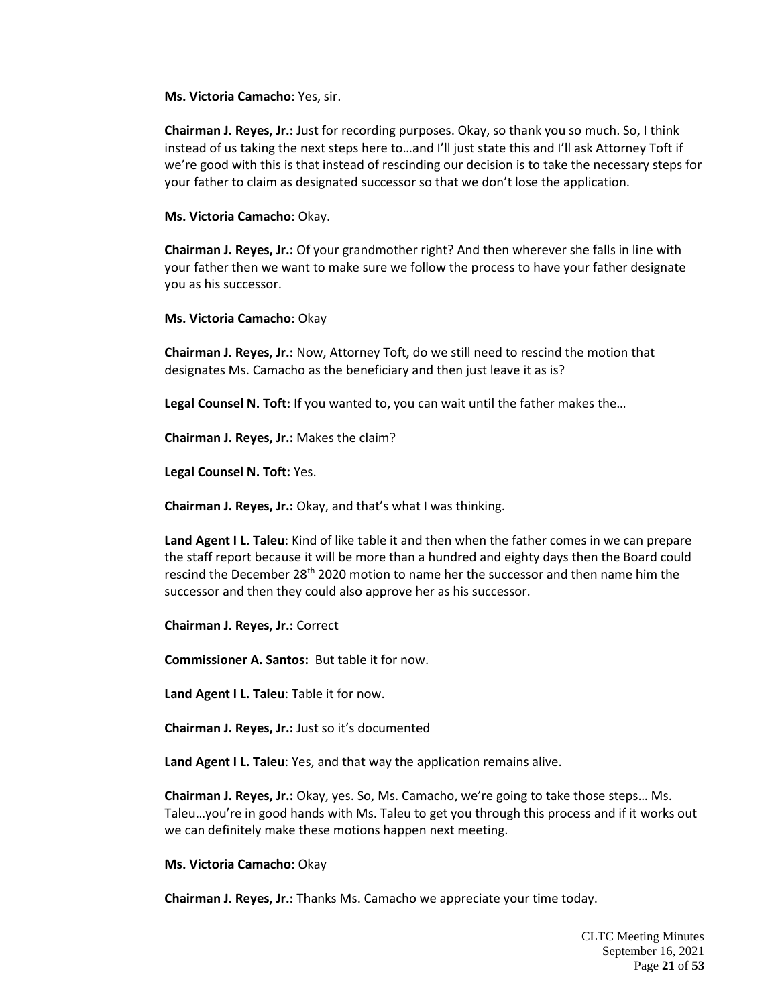# **Ms. Victoria Camacho**: Yes, sir.

**Chairman J. Reyes, Jr.:** Just for recording purposes. Okay, so thank you so much. So, I think instead of us taking the next steps here to…and I'll just state this and I'll ask Attorney Toft if we're good with this is that instead of rescinding our decision is to take the necessary steps for your father to claim as designated successor so that we don't lose the application.

# **Ms. Victoria Camacho**: Okay.

**Chairman J. Reyes, Jr.:** Of your grandmother right? And then wherever she falls in line with your father then we want to make sure we follow the process to have your father designate you as his successor.

**Ms. Victoria Camacho**: Okay

**Chairman J. Reyes, Jr.:** Now, Attorney Toft, do we still need to rescind the motion that designates Ms. Camacho as the beneficiary and then just leave it as is?

**Legal Counsel N. Toft:** If you wanted to, you can wait until the father makes the…

**Chairman J. Reyes, Jr.:** Makes the claim?

**Legal Counsel N. Toft:** Yes.

**Chairman J. Reyes, Jr.:** Okay, and that's what I was thinking.

**Land Agent I L. Taleu**: Kind of like table it and then when the father comes in we can prepare the staff report because it will be more than a hundred and eighty days then the Board could rescind the December 28th 2020 motion to name her the successor and then name him the successor and then they could also approve her as his successor.

**Chairman J. Reyes, Jr.:** Correct

**Commissioner A. Santos:** But table it for now.

**Land Agent I L. Taleu**: Table it for now.

**Chairman J. Reyes, Jr.:** Just so it's documented

**Land Agent I L. Taleu**: Yes, and that way the application remains alive.

**Chairman J. Reyes, Jr.:** Okay, yes. So, Ms. Camacho, we're going to take those steps… Ms. Taleu…you're in good hands with Ms. Taleu to get you through this process and if it works out we can definitely make these motions happen next meeting.

**Ms. Victoria Camacho**: Okay

**Chairman J. Reyes, Jr.:** Thanks Ms. Camacho we appreciate your time today.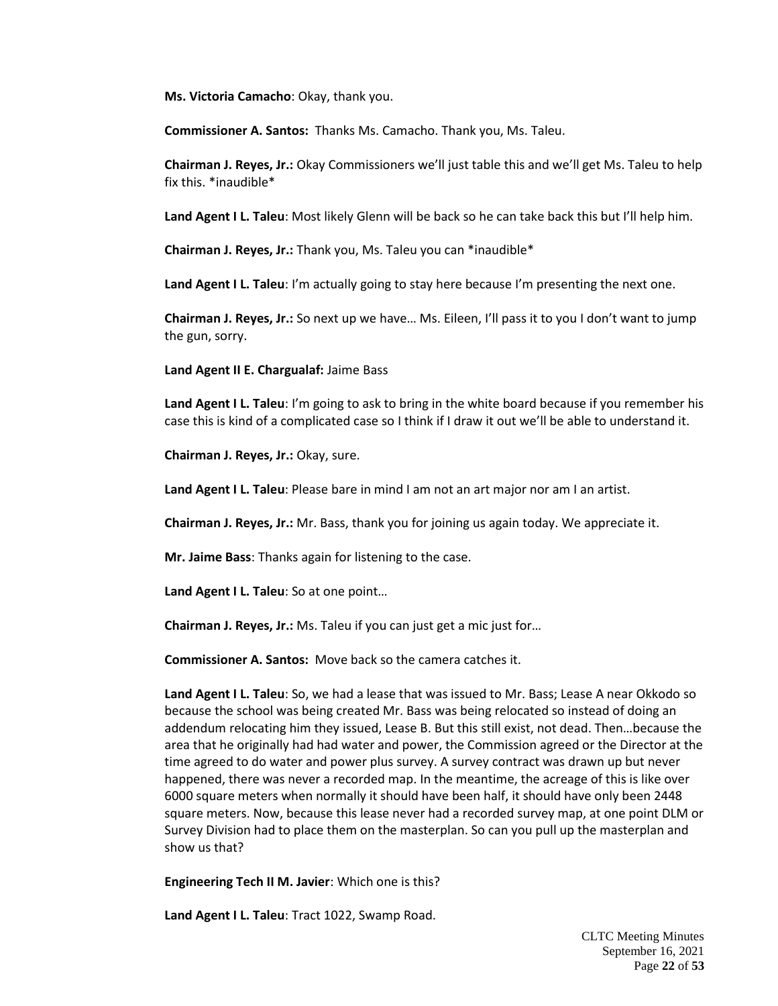**Ms. Victoria Camacho**: Okay, thank you.

**Commissioner A. Santos:** Thanks Ms. Camacho. Thank you, Ms. Taleu.

**Chairman J. Reyes, Jr.:** Okay Commissioners we'll just table this and we'll get Ms. Taleu to help fix this. \*inaudible\*

**Land Agent I L. Taleu**: Most likely Glenn will be back so he can take back this but I'll help him.

**Chairman J. Reyes, Jr.:** Thank you, Ms. Taleu you can \*inaudible\*

**Land Agent I L. Taleu**: I'm actually going to stay here because I'm presenting the next one.

**Chairman J. Reyes, Jr.:** So next up we have… Ms. Eileen, I'll pass it to you I don't want to jump the gun, sorry.

**Land Agent II E. Chargualaf:** Jaime Bass

**Land Agent I L. Taleu**: I'm going to ask to bring in the white board because if you remember his case this is kind of a complicated case so I think if I draw it out we'll be able to understand it.

**Chairman J. Reyes, Jr.:** Okay, sure.

**Land Agent I L. Taleu**: Please bare in mind I am not an art major nor am I an artist.

**Chairman J. Reyes, Jr.:** Mr. Bass, thank you for joining us again today. We appreciate it.

**Mr. Jaime Bass**: Thanks again for listening to the case.

**Land Agent I L. Taleu**: So at one point…

**Chairman J. Reyes, Jr.:** Ms. Taleu if you can just get a mic just for…

**Commissioner A. Santos:** Move back so the camera catches it.

**Land Agent I L. Taleu**: So, we had a lease that was issued to Mr. Bass; Lease A near Okkodo so because the school was being created Mr. Bass was being relocated so instead of doing an addendum relocating him they issued, Lease B. But this still exist, not dead. Then…because the area that he originally had had water and power, the Commission agreed or the Director at the time agreed to do water and power plus survey. A survey contract was drawn up but never happened, there was never a recorded map. In the meantime, the acreage of this is like over 6000 square meters when normally it should have been half, it should have only been 2448 square meters. Now, because this lease never had a recorded survey map, at one point DLM or Survey Division had to place them on the masterplan. So can you pull up the masterplan and show us that?

**Engineering Tech II M. Javier**: Which one is this?

**Land Agent I L. Taleu**: Tract 1022, Swamp Road.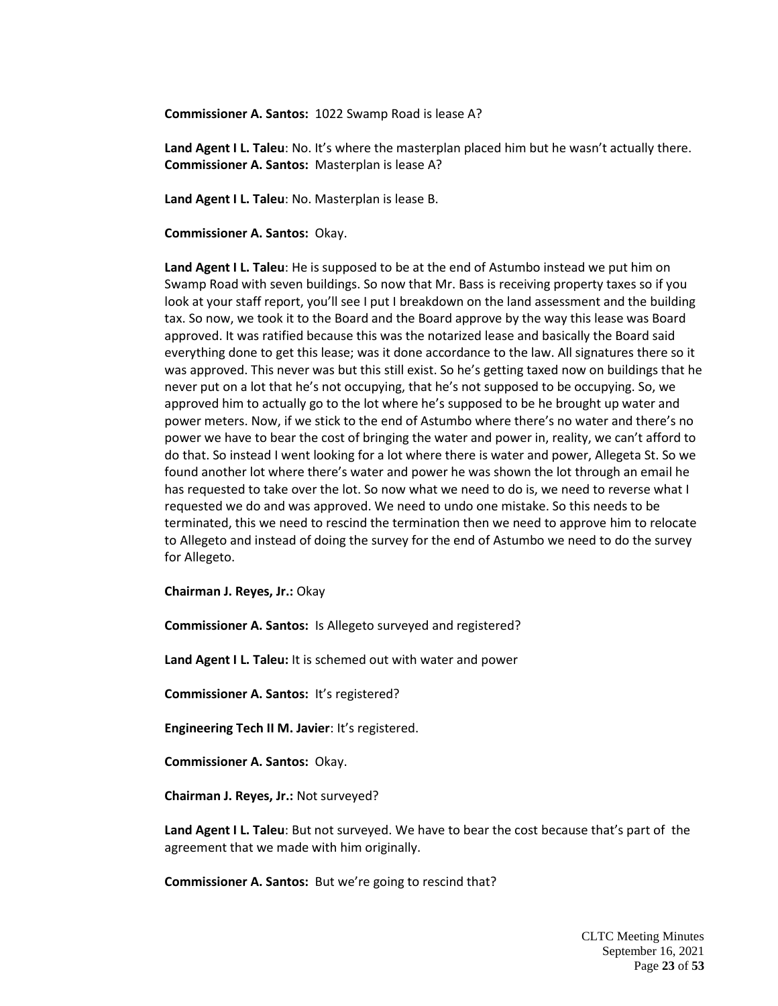**Commissioner A. Santos:** 1022 Swamp Road is lease A?

**Land Agent I L. Taleu**: No. It's where the masterplan placed him but he wasn't actually there. **Commissioner A. Santos:** Masterplan is lease A?

**Land Agent I L. Taleu**: No. Masterplan is lease B.

**Commissioner A. Santos:** Okay.

**Land Agent I L. Taleu**: He is supposed to be at the end of Astumbo instead we put him on Swamp Road with seven buildings. So now that Mr. Bass is receiving property taxes so if you look at your staff report, you'll see I put I breakdown on the land assessment and the building tax. So now, we took it to the Board and the Board approve by the way this lease was Board approved. It was ratified because this was the notarized lease and basically the Board said everything done to get this lease; was it done accordance to the law. All signatures there so it was approved. This never was but this still exist. So he's getting taxed now on buildings that he never put on a lot that he's not occupying, that he's not supposed to be occupying. So, we approved him to actually go to the lot where he's supposed to be he brought up water and power meters. Now, if we stick to the end of Astumbo where there's no water and there's no power we have to bear the cost of bringing the water and power in, reality, we can't afford to do that. So instead I went looking for a lot where there is water and power, Allegeta St. So we found another lot where there's water and power he was shown the lot through an email he has requested to take over the lot. So now what we need to do is, we need to reverse what I requested we do and was approved. We need to undo one mistake. So this needs to be terminated, this we need to rescind the termination then we need to approve him to relocate to Allegeto and instead of doing the survey for the end of Astumbo we need to do the survey for Allegeto.

**Chairman J. Reyes, Jr.:** Okay

**Commissioner A. Santos:** Is Allegeto surveyed and registered?

**Land Agent I L. Taleu:** It is schemed out with water and power

**Commissioner A. Santos:** It's registered?

**Engineering Tech II M. Javier**: It's registered.

**Commissioner A. Santos:** Okay.

**Chairman J. Reyes, Jr.:** Not surveyed?

**Land Agent I L. Taleu**: But not surveyed. We have to bear the cost because that's part of the agreement that we made with him originally.

**Commissioner A. Santos:** But we're going to rescind that?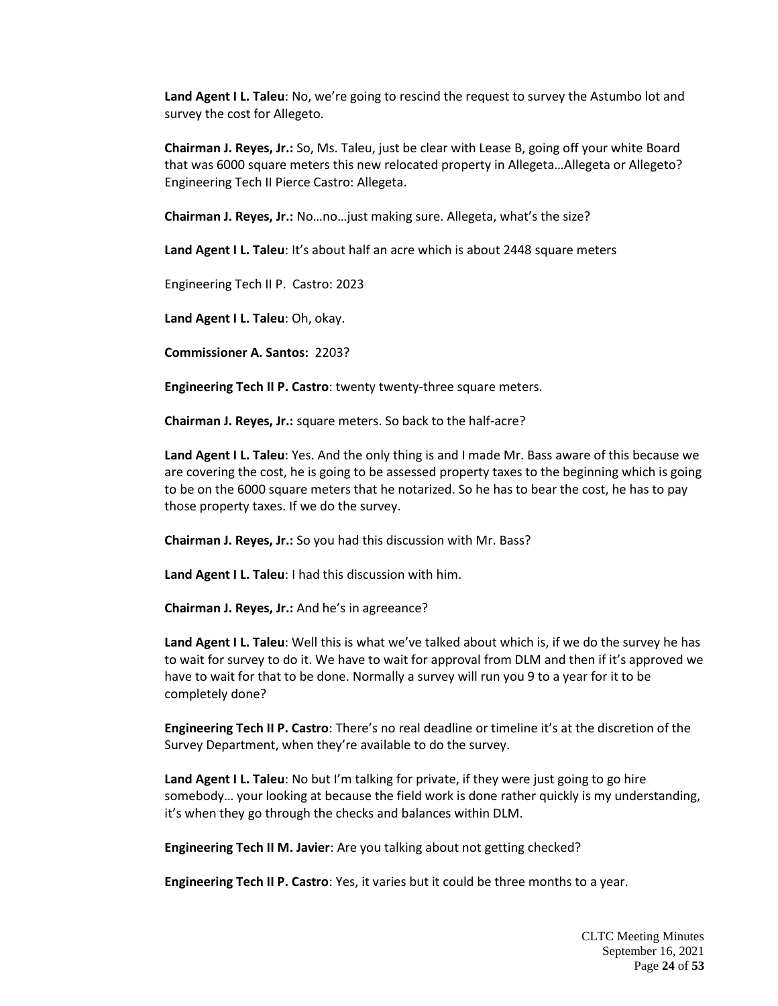**Land Agent I L. Taleu**: No, we're going to rescind the request to survey the Astumbo lot and survey the cost for Allegeto.

**Chairman J. Reyes, Jr.:** So, Ms. Taleu, just be clear with Lease B, going off your white Board that was 6000 square meters this new relocated property in Allegeta…Allegeta or Allegeto? Engineering Tech II Pierce Castro: Allegeta.

**Chairman J. Reyes, Jr.:** No…no…just making sure. Allegeta, what's the size?

**Land Agent I L. Taleu**: It's about half an acre which is about 2448 square meters

Engineering Tech II P. Castro: 2023

**Land Agent I L. Taleu**: Oh, okay.

**Commissioner A. Santos:** 2203?

**Engineering Tech II P. Castro**: twenty twenty-three square meters.

**Chairman J. Reyes, Jr.:** square meters. So back to the half-acre?

**Land Agent I L. Taleu**: Yes. And the only thing is and I made Mr. Bass aware of this because we are covering the cost, he is going to be assessed property taxes to the beginning which is going to be on the 6000 square meters that he notarized. So he has to bear the cost, he has to pay those property taxes. If we do the survey.

**Chairman J. Reyes, Jr.:** So you had this discussion with Mr. Bass?

**Land Agent I L. Taleu**: I had this discussion with him.

**Chairman J. Reyes, Jr.:** And he's in agreeance?

**Land Agent I L. Taleu**: Well this is what we've talked about which is, if we do the survey he has to wait for survey to do it. We have to wait for approval from DLM and then if it's approved we have to wait for that to be done. Normally a survey will run you 9 to a year for it to be completely done?

**Engineering Tech II P. Castro**: There's no real deadline or timeline it's at the discretion of the Survey Department, when they're available to do the survey.

Land Agent I L. Taleu: No but I'm talking for private, if they were just going to go hire somebody… your looking at because the field work is done rather quickly is my understanding, it's when they go through the checks and balances within DLM.

**Engineering Tech II M. Javier**: Are you talking about not getting checked?

**Engineering Tech II P. Castro**: Yes, it varies but it could be three months to a year.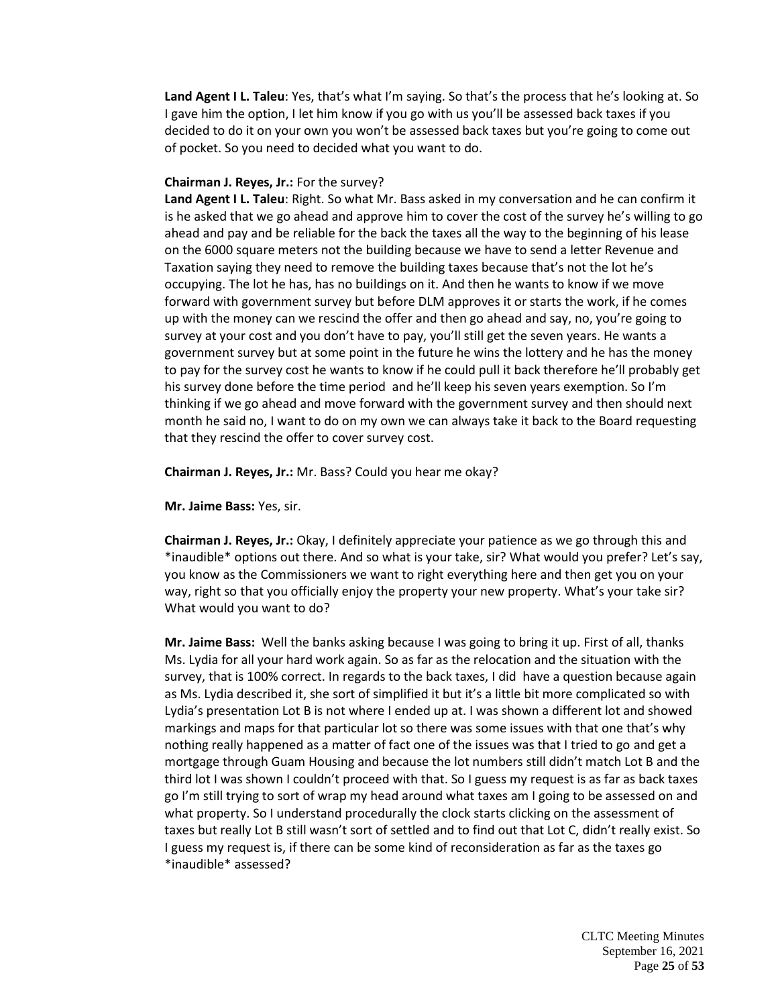**Land Agent I L. Taleu**: Yes, that's what I'm saying. So that's the process that he's looking at. So I gave him the option, I let him know if you go with us you'll be assessed back taxes if you decided to do it on your own you won't be assessed back taxes but you're going to come out of pocket. So you need to decided what you want to do.

# **Chairman J. Reyes, Jr.:** For the survey?

**Land Agent I L. Taleu**: Right. So what Mr. Bass asked in my conversation and he can confirm it is he asked that we go ahead and approve him to cover the cost of the survey he's willing to go ahead and pay and be reliable for the back the taxes all the way to the beginning of his lease on the 6000 square meters not the building because we have to send a letter Revenue and Taxation saying they need to remove the building taxes because that's not the lot he's occupying. The lot he has, has no buildings on it. And then he wants to know if we move forward with government survey but before DLM approves it or starts the work, if he comes up with the money can we rescind the offer and then go ahead and say, no, you're going to survey at your cost and you don't have to pay, you'll still get the seven years. He wants a government survey but at some point in the future he wins the lottery and he has the money to pay for the survey cost he wants to know if he could pull it back therefore he'll probably get his survey done before the time period and he'll keep his seven years exemption. So I'm thinking if we go ahead and move forward with the government survey and then should next month he said no, I want to do on my own we can always take it back to the Board requesting that they rescind the offer to cover survey cost.

**Chairman J. Reyes, Jr.:** Mr. Bass? Could you hear me okay?

**Mr. Jaime Bass:** Yes, sir.

**Chairman J. Reyes, Jr.:** Okay, I definitely appreciate your patience as we go through this and \*inaudible\* options out there. And so what is your take, sir? What would you prefer? Let's say, you know as the Commissioners we want to right everything here and then get you on your way, right so that you officially enjoy the property your new property. What's your take sir? What would you want to do?

**Mr. Jaime Bass:** Well the banks asking because I was going to bring it up. First of all, thanks Ms. Lydia for all your hard work again. So as far as the relocation and the situation with the survey, that is 100% correct. In regards to the back taxes, I did have a question because again as Ms. Lydia described it, she sort of simplified it but it's a little bit more complicated so with Lydia's presentation Lot B is not where I ended up at. I was shown a different lot and showed markings and maps for that particular lot so there was some issues with that one that's why nothing really happened as a matter of fact one of the issues was that I tried to go and get a mortgage through Guam Housing and because the lot numbers still didn't match Lot B and the third lot I was shown I couldn't proceed with that. So I guess my request is as far as back taxes go I'm still trying to sort of wrap my head around what taxes am I going to be assessed on and what property. So I understand procedurally the clock starts clicking on the assessment of taxes but really Lot B still wasn't sort of settled and to find out that Lot C, didn't really exist. So I guess my request is, if there can be some kind of reconsideration as far as the taxes go \*inaudible\* assessed?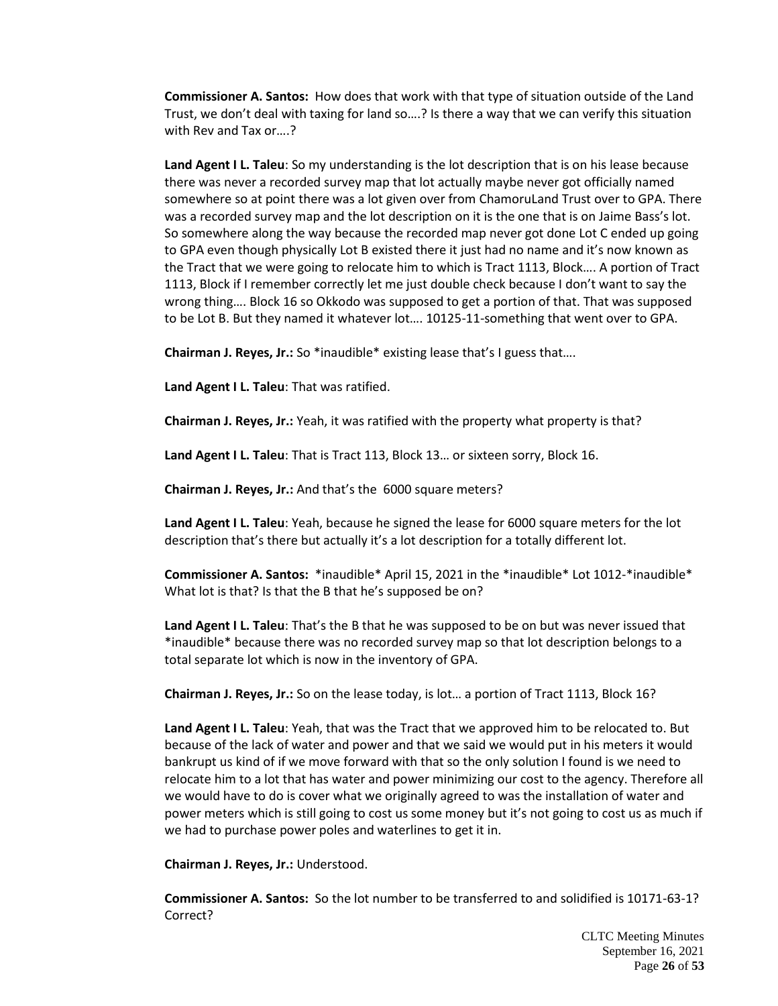**Commissioner A. Santos:** How does that work with that type of situation outside of the Land Trust, we don't deal with taxing for land so….? Is there a way that we can verify this situation with Rev and Tax or….?

**Land Agent I L. Taleu**: So my understanding is the lot description that is on his lease because there was never a recorded survey map that lot actually maybe never got officially named somewhere so at point there was a lot given over from ChamoruLand Trust over to GPA. There was a recorded survey map and the lot description on it is the one that is on Jaime Bass's lot. So somewhere along the way because the recorded map never got done Lot C ended up going to GPA even though physically Lot B existed there it just had no name and it's now known as the Tract that we were going to relocate him to which is Tract 1113, Block…. A portion of Tract 1113, Block if I remember correctly let me just double check because I don't want to say the wrong thing…. Block 16 so Okkodo was supposed to get a portion of that. That was supposed to be Lot B. But they named it whatever lot…. 10125-11-something that went over to GPA.

**Chairman J. Reyes, Jr.:** So \*inaudible\* existing lease that's I guess that….

**Land Agent I L. Taleu**: That was ratified.

**Chairman J. Reyes, Jr.:** Yeah, it was ratified with the property what property is that?

**Land Agent I L. Taleu**: That is Tract 113, Block 13… or sixteen sorry, Block 16.

**Chairman J. Reyes, Jr.:** And that's the 6000 square meters?

**Land Agent I L. Taleu**: Yeah, because he signed the lease for 6000 square meters for the lot description that's there but actually it's a lot description for a totally different lot.

**Commissioner A. Santos:** \*inaudible\* April 15, 2021 in the \*inaudible\* Lot 1012-\*inaudible\* What lot is that? Is that the B that he's supposed be on?

**Land Agent I L. Taleu**: That's the B that he was supposed to be on but was never issued that \*inaudible\* because there was no recorded survey map so that lot description belongs to a total separate lot which is now in the inventory of GPA.

**Chairman J. Reyes, Jr.:** So on the lease today, is lot… a portion of Tract 1113, Block 16?

**Land Agent I L. Taleu**: Yeah, that was the Tract that we approved him to be relocated to. But because of the lack of water and power and that we said we would put in his meters it would bankrupt us kind of if we move forward with that so the only solution I found is we need to relocate him to a lot that has water and power minimizing our cost to the agency. Therefore all we would have to do is cover what we originally agreed to was the installation of water and power meters which is still going to cost us some money but it's not going to cost us as much if we had to purchase power poles and waterlines to get it in.

**Chairman J. Reyes, Jr.:** Understood.

**Commissioner A. Santos:** So the lot number to be transferred to and solidified is 10171-63-1? Correct?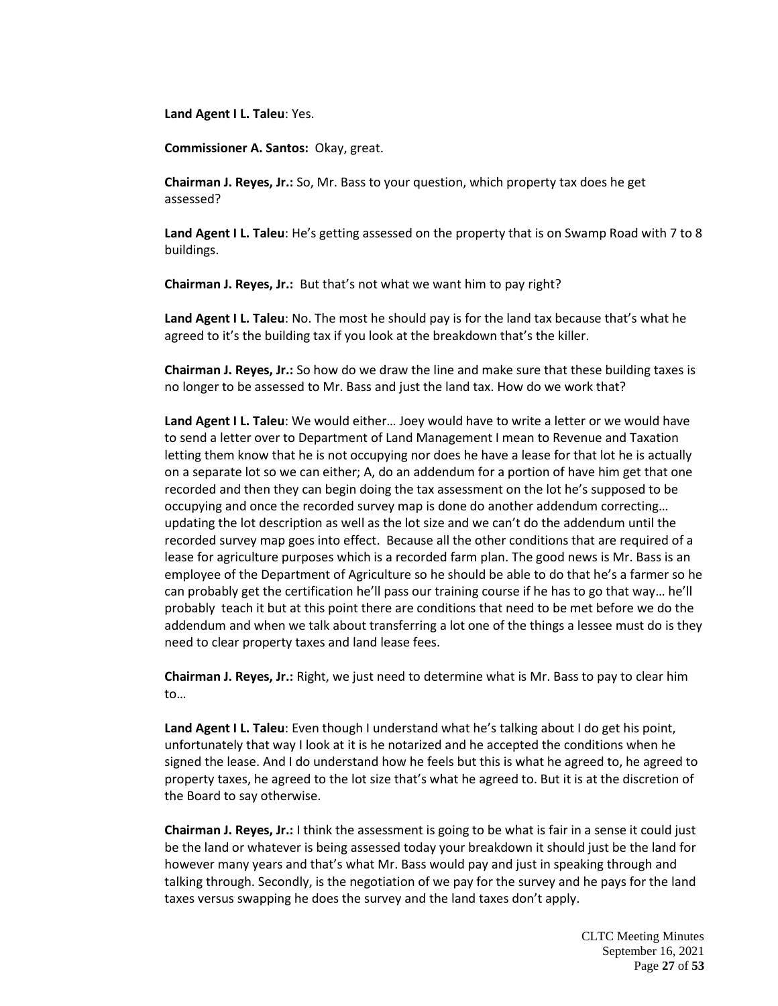**Land Agent I L. Taleu**: Yes.

**Commissioner A. Santos:** Okay, great.

**Chairman J. Reyes, Jr.:** So, Mr. Bass to your question, which property tax does he get assessed?

**Land Agent I L. Taleu**: He's getting assessed on the property that is on Swamp Road with 7 to 8 buildings.

**Chairman J. Reyes, Jr.:** But that's not what we want him to pay right?

**Land Agent I L. Taleu**: No. The most he should pay is for the land tax because that's what he agreed to it's the building tax if you look at the breakdown that's the killer.

**Chairman J. Reyes, Jr.:** So how do we draw the line and make sure that these building taxes is no longer to be assessed to Mr. Bass and just the land tax. How do we work that?

**Land Agent I L. Taleu**: We would either… Joey would have to write a letter or we would have to send a letter over to Department of Land Management I mean to Revenue and Taxation letting them know that he is not occupying nor does he have a lease for that lot he is actually on a separate lot so we can either; A, do an addendum for a portion of have him get that one recorded and then they can begin doing the tax assessment on the lot he's supposed to be occupying and once the recorded survey map is done do another addendum correcting… updating the lot description as well as the lot size and we can't do the addendum until the recorded survey map goes into effect. Because all the other conditions that are required of a lease for agriculture purposes which is a recorded farm plan. The good news is Mr. Bass is an employee of the Department of Agriculture so he should be able to do that he's a farmer so he can probably get the certification he'll pass our training course if he has to go that way… he'll probably teach it but at this point there are conditions that need to be met before we do the addendum and when we talk about transferring a lot one of the things a lessee must do is they need to clear property taxes and land lease fees.

**Chairman J. Reyes, Jr.:** Right, we just need to determine what is Mr. Bass to pay to clear him to…

**Land Agent I L. Taleu**: Even though I understand what he's talking about I do get his point, unfortunately that way I look at it is he notarized and he accepted the conditions when he signed the lease. And I do understand how he feels but this is what he agreed to, he agreed to property taxes, he agreed to the lot size that's what he agreed to. But it is at the discretion of the Board to say otherwise.

**Chairman J. Reyes, Jr.:** I think the assessment is going to be what is fair in a sense it could just be the land or whatever is being assessed today your breakdown it should just be the land for however many years and that's what Mr. Bass would pay and just in speaking through and talking through. Secondly, is the negotiation of we pay for the survey and he pays for the land taxes versus swapping he does the survey and the land taxes don't apply.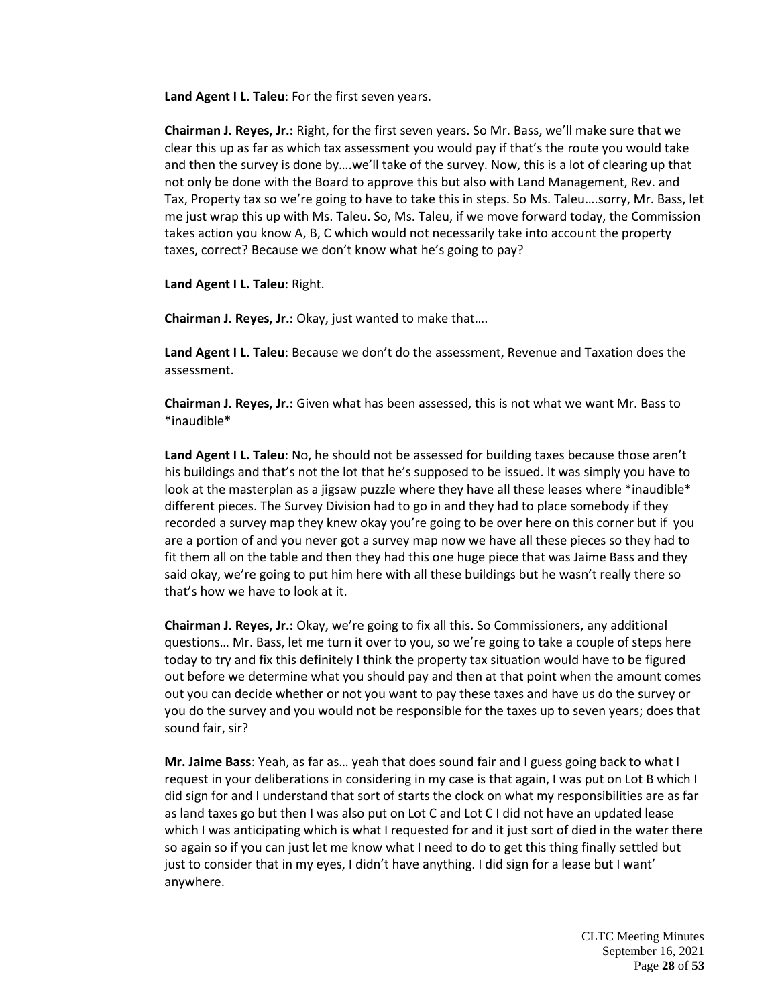**Land Agent I L. Taleu**: For the first seven years.

**Chairman J. Reyes, Jr.:** Right, for the first seven years. So Mr. Bass, we'll make sure that we clear this up as far as which tax assessment you would pay if that's the route you would take and then the survey is done by….we'll take of the survey. Now, this is a lot of clearing up that not only be done with the Board to approve this but also with Land Management, Rev. and Tax, Property tax so we're going to have to take this in steps. So Ms. Taleu….sorry, Mr. Bass, let me just wrap this up with Ms. Taleu. So, Ms. Taleu, if we move forward today, the Commission takes action you know A, B, C which would not necessarily take into account the property taxes, correct? Because we don't know what he's going to pay?

**Land Agent I L. Taleu**: Right.

**Chairman J. Reyes, Jr.:** Okay, just wanted to make that….

**Land Agent I L. Taleu**: Because we don't do the assessment, Revenue and Taxation does the assessment.

**Chairman J. Reyes, Jr.:** Given what has been assessed, this is not what we want Mr. Bass to \*inaudible\*

**Land Agent I L. Taleu**: No, he should not be assessed for building taxes because those aren't his buildings and that's not the lot that he's supposed to be issued. It was simply you have to look at the masterplan as a jigsaw puzzle where they have all these leases where \*inaudible\* different pieces. The Survey Division had to go in and they had to place somebody if they recorded a survey map they knew okay you're going to be over here on this corner but if you are a portion of and you never got a survey map now we have all these pieces so they had to fit them all on the table and then they had this one huge piece that was Jaime Bass and they said okay, we're going to put him here with all these buildings but he wasn't really there so that's how we have to look at it.

**Chairman J. Reyes, Jr.:** Okay, we're going to fix all this. So Commissioners, any additional questions… Mr. Bass, let me turn it over to you, so we're going to take a couple of steps here today to try and fix this definitely I think the property tax situation would have to be figured out before we determine what you should pay and then at that point when the amount comes out you can decide whether or not you want to pay these taxes and have us do the survey or you do the survey and you would not be responsible for the taxes up to seven years; does that sound fair, sir?

**Mr. Jaime Bass**: Yeah, as far as… yeah that does sound fair and I guess going back to what I request in your deliberations in considering in my case is that again, I was put on Lot B which I did sign for and I understand that sort of starts the clock on what my responsibilities are as far as land taxes go but then I was also put on Lot C and Lot C I did not have an updated lease which I was anticipating which is what I requested for and it just sort of died in the water there so again so if you can just let me know what I need to do to get this thing finally settled but just to consider that in my eyes, I didn't have anything. I did sign for a lease but I want' anywhere.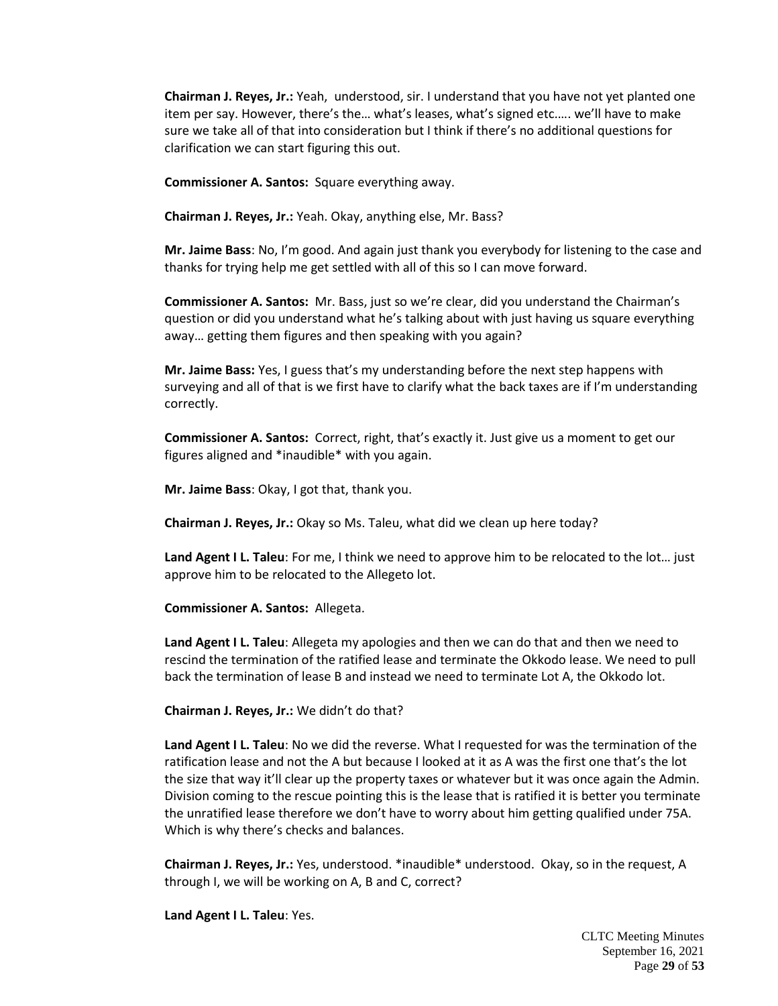**Chairman J. Reyes, Jr.:** Yeah, understood, sir. I understand that you have not yet planted one item per say. However, there's the… what's leases, what's signed etc.…. we'll have to make sure we take all of that into consideration but I think if there's no additional questions for clarification we can start figuring this out.

**Commissioner A. Santos:** Square everything away.

**Chairman J. Reyes, Jr.:** Yeah. Okay, anything else, Mr. Bass?

**Mr. Jaime Bass**: No, I'm good. And again just thank you everybody for listening to the case and thanks for trying help me get settled with all of this so I can move forward.

**Commissioner A. Santos:** Mr. Bass, just so we're clear, did you understand the Chairman's question or did you understand what he's talking about with just having us square everything away… getting them figures and then speaking with you again?

**Mr. Jaime Bass:** Yes, I guess that's my understanding before the next step happens with surveying and all of that is we first have to clarify what the back taxes are if I'm understanding correctly.

**Commissioner A. Santos:** Correct, right, that's exactly it. Just give us a moment to get our figures aligned and \*inaudible\* with you again.

**Mr. Jaime Bass**: Okay, I got that, thank you.

**Chairman J. Reyes, Jr.:** Okay so Ms. Taleu, what did we clean up here today?

**Land Agent I L. Taleu**: For me, I think we need to approve him to be relocated to the lot… just approve him to be relocated to the Allegeto lot.

**Commissioner A. Santos:** Allegeta.

**Land Agent I L. Taleu**: Allegeta my apologies and then we can do that and then we need to rescind the termination of the ratified lease and terminate the Okkodo lease. We need to pull back the termination of lease B and instead we need to terminate Lot A, the Okkodo lot.

**Chairman J. Reyes, Jr.:** We didn't do that?

**Land Agent I L. Taleu**: No we did the reverse. What I requested for was the termination of the ratification lease and not the A but because I looked at it as A was the first one that's the lot the size that way it'll clear up the property taxes or whatever but it was once again the Admin. Division coming to the rescue pointing this is the lease that is ratified it is better you terminate the unratified lease therefore we don't have to worry about him getting qualified under 75A. Which is why there's checks and balances.

**Chairman J. Reyes, Jr.:** Yes, understood. \*inaudible\* understood. Okay, so in the request, A through I, we will be working on A, B and C, correct?

**Land Agent I L. Taleu**: Yes.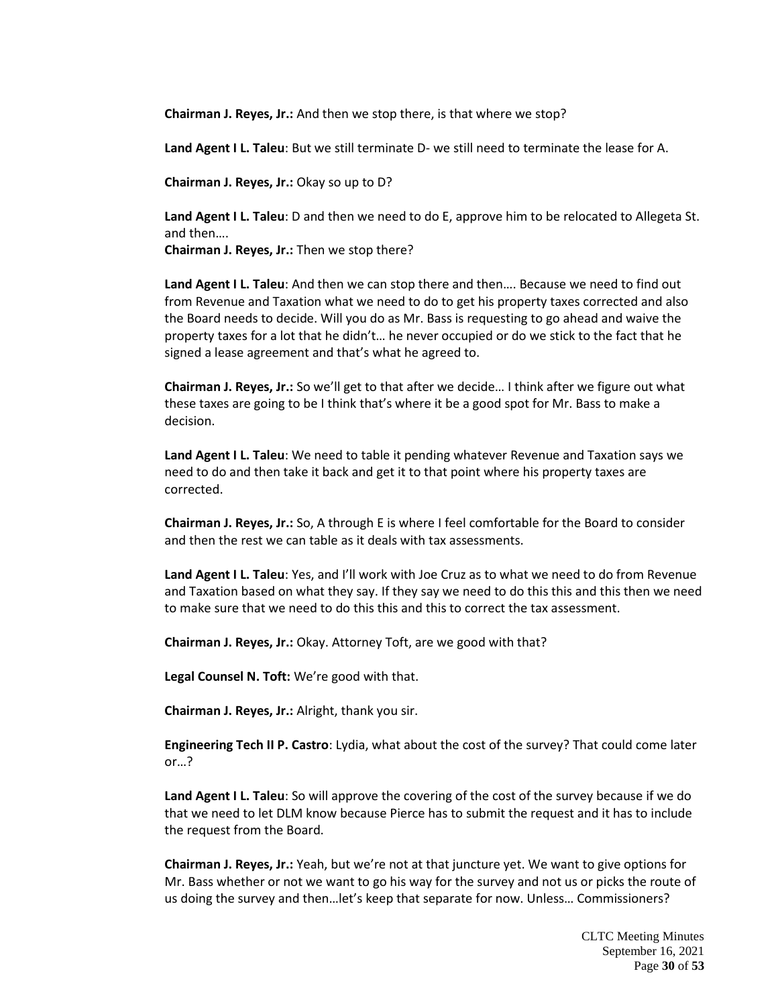**Chairman J. Reyes, Jr.:** And then we stop there, is that where we stop?

**Land Agent I L. Taleu**: But we still terminate D- we still need to terminate the lease for A.

**Chairman J. Reyes, Jr.:** Okay so up to D?

**Land Agent I L. Taleu**: D and then we need to do E, approve him to be relocated to Allegeta St. and then….

**Chairman J. Reyes, Jr.:** Then we stop there?

**Land Agent I L. Taleu**: And then we can stop there and then…. Because we need to find out from Revenue and Taxation what we need to do to get his property taxes corrected and also the Board needs to decide. Will you do as Mr. Bass is requesting to go ahead and waive the property taxes for a lot that he didn't… he never occupied or do we stick to the fact that he signed a lease agreement and that's what he agreed to.

**Chairman J. Reyes, Jr.:** So we'll get to that after we decide… I think after we figure out what these taxes are going to be I think that's where it be a good spot for Mr. Bass to make a decision.

**Land Agent I L. Taleu**: We need to table it pending whatever Revenue and Taxation says we need to do and then take it back and get it to that point where his property taxes are corrected.

**Chairman J. Reyes, Jr.:** So, A through E is where I feel comfortable for the Board to consider and then the rest we can table as it deals with tax assessments.

**Land Agent I L. Taleu**: Yes, and I'll work with Joe Cruz as to what we need to do from Revenue and Taxation based on what they say. If they say we need to do this this and this then we need to make sure that we need to do this this and this to correct the tax assessment.

**Chairman J. Reyes, Jr.:** Okay. Attorney Toft, are we good with that?

**Legal Counsel N. Toft:** We're good with that.

**Chairman J. Reyes, Jr.:** Alright, thank you sir.

**Engineering Tech II P. Castro**: Lydia, what about the cost of the survey? That could come later or…?

**Land Agent I L. Taleu**: So will approve the covering of the cost of the survey because if we do that we need to let DLM know because Pierce has to submit the request and it has to include the request from the Board.

**Chairman J. Reyes, Jr.:** Yeah, but we're not at that juncture yet. We want to give options for Mr. Bass whether or not we want to go his way for the survey and not us or picks the route of us doing the survey and then…let's keep that separate for now. Unless… Commissioners?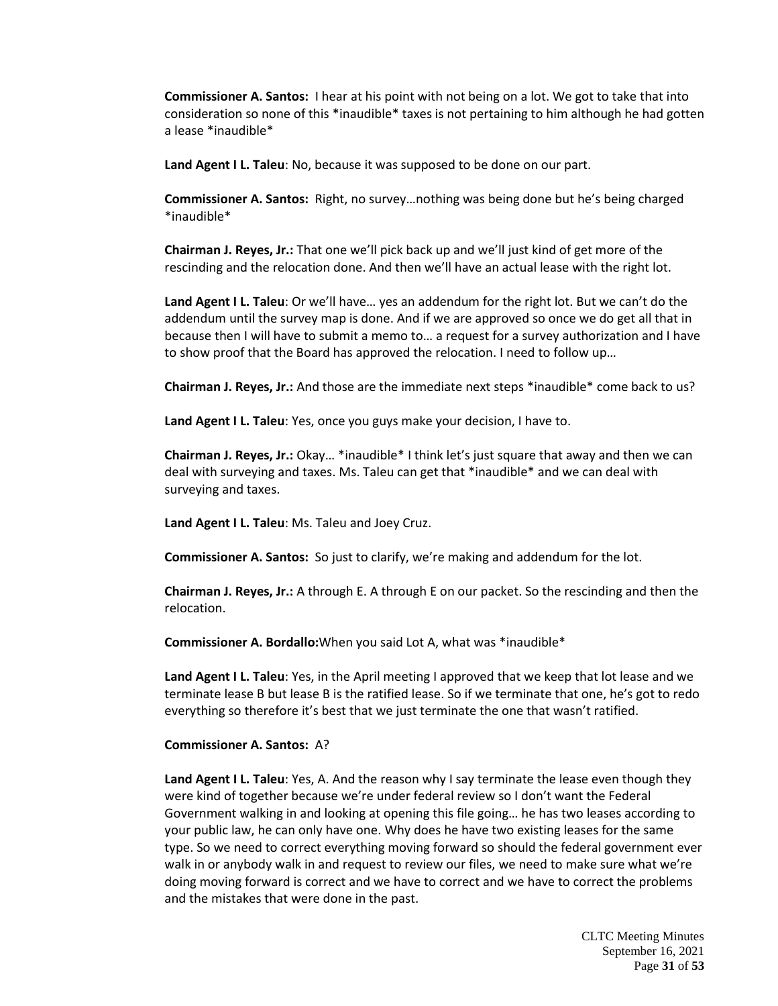**Commissioner A. Santos:** I hear at his point with not being on a lot. We got to take that into consideration so none of this \*inaudible\* taxes is not pertaining to him although he had gotten a lease \*inaudible\*

**Land Agent I L. Taleu**: No, because it was supposed to be done on our part.

**Commissioner A. Santos:** Right, no survey…nothing was being done but he's being charged \*inaudible\*

**Chairman J. Reyes, Jr.:** That one we'll pick back up and we'll just kind of get more of the rescinding and the relocation done. And then we'll have an actual lease with the right lot.

**Land Agent I L. Taleu**: Or we'll have… yes an addendum for the right lot. But we can't do the addendum until the survey map is done. And if we are approved so once we do get all that in because then I will have to submit a memo to… a request for a survey authorization and I have to show proof that the Board has approved the relocation. I need to follow up…

**Chairman J. Reyes, Jr.:** And those are the immediate next steps \*inaudible\* come back to us?

**Land Agent I L. Taleu**: Yes, once you guys make your decision, I have to.

**Chairman J. Reyes, Jr.:** Okay… \*inaudible\* I think let's just square that away and then we can deal with surveying and taxes. Ms. Taleu can get that \*inaudible\* and we can deal with surveying and taxes.

**Land Agent I L. Taleu**: Ms. Taleu and Joey Cruz.

**Commissioner A. Santos:** So just to clarify, we're making and addendum for the lot.

**Chairman J. Reyes, Jr.:** A through E. A through E on our packet. So the rescinding and then the relocation.

**Commissioner A. Bordallo:**When you said Lot A, what was \*inaudible\*

**Land Agent I L. Taleu**: Yes, in the April meeting I approved that we keep that lot lease and we terminate lease B but lease B is the ratified lease. So if we terminate that one, he's got to redo everything so therefore it's best that we just terminate the one that wasn't ratified.

## **Commissioner A. Santos:** A?

**Land Agent I L. Taleu**: Yes, A. And the reason why I say terminate the lease even though they were kind of together because we're under federal review so I don't want the Federal Government walking in and looking at opening this file going… he has two leases according to your public law, he can only have one. Why does he have two existing leases for the same type. So we need to correct everything moving forward so should the federal government ever walk in or anybody walk in and request to review our files, we need to make sure what we're doing moving forward is correct and we have to correct and we have to correct the problems and the mistakes that were done in the past.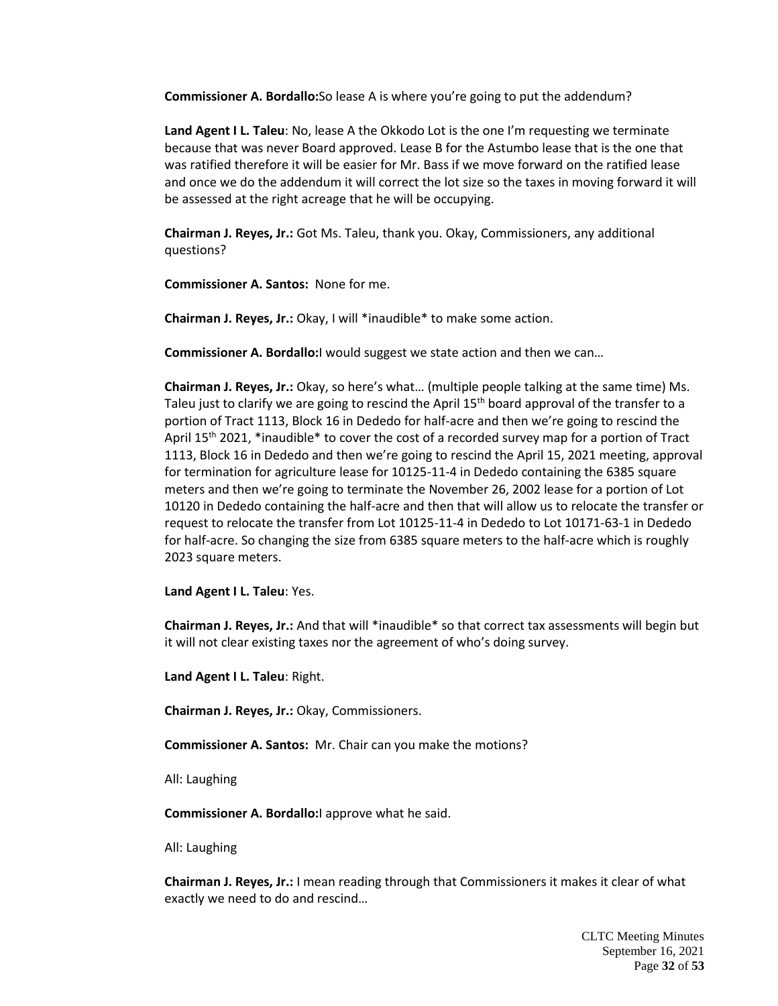**Commissioner A. Bordallo:**So lease A is where you're going to put the addendum?

**Land Agent I L. Taleu**: No, lease A the Okkodo Lot is the one I'm requesting we terminate because that was never Board approved. Lease B for the Astumbo lease that is the one that was ratified therefore it will be easier for Mr. Bass if we move forward on the ratified lease and once we do the addendum it will correct the lot size so the taxes in moving forward it will be assessed at the right acreage that he will be occupying.

**Chairman J. Reyes, Jr.:** Got Ms. Taleu, thank you. Okay, Commissioners, any additional questions?

**Commissioner A. Santos:** None for me.

**Chairman J. Reyes, Jr.:** Okay, I will \*inaudible\* to make some action.

**Commissioner A. Bordallo:**I would suggest we state action and then we can…

**Chairman J. Reyes, Jr.:** Okay, so here's what… (multiple people talking at the same time) Ms. Taleu just to clarify we are going to rescind the April 15<sup>th</sup> board approval of the transfer to a portion of Tract 1113, Block 16 in Dededo for half-acre and then we're going to rescind the April 15<sup>th</sup> 2021, \*inaudible\* to cover the cost of a recorded survey map for a portion of Tract 1113, Block 16 in Dededo and then we're going to rescind the April 15, 2021 meeting, approval for termination for agriculture lease for 10125-11-4 in Dededo containing the 6385 square meters and then we're going to terminate the November 26, 2002 lease for a portion of Lot 10120 in Dededo containing the half-acre and then that will allow us to relocate the transfer or request to relocate the transfer from Lot 10125-11-4 in Dededo to Lot 10171-63-1 in Dededo for half-acre. So changing the size from 6385 square meters to the half-acre which is roughly 2023 square meters.

**Land Agent I L. Taleu**: Yes.

**Chairman J. Reyes, Jr.:** And that will \*inaudible\* so that correct tax assessments will begin but it will not clear existing taxes nor the agreement of who's doing survey.

**Land Agent I L. Taleu**: Right.

**Chairman J. Reyes, Jr.:** Okay, Commissioners.

**Commissioner A. Santos:** Mr. Chair can you make the motions?

All: Laughing

**Commissioner A. Bordallo:**I approve what he said.

All: Laughing

**Chairman J. Reyes, Jr.:** I mean reading through that Commissioners it makes it clear of what exactly we need to do and rescind…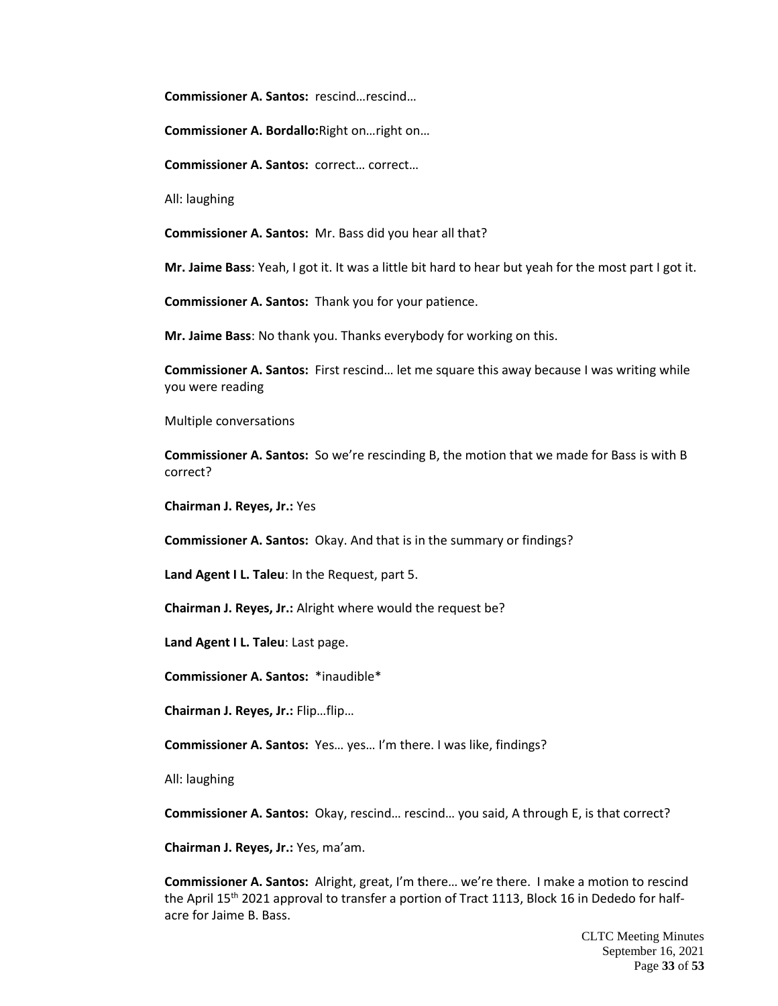**Commissioner A. Santos:** rescind…rescind…

**Commissioner A. Bordallo:**Right on…right on…

**Commissioner A. Santos:** correct… correct…

All: laughing

**Commissioner A. Santos:** Mr. Bass did you hear all that?

**Mr. Jaime Bass**: Yeah, I got it. It was a little bit hard to hear but yeah for the most part I got it.

**Commissioner A. Santos:** Thank you for your patience.

**Mr. Jaime Bass**: No thank you. Thanks everybody for working on this.

**Commissioner A. Santos:** First rescind… let me square this away because I was writing while you were reading

Multiple conversations

**Commissioner A. Santos:** So we're rescinding B, the motion that we made for Bass is with B correct?

**Chairman J. Reyes, Jr.:** Yes

**Commissioner A. Santos:** Okay. And that is in the summary or findings?

**Land Agent I L. Taleu**: In the Request, part 5.

**Chairman J. Reyes, Jr.:** Alright where would the request be?

**Land Agent I L. Taleu**: Last page.

**Commissioner A. Santos:** \*inaudible\*

**Chairman J. Reyes, Jr.:** Flip…flip…

**Commissioner A. Santos:** Yes… yes… I'm there. I was like, findings?

All: laughing

**Commissioner A. Santos:** Okay, rescind… rescind… you said, A through E, is that correct?

**Chairman J. Reyes, Jr.:** Yes, ma'am.

**Commissioner A. Santos:** Alright, great, I'm there… we're there. I make a motion to rescind the April 15<sup>th</sup> 2021 approval to transfer a portion of Tract 1113, Block 16 in Dededo for halfacre for Jaime B. Bass.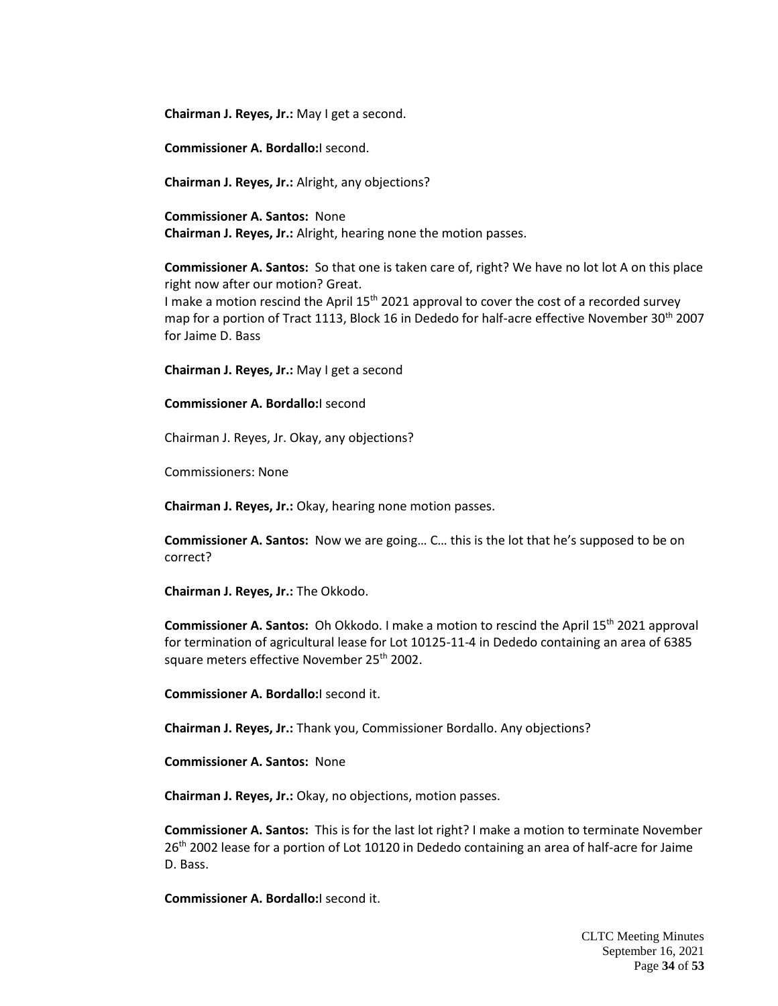**Chairman J. Reyes, Jr.:** May I get a second.

**Commissioner A. Bordallo:**I second.

**Chairman J. Reyes, Jr.:** Alright, any objections?

**Commissioner A. Santos:** None **Chairman J. Reyes, Jr.:** Alright, hearing none the motion passes.

**Commissioner A. Santos:** So that one is taken care of, right? We have no lot lot A on this place right now after our motion? Great. I make a motion rescind the April  $15<sup>th</sup> 2021$  approval to cover the cost of a recorded survey

map for a portion of Tract 1113, Block 16 in Dededo for half-acre effective November 30<sup>th</sup> 2007 for Jaime D. Bass

**Chairman J. Reyes, Jr.:** May I get a second

## **Commissioner A. Bordallo:**I second

Chairman J. Reyes, Jr. Okay, any objections?

Commissioners: None

**Chairman J. Reyes, Jr.:** Okay, hearing none motion passes.

**Commissioner A. Santos:** Now we are going… C… this is the lot that he's supposed to be on correct?

**Chairman J. Reyes, Jr.:** The Okkodo.

**Commissioner A. Santos:** Oh Okkodo. I make a motion to rescind the April 15<sup>th</sup> 2021 approval for termination of agricultural lease for Lot 10125-11-4 in Dededo containing an area of 6385 square meters effective November 25<sup>th</sup> 2002.

**Commissioner A. Bordallo:**I second it.

**Chairman J. Reyes, Jr.:** Thank you, Commissioner Bordallo. Any objections?

**Commissioner A. Santos:** None

**Chairman J. Reyes, Jr.:** Okay, no objections, motion passes.

**Commissioner A. Santos:** This is for the last lot right? I make a motion to terminate November 26<sup>th</sup> 2002 lease for a portion of Lot 10120 in Dededo containing an area of half-acre for Jaime D. Bass.

**Commissioner A. Bordallo:**I second it.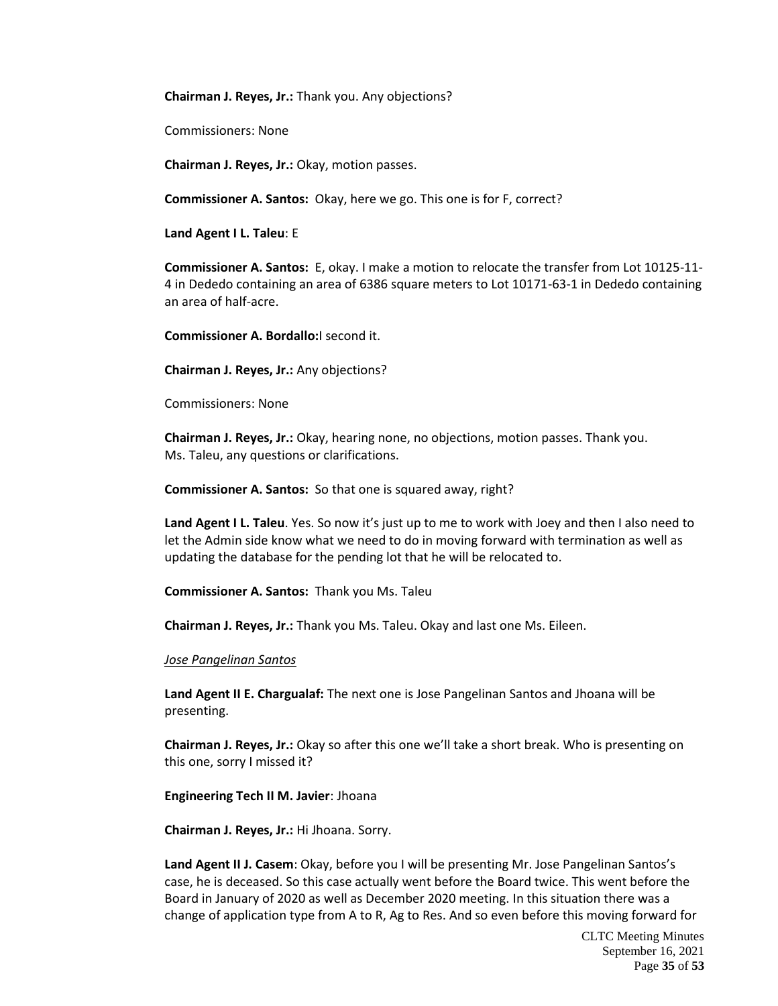**Chairman J. Reyes, Jr.:** Thank you. Any objections?

Commissioners: None

**Chairman J. Reyes, Jr.:** Okay, motion passes.

**Commissioner A. Santos:** Okay, here we go. This one is for F, correct?

**Land Agent I L. Taleu**: E

**Commissioner A. Santos:** E, okay. I make a motion to relocate the transfer from Lot 10125-11- 4 in Dededo containing an area of 6386 square meters to Lot 10171-63-1 in Dededo containing an area of half-acre.

**Commissioner A. Bordallo:**I second it.

**Chairman J. Reyes, Jr.:** Any objections?

Commissioners: None

**Chairman J. Reyes, Jr.:** Okay, hearing none, no objections, motion passes. Thank you. Ms. Taleu, any questions or clarifications.

**Commissioner A. Santos:** So that one is squared away, right?

**Land Agent I L. Taleu**. Yes. So now it's just up to me to work with Joey and then I also need to let the Admin side know what we need to do in moving forward with termination as well as updating the database for the pending lot that he will be relocated to.

**Commissioner A. Santos:** Thank you Ms. Taleu

**Chairman J. Reyes, Jr.:** Thank you Ms. Taleu. Okay and last one Ms. Eileen.

#### *Jose Pangelinan Santos*

**Land Agent II E. Chargualaf:** The next one is Jose Pangelinan Santos and Jhoana will be presenting.

**Chairman J. Reyes, Jr.:** Okay so after this one we'll take a short break. Who is presenting on this one, sorry I missed it?

**Engineering Tech II M. Javier**: Jhoana

**Chairman J. Reyes, Jr.:** Hi Jhoana. Sorry.

**Land Agent II J. Casem**: Okay, before you I will be presenting Mr. Jose Pangelinan Santos's case, he is deceased. So this case actually went before the Board twice. This went before the Board in January of 2020 as well as December 2020 meeting. In this situation there was a change of application type from A to R, Ag to Res. And so even before this moving forward for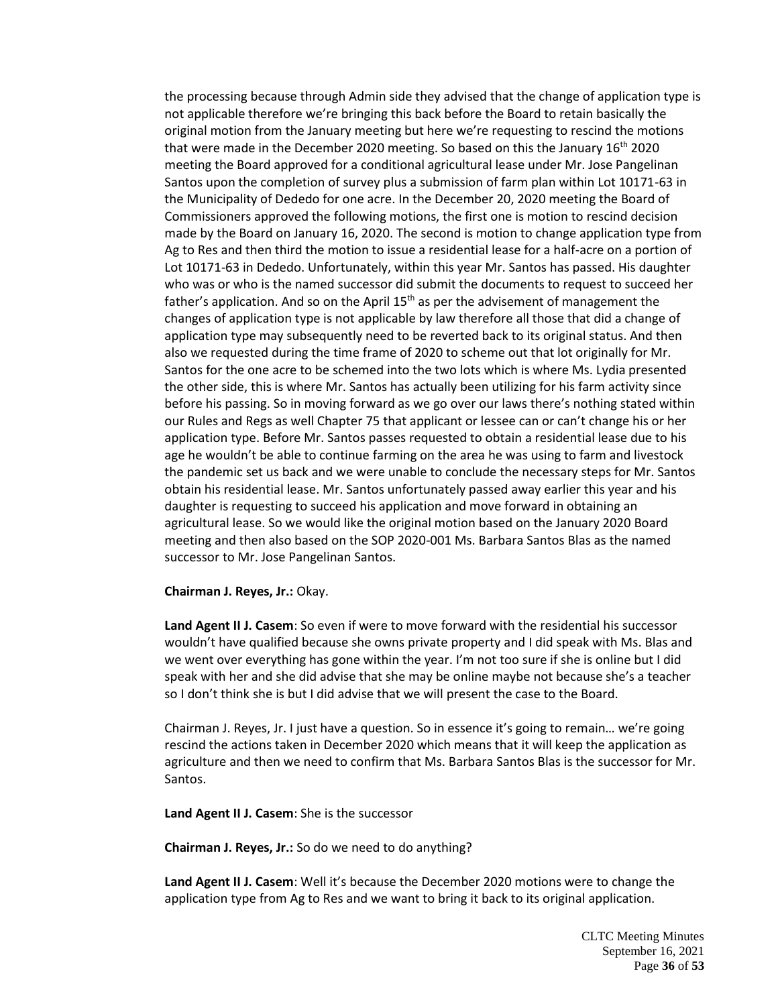the processing because through Admin side they advised that the change of application type is not applicable therefore we're bringing this back before the Board to retain basically the original motion from the January meeting but here we're requesting to rescind the motions that were made in the December 2020 meeting. So based on this the January  $16^{th}$  2020 meeting the Board approved for a conditional agricultural lease under Mr. Jose Pangelinan Santos upon the completion of survey plus a submission of farm plan within Lot 10171-63 in the Municipality of Dededo for one acre. In the December 20, 2020 meeting the Board of Commissioners approved the following motions, the first one is motion to rescind decision made by the Board on January 16, 2020. The second is motion to change application type from Ag to Res and then third the motion to issue a residential lease for a half-acre on a portion of Lot 10171-63 in Dededo. Unfortunately, within this year Mr. Santos has passed. His daughter who was or who is the named successor did submit the documents to request to succeed her father's application. And so on the April  $15<sup>th</sup>$  as per the advisement of management the changes of application type is not applicable by law therefore all those that did a change of application type may subsequently need to be reverted back to its original status. And then also we requested during the time frame of 2020 to scheme out that lot originally for Mr. Santos for the one acre to be schemed into the two lots which is where Ms. Lydia presented the other side, this is where Mr. Santos has actually been utilizing for his farm activity since before his passing. So in moving forward as we go over our laws there's nothing stated within our Rules and Regs as well Chapter 75 that applicant or lessee can or can't change his or her application type. Before Mr. Santos passes requested to obtain a residential lease due to his age he wouldn't be able to continue farming on the area he was using to farm and livestock the pandemic set us back and we were unable to conclude the necessary steps for Mr. Santos obtain his residential lease. Mr. Santos unfortunately passed away earlier this year and his daughter is requesting to succeed his application and move forward in obtaining an agricultural lease. So we would like the original motion based on the January 2020 Board meeting and then also based on the SOP 2020-001 Ms. Barbara Santos Blas as the named successor to Mr. Jose Pangelinan Santos.

## **Chairman J. Reyes, Jr.:** Okay.

**Land Agent II J. Casem**: So even if were to move forward with the residential his successor wouldn't have qualified because she owns private property and I did speak with Ms. Blas and we went over everything has gone within the year. I'm not too sure if she is online but I did speak with her and she did advise that she may be online maybe not because she's a teacher so I don't think she is but I did advise that we will present the case to the Board.

Chairman J. Reyes, Jr. I just have a question. So in essence it's going to remain… we're going rescind the actions taken in December 2020 which means that it will keep the application as agriculture and then we need to confirm that Ms. Barbara Santos Blas is the successor for Mr. Santos.

**Land Agent II J. Casem**: She is the successor

**Chairman J. Reyes, Jr.:** So do we need to do anything?

**Land Agent II J. Casem**: Well it's because the December 2020 motions were to change the application type from Ag to Res and we want to bring it back to its original application.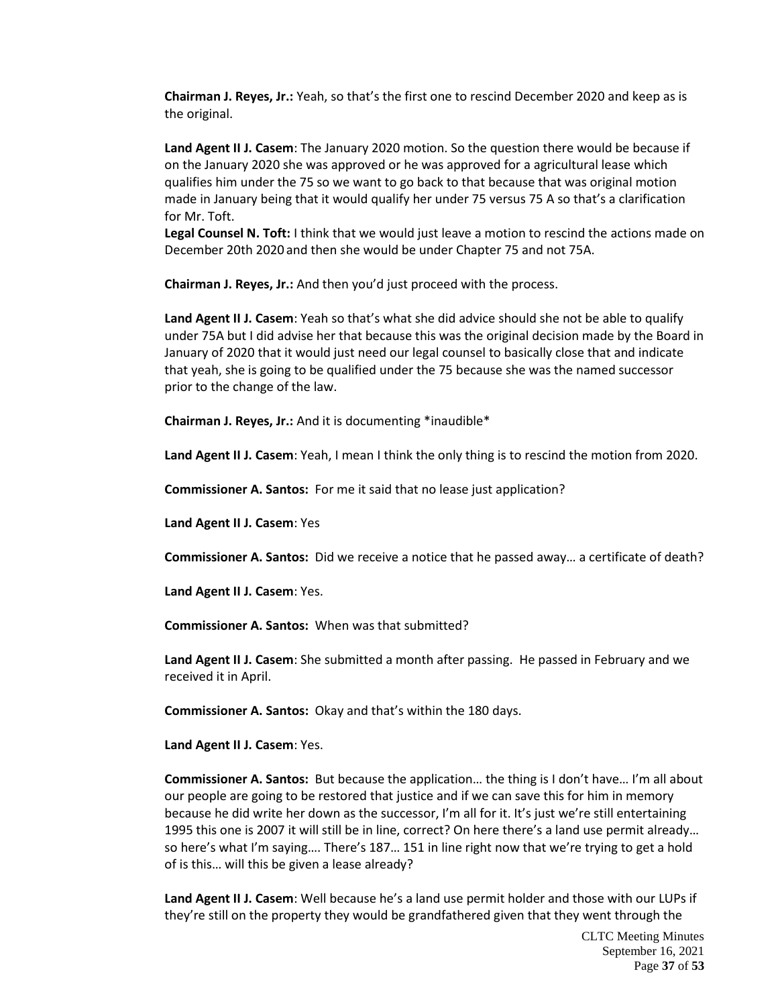**Chairman J. Reyes, Jr.:** Yeah, so that's the first one to rescind December 2020 and keep as is the original.

**Land Agent II J. Casem**: The January 2020 motion. So the question there would be because if on the January 2020 she was approved or he was approved for a agricultural lease which qualifies him under the 75 so we want to go back to that because that was original motion made in January being that it would qualify her under 75 versus 75 A so that's a clarification for Mr. Toft.

**Legal Counsel N. Toft:** I think that we would just leave a motion to rescind the actions made on December 20th 2020 and then she would be under Chapter 75 and not 75A.

**Chairman J. Reyes, Jr.:** And then you'd just proceed with the process.

**Land Agent II J. Casem**: Yeah so that's what she did advice should she not be able to qualify under 75A but I did advise her that because this was the original decision made by the Board in January of 2020 that it would just need our legal counsel to basically close that and indicate that yeah, she is going to be qualified under the 75 because she was the named successor prior to the change of the law.

**Chairman J. Reyes, Jr.:** And it is documenting \*inaudible\*

**Land Agent II J. Casem**: Yeah, I mean I think the only thing is to rescind the motion from 2020.

**Commissioner A. Santos:** For me it said that no lease just application?

**Land Agent II J. Casem**: Yes

**Commissioner A. Santos:** Did we receive a notice that he passed away… a certificate of death?

**Land Agent II J. Casem**: Yes.

**Commissioner A. Santos:** When was that submitted?

**Land Agent II J. Casem**: She submitted a month after passing. He passed in February and we received it in April.

**Commissioner A. Santos:** Okay and that's within the 180 days.

**Land Agent II J. Casem**: Yes.

**Commissioner A. Santos:** But because the application… the thing is I don't have… I'm all about our people are going to be restored that justice and if we can save this for him in memory because he did write her down as the successor, I'm all for it. It's just we're still entertaining 1995 this one is 2007 it will still be in line, correct? On here there's a land use permit already… so here's what I'm saying…. There's 187… 151 in line right now that we're trying to get a hold of is this… will this be given a lease already?

**Land Agent II J. Casem**: Well because he's a land use permit holder and those with our LUPs if they're still on the property they would be grandfathered given that they went through the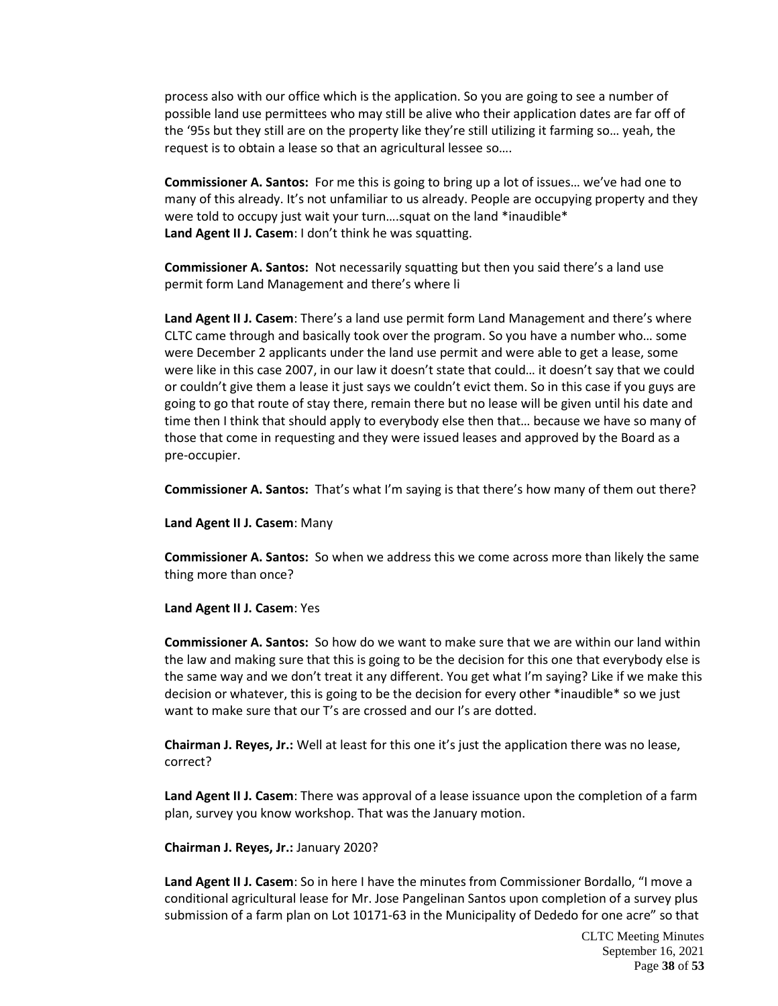process also with our office which is the application. So you are going to see a number of possible land use permittees who may still be alive who their application dates are far off of the '95s but they still are on the property like they're still utilizing it farming so… yeah, the request is to obtain a lease so that an agricultural lessee so….

**Commissioner A. Santos:** For me this is going to bring up a lot of issues… we've had one to many of this already. It's not unfamiliar to us already. People are occupying property and they were told to occupy just wait your turn....squat on the land \*inaudible\* **Land Agent II J. Casem**: I don't think he was squatting.

**Commissioner A. Santos:** Not necessarily squatting but then you said there's a land use permit form Land Management and there's where li

**Land Agent II J. Casem**: There's a land use permit form Land Management and there's where CLTC came through and basically took over the program. So you have a number who… some were December 2 applicants under the land use permit and were able to get a lease, some were like in this case 2007, in our law it doesn't state that could… it doesn't say that we could or couldn't give them a lease it just says we couldn't evict them. So in this case if you guys are going to go that route of stay there, remain there but no lease will be given until his date and time then I think that should apply to everybody else then that… because we have so many of those that come in requesting and they were issued leases and approved by the Board as a pre-occupier.

**Commissioner A. Santos:** That's what I'm saying is that there's how many of them out there?

**Land Agent II J. Casem**: Many

**Commissioner A. Santos:** So when we address this we come across more than likely the same thing more than once?

**Land Agent II J. Casem**: Yes

**Commissioner A. Santos:** So how do we want to make sure that we are within our land within the law and making sure that this is going to be the decision for this one that everybody else is the same way and we don't treat it any different. You get what I'm saying? Like if we make this decision or whatever, this is going to be the decision for every other \*inaudible\* so we just want to make sure that our T's are crossed and our I's are dotted.

**Chairman J. Reyes, Jr.:** Well at least for this one it's just the application there was no lease, correct?

**Land Agent II J. Casem**: There was approval of a lease issuance upon the completion of a farm plan, survey you know workshop. That was the January motion.

**Chairman J. Reyes, Jr.:** January 2020?

**Land Agent II J. Casem**: So in here I have the minutes from Commissioner Bordallo, "I move a conditional agricultural lease for Mr. Jose Pangelinan Santos upon completion of a survey plus submission of a farm plan on Lot 10171-63 in the Municipality of Dededo for one acre" so that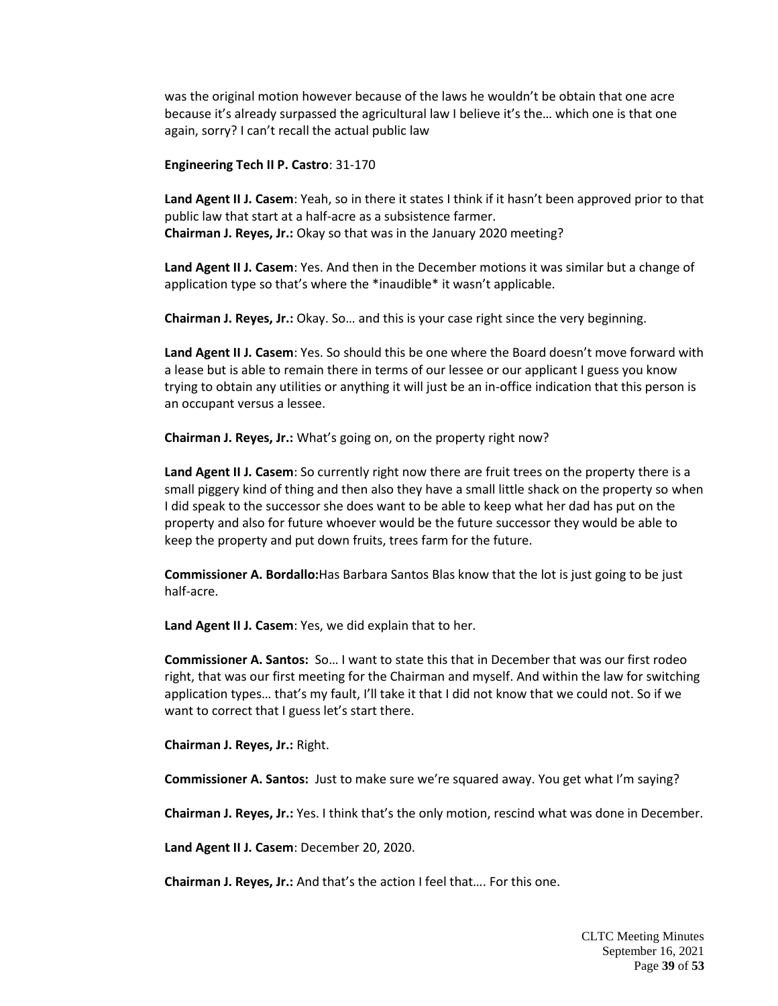was the original motion however because of the laws he wouldn't be obtain that one acre because it's already surpassed the agricultural law I believe it's the… which one is that one again, sorry? I can't recall the actual public law

# **Engineering Tech II P. Castro**: 31-170

**Land Agent II J. Casem**: Yeah, so in there it states I think if it hasn't been approved prior to that public law that start at a half-acre as a subsistence farmer. **Chairman J. Reyes, Jr.:** Okay so that was in the January 2020 meeting?

**Land Agent II J. Casem**: Yes. And then in the December motions it was similar but a change of application type so that's where the \*inaudible\* it wasn't applicable.

**Chairman J. Reyes, Jr.:** Okay. So… and this is your case right since the very beginning.

**Land Agent II J. Casem**: Yes. So should this be one where the Board doesn't move forward with a lease but is able to remain there in terms of our lessee or our applicant I guess you know trying to obtain any utilities or anything it will just be an in-office indication that this person is an occupant versus a lessee.

**Chairman J. Reyes, Jr.:** What's going on, on the property right now?

**Land Agent II J. Casem**: So currently right now there are fruit trees on the property there is a small piggery kind of thing and then also they have a small little shack on the property so when I did speak to the successor she does want to be able to keep what her dad has put on the property and also for future whoever would be the future successor they would be able to keep the property and put down fruits, trees farm for the future.

**Commissioner A. Bordallo:**Has Barbara Santos Blas know that the lot is just going to be just half-acre.

**Land Agent II J. Casem**: Yes, we did explain that to her.

**Commissioner A. Santos:** So… I want to state this that in December that was our first rodeo right, that was our first meeting for the Chairman and myself. And within the law for switching application types… that's my fault, I'll take it that I did not know that we could not. So if we want to correct that I guess let's start there.

**Chairman J. Reyes, Jr.:** Right.

**Commissioner A. Santos:** Just to make sure we're squared away. You get what I'm saying?

**Chairman J. Reyes, Jr.:** Yes. I think that's the only motion, rescind what was done in December.

**Land Agent II J. Casem**: December 20, 2020.

**Chairman J. Reyes, Jr.:** And that's the action I feel that…. For this one.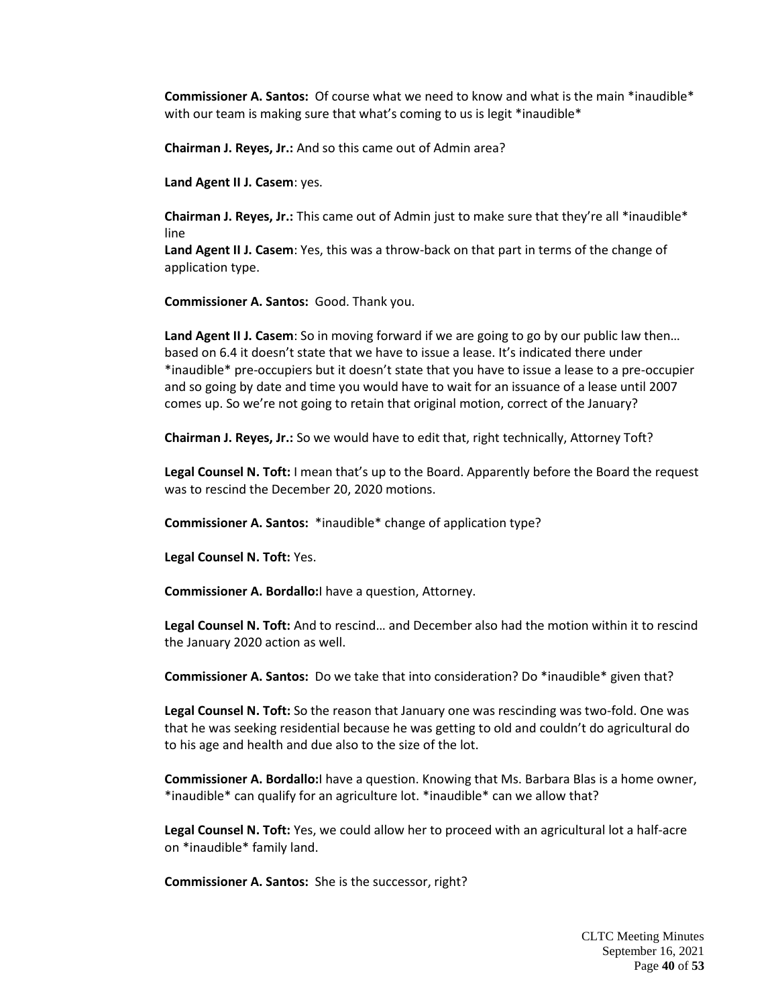**Commissioner A. Santos:** Of course what we need to know and what is the main \*inaudible\* with our team is making sure that what's coming to us is legit \*inaudible\*

**Chairman J. Reyes, Jr.:** And so this came out of Admin area?

**Land Agent II J. Casem**: yes.

**Chairman J. Reyes, Jr.:** This came out of Admin just to make sure that they're all \*inaudible\* line

**Land Agent II J. Casem**: Yes, this was a throw-back on that part in terms of the change of application type.

**Commissioner A. Santos:** Good. Thank you.

**Land Agent II J. Casem**: So in moving forward if we are going to go by our public law then… based on 6.4 it doesn't state that we have to issue a lease. It's indicated there under \*inaudible\* pre-occupiers but it doesn't state that you have to issue a lease to a pre-occupier and so going by date and time you would have to wait for an issuance of a lease until 2007 comes up. So we're not going to retain that original motion, correct of the January?

**Chairman J. Reyes, Jr.:** So we would have to edit that, right technically, Attorney Toft?

**Legal Counsel N. Toft:** I mean that's up to the Board. Apparently before the Board the request was to rescind the December 20, 2020 motions.

**Commissioner A. Santos:** \*inaudible\* change of application type?

**Legal Counsel N. Toft:** Yes.

**Commissioner A. Bordallo:**I have a question, Attorney.

**Legal Counsel N. Toft:** And to rescind… and December also had the motion within it to rescind the January 2020 action as well.

**Commissioner A. Santos:** Do we take that into consideration? Do \*inaudible\* given that?

**Legal Counsel N. Toft:** So the reason that January one was rescinding was two-fold. One was that he was seeking residential because he was getting to old and couldn't do agricultural do to his age and health and due also to the size of the lot.

**Commissioner A. Bordallo:**I have a question. Knowing that Ms. Barbara Blas is a home owner, \*inaudible\* can qualify for an agriculture lot. \*inaudible\* can we allow that?

**Legal Counsel N. Toft:** Yes, we could allow her to proceed with an agricultural lot a half-acre on \*inaudible\* family land.

**Commissioner A. Santos:** She is the successor, right?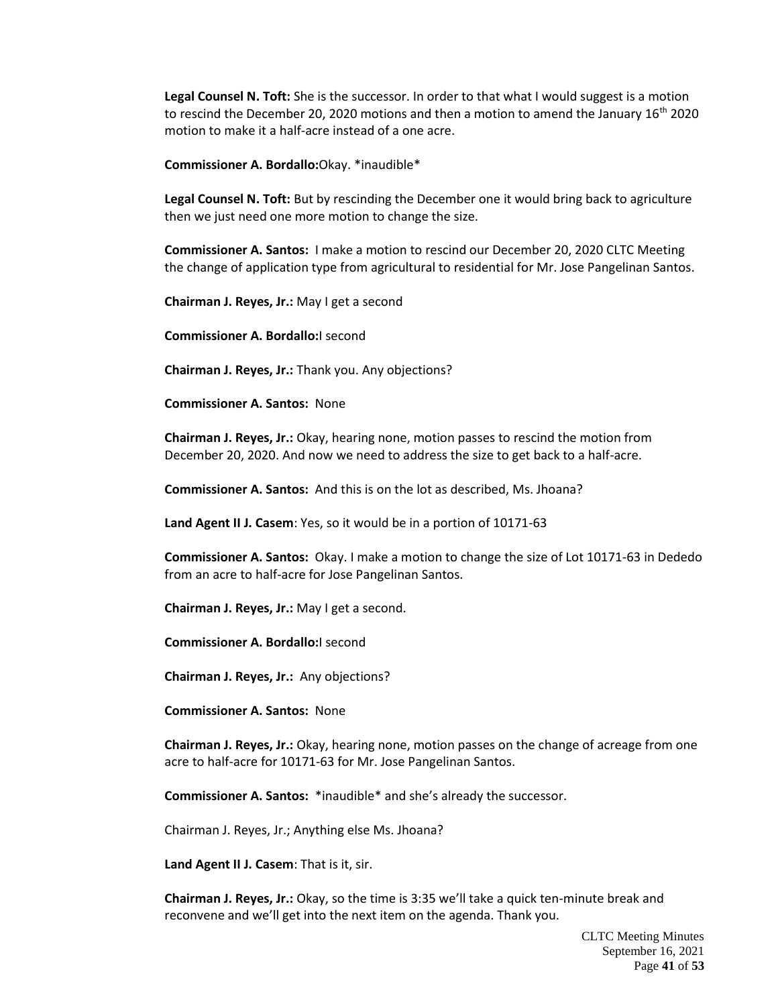**Legal Counsel N. Toft:** She is the successor. In order to that what I would suggest is a motion to rescind the December 20, 2020 motions and then a motion to amend the January  $16<sup>th</sup>$  2020 motion to make it a half-acre instead of a one acre.

**Commissioner A. Bordallo:**Okay. \*inaudible\*

**Legal Counsel N. Toft:** But by rescinding the December one it would bring back to agriculture then we just need one more motion to change the size.

**Commissioner A. Santos:** I make a motion to rescind our December 20, 2020 CLTC Meeting the change of application type from agricultural to residential for Mr. Jose Pangelinan Santos.

**Chairman J. Reyes, Jr.:** May I get a second

**Commissioner A. Bordallo:**I second

**Chairman J. Reyes, Jr.:** Thank you. Any objections?

**Commissioner A. Santos:** None

**Chairman J. Reyes, Jr.:** Okay, hearing none, motion passes to rescind the motion from December 20, 2020. And now we need to address the size to get back to a half-acre.

**Commissioner A. Santos:** And this is on the lot as described, Ms. Jhoana?

**Land Agent II J. Casem**: Yes, so it would be in a portion of 10171-63

**Commissioner A. Santos:** Okay. I make a motion to change the size of Lot 10171-63 in Dededo from an acre to half-acre for Jose Pangelinan Santos.

**Chairman J. Reyes, Jr.:** May I get a second.

**Commissioner A. Bordallo:**I second

**Chairman J. Reyes, Jr.:** Any objections?

**Commissioner A. Santos:** None

**Chairman J. Reyes, Jr.:** Okay, hearing none, motion passes on the change of acreage from one acre to half-acre for 10171-63 for Mr. Jose Pangelinan Santos.

**Commissioner A. Santos:** \*inaudible\* and she's already the successor.

Chairman J. Reyes, Jr.; Anything else Ms. Jhoana?

**Land Agent II J. Casem**: That is it, sir.

**Chairman J. Reyes, Jr.:** Okay, so the time is 3:35 we'll take a quick ten-minute break and reconvene and we'll get into the next item on the agenda. Thank you.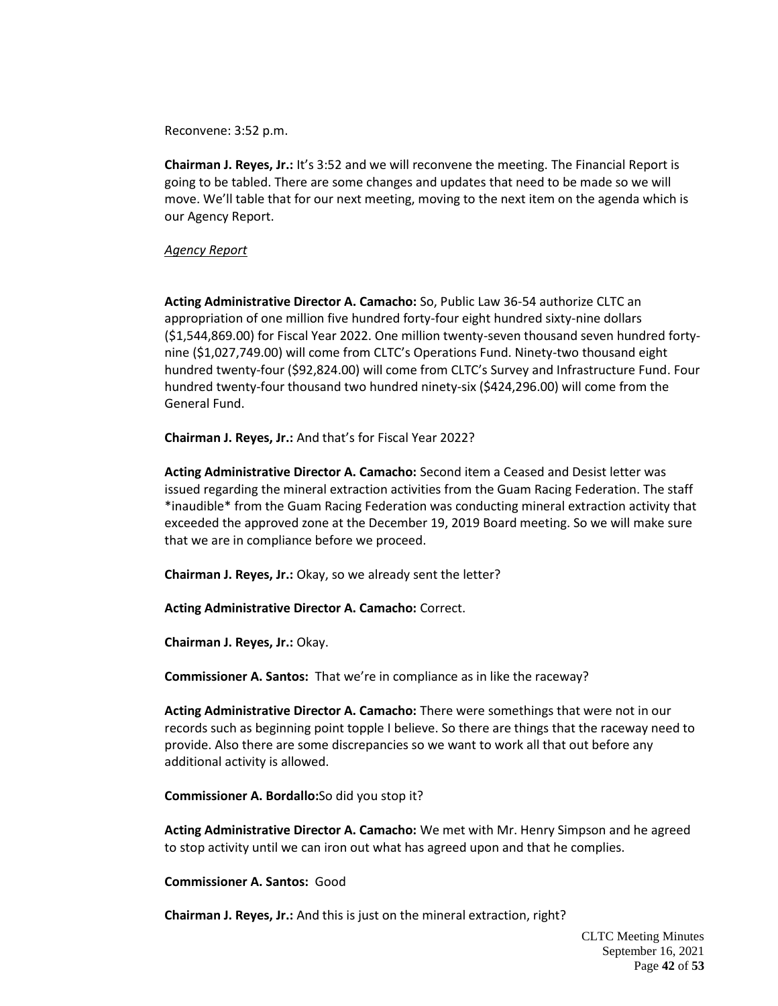Reconvene: 3:52 p.m.

**Chairman J. Reyes, Jr.:** It's 3:52 and we will reconvene the meeting. The Financial Report is going to be tabled. There are some changes and updates that need to be made so we will move. We'll table that for our next meeting, moving to the next item on the agenda which is our Agency Report.

## *Agency Report*

**Acting Administrative Director A. Camacho:** So, Public Law 36-54 authorize CLTC an appropriation of one million five hundred forty-four eight hundred sixty-nine dollars (\$1,544,869.00) for Fiscal Year 2022. One million twenty-seven thousand seven hundred fortynine (\$1,027,749.00) will come from CLTC's Operations Fund. Ninety-two thousand eight hundred twenty-four (\$92,824.00) will come from CLTC's Survey and Infrastructure Fund. Four hundred twenty-four thousand two hundred ninety-six (\$424,296.00) will come from the General Fund.

**Chairman J. Reyes, Jr.:** And that's for Fiscal Year 2022?

**Acting Administrative Director A. Camacho:** Second item a Ceased and Desist letter was issued regarding the mineral extraction activities from the Guam Racing Federation. The staff \*inaudible\* from the Guam Racing Federation was conducting mineral extraction activity that exceeded the approved zone at the December 19, 2019 Board meeting. So we will make sure that we are in compliance before we proceed.

**Chairman J. Reyes, Jr.:** Okay, so we already sent the letter?

**Acting Administrative Director A. Camacho:** Correct.

**Chairman J. Reyes, Jr.:** Okay.

**Commissioner A. Santos:** That we're in compliance as in like the raceway?

**Acting Administrative Director A. Camacho:** There were somethings that were not in our records such as beginning point topple I believe. So there are things that the raceway need to provide. Also there are some discrepancies so we want to work all that out before any additional activity is allowed.

**Commissioner A. Bordallo:**So did you stop it?

**Acting Administrative Director A. Camacho:** We met with Mr. Henry Simpson and he agreed to stop activity until we can iron out what has agreed upon and that he complies.

**Commissioner A. Santos:** Good

**Chairman J. Reyes, Jr.:** And this is just on the mineral extraction, right?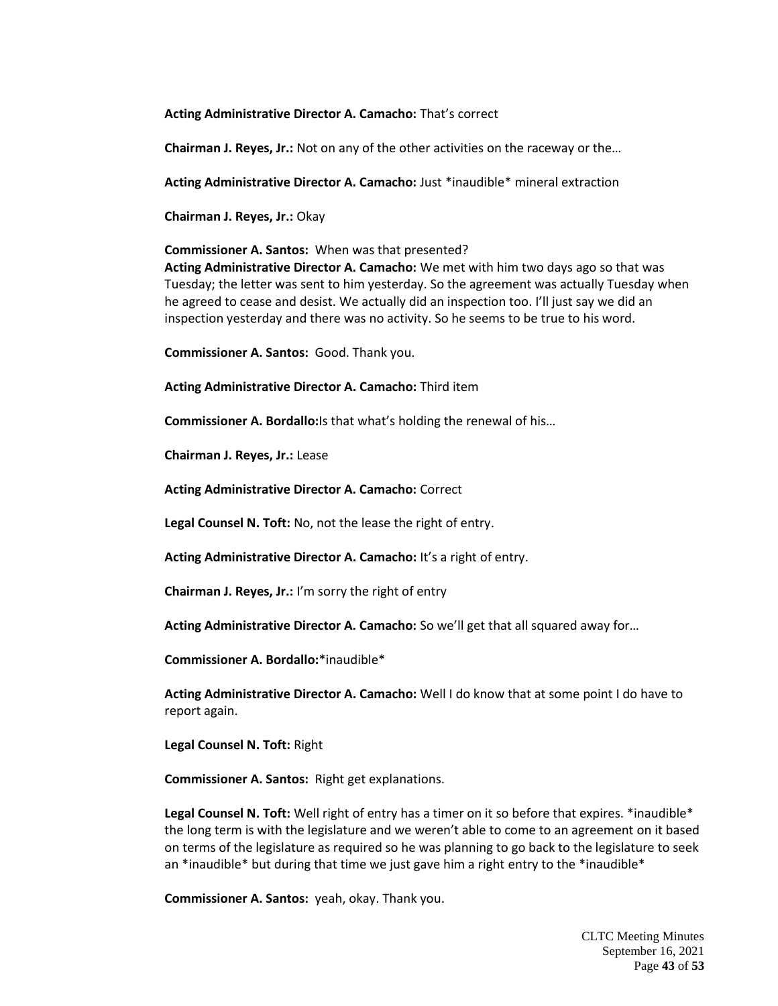# **Acting Administrative Director A. Camacho:** That's correct

**Chairman J. Reyes, Jr.:** Not on any of the other activities on the raceway or the…

**Acting Administrative Director A. Camacho:** Just \*inaudible\* mineral extraction

**Chairman J. Reyes, Jr.:** Okay

**Commissioner A. Santos:** When was that presented?

**Acting Administrative Director A. Camacho:** We met with him two days ago so that was Tuesday; the letter was sent to him yesterday. So the agreement was actually Tuesday when he agreed to cease and desist. We actually did an inspection too. I'll just say we did an inspection yesterday and there was no activity. So he seems to be true to his word.

**Commissioner A. Santos:** Good. Thank you.

**Acting Administrative Director A. Camacho:** Third item

**Commissioner A. Bordallo:**Is that what's holding the renewal of his…

**Chairman J. Reyes, Jr.:** Lease

**Acting Administrative Director A. Camacho:** Correct

**Legal Counsel N. Toft:** No, not the lease the right of entry.

**Acting Administrative Director A. Camacho:** It's a right of entry.

**Chairman J. Reyes, Jr.:** I'm sorry the right of entry

**Acting Administrative Director A. Camacho:** So we'll get that all squared away for…

**Commissioner A. Bordallo:**\*inaudible\*

**Acting Administrative Director A. Camacho:** Well I do know that at some point I do have to report again.

**Legal Counsel N. Toft:** Right

**Commissioner A. Santos:** Right get explanations.

Legal Counsel N. Toft: Well right of entry has a timer on it so before that expires. \*inaudible\* the long term is with the legislature and we weren't able to come to an agreement on it based on terms of the legislature as required so he was planning to go back to the legislature to seek an \*inaudible\* but during that time we just gave him a right entry to the \*inaudible\*

**Commissioner A. Santos:** yeah, okay. Thank you.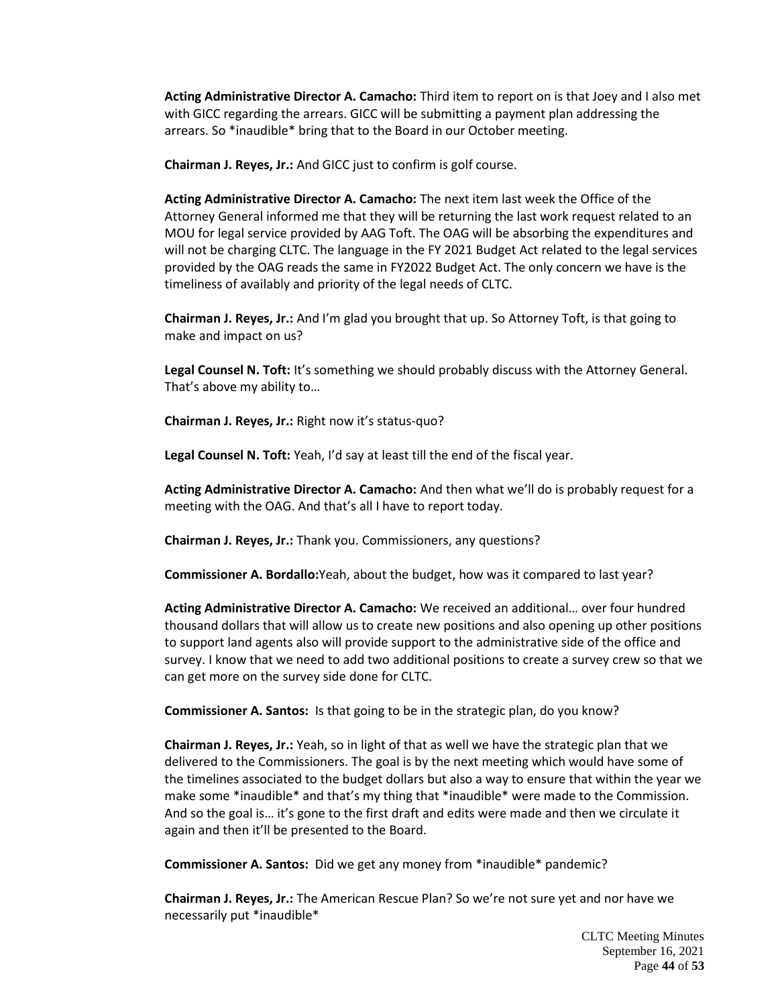**Acting Administrative Director A. Camacho:** Third item to report on is that Joey and I also met with GICC regarding the arrears. GICC will be submitting a payment plan addressing the arrears. So \*inaudible\* bring that to the Board in our October meeting.

**Chairman J. Reyes, Jr.:** And GICC just to confirm is golf course.

**Acting Administrative Director A. Camacho:** The next item last week the Office of the Attorney General informed me that they will be returning the last work request related to an MOU for legal service provided by AAG Toft. The OAG will be absorbing the expenditures and will not be charging CLTC. The language in the FY 2021 Budget Act related to the legal services provided by the OAG reads the same in FY2022 Budget Act. The only concern we have is the timeliness of availably and priority of the legal needs of CLTC.

**Chairman J. Reyes, Jr.:** And I'm glad you brought that up. So Attorney Toft, is that going to make and impact on us?

Legal Counsel N. Toft: It's something we should probably discuss with the Attorney General. That's above my ability to…

**Chairman J. Reyes, Jr.:** Right now it's status-quo?

**Legal Counsel N. Toft:** Yeah, I'd say at least till the end of the fiscal year.

**Acting Administrative Director A. Camacho:** And then what we'll do is probably request for a meeting with the OAG. And that's all I have to report today.

**Chairman J. Reyes, Jr.:** Thank you. Commissioners, any questions?

**Commissioner A. Bordallo:**Yeah, about the budget, how was it compared to last year?

**Acting Administrative Director A. Camacho:** We received an additional… over four hundred thousand dollars that will allow us to create new positions and also opening up other positions to support land agents also will provide support to the administrative side of the office and survey. I know that we need to add two additional positions to create a survey crew so that we can get more on the survey side done for CLTC.

**Commissioner A. Santos:** Is that going to be in the strategic plan, do you know?

**Chairman J. Reyes, Jr.:** Yeah, so in light of that as well we have the strategic plan that we delivered to the Commissioners. The goal is by the next meeting which would have some of the timelines associated to the budget dollars but also a way to ensure that within the year we make some \*inaudible\* and that's my thing that \*inaudible\* were made to the Commission. And so the goal is… it's gone to the first draft and edits were made and then we circulate it again and then it'll be presented to the Board.

**Commissioner A. Santos:** Did we get any money from \*inaudible\* pandemic?

**Chairman J. Reyes, Jr.:** The American Rescue Plan? So we're not sure yet and nor have we necessarily put \*inaudible\*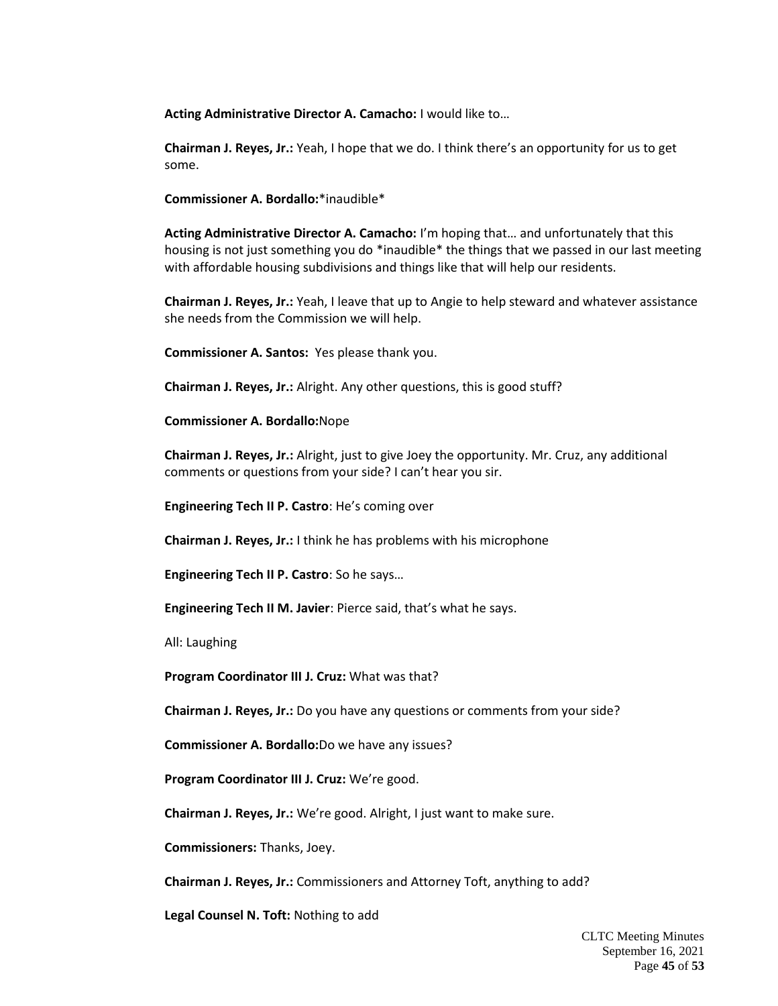**Acting Administrative Director A. Camacho:** I would like to…

**Chairman J. Reyes, Jr.:** Yeah, I hope that we do. I think there's an opportunity for us to get some.

**Commissioner A. Bordallo:**\*inaudible\*

**Acting Administrative Director A. Camacho:** I'm hoping that… and unfortunately that this housing is not just something you do \*inaudible\* the things that we passed in our last meeting with affordable housing subdivisions and things like that will help our residents.

**Chairman J. Reyes, Jr.:** Yeah, I leave that up to Angie to help steward and whatever assistance she needs from the Commission we will help.

**Commissioner A. Santos:** Yes please thank you.

**Chairman J. Reyes, Jr.:** Alright. Any other questions, this is good stuff?

**Commissioner A. Bordallo:**Nope

**Chairman J. Reyes, Jr.:** Alright, just to give Joey the opportunity. Mr. Cruz, any additional comments or questions from your side? I can't hear you sir.

**Engineering Tech II P. Castro**: He's coming over

**Chairman J. Reyes, Jr.:** I think he has problems with his microphone

**Engineering Tech II P. Castro**: So he says…

**Engineering Tech II M. Javier**: Pierce said, that's what he says.

All: Laughing

**Program Coordinator III J. Cruz:** What was that?

**Chairman J. Reyes, Jr.:** Do you have any questions or comments from your side?

**Commissioner A. Bordallo:**Do we have any issues?

**Program Coordinator III J. Cruz:** We're good.

**Chairman J. Reyes, Jr.:** We're good. Alright, I just want to make sure.

**Commissioners:** Thanks, Joey.

**Chairman J. Reyes, Jr.:** Commissioners and Attorney Toft, anything to add?

**Legal Counsel N. Toft:** Nothing to add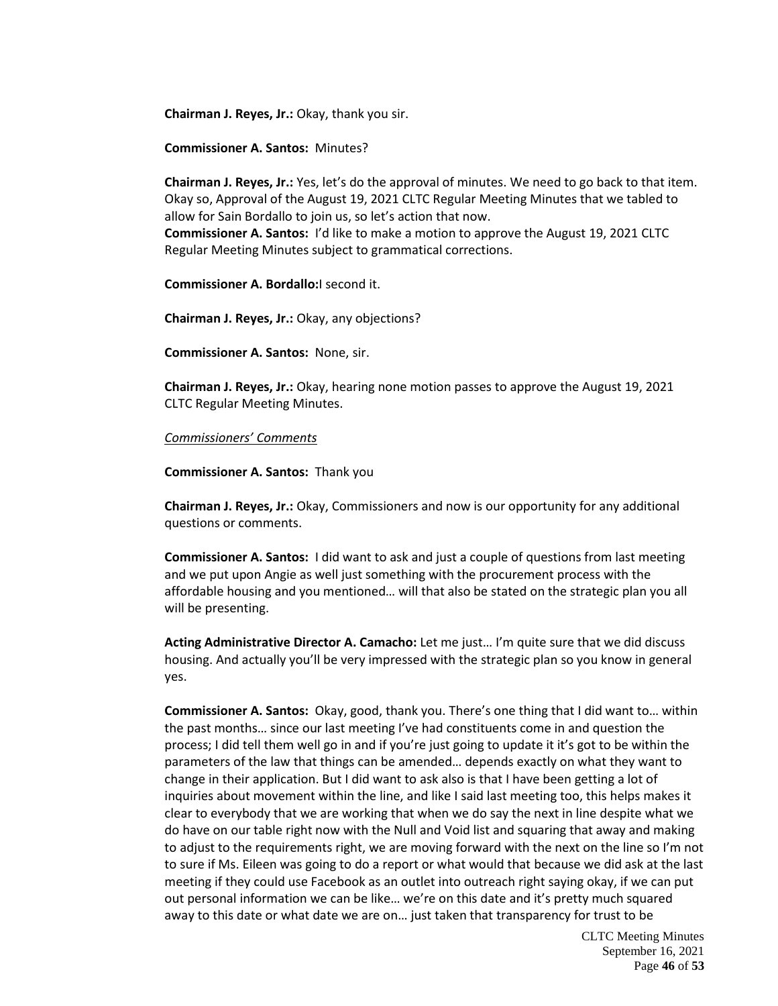**Chairman J. Reyes, Jr.:** Okay, thank you sir.

**Commissioner A. Santos:** Minutes?

**Chairman J. Reyes, Jr.:** Yes, let's do the approval of minutes. We need to go back to that item. Okay so, Approval of the August 19, 2021 CLTC Regular Meeting Minutes that we tabled to allow for Sain Bordallo to join us, so let's action that now. **Commissioner A. Santos:** I'd like to make a motion to approve the August 19, 2021 CLTC Regular Meeting Minutes subject to grammatical corrections.

**Commissioner A. Bordallo:**I second it.

**Chairman J. Reyes, Jr.:** Okay, any objections?

**Commissioner A. Santos:** None, sir.

**Chairman J. Reyes, Jr.:** Okay, hearing none motion passes to approve the August 19, 2021 CLTC Regular Meeting Minutes.

## *Commissioners' Comments*

**Commissioner A. Santos:** Thank you

**Chairman J. Reyes, Jr.:** Okay, Commissioners and now is our opportunity for any additional questions or comments.

**Commissioner A. Santos:** I did want to ask and just a couple of questions from last meeting and we put upon Angie as well just something with the procurement process with the affordable housing and you mentioned… will that also be stated on the strategic plan you all will be presenting.

**Acting Administrative Director A. Camacho:** Let me just… I'm quite sure that we did discuss housing. And actually you'll be very impressed with the strategic plan so you know in general yes.

**Commissioner A. Santos:** Okay, good, thank you. There's one thing that I did want to… within the past months… since our last meeting I've had constituents come in and question the process; I did tell them well go in and if you're just going to update it it's got to be within the parameters of the law that things can be amended… depends exactly on what they want to change in their application. But I did want to ask also is that I have been getting a lot of inquiries about movement within the line, and like I said last meeting too, this helps makes it clear to everybody that we are working that when we do say the next in line despite what we do have on our table right now with the Null and Void list and squaring that away and making to adjust to the requirements right, we are moving forward with the next on the line so I'm not to sure if Ms. Eileen was going to do a report or what would that because we did ask at the last meeting if they could use Facebook as an outlet into outreach right saying okay, if we can put out personal information we can be like… we're on this date and it's pretty much squared away to this date or what date we are on… just taken that transparency for trust to be

> CLTC Meeting Minutes September 16, 2021 Page **46** of **53**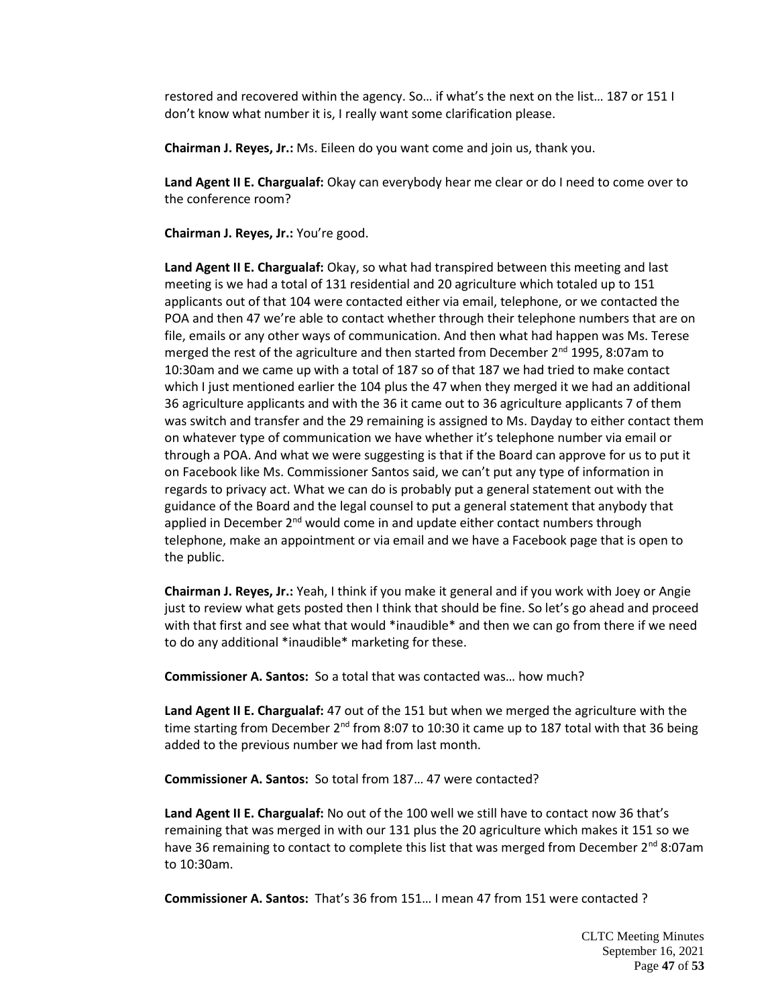restored and recovered within the agency. So… if what's the next on the list… 187 or 151 I don't know what number it is, I really want some clarification please.

**Chairman J. Reyes, Jr.:** Ms. Eileen do you want come and join us, thank you.

**Land Agent II E. Chargualaf:** Okay can everybody hear me clear or do I need to come over to the conference room?

**Chairman J. Reyes, Jr.:** You're good.

**Land Agent II E. Chargualaf:** Okay, so what had transpired between this meeting and last meeting is we had a total of 131 residential and 20 agriculture which totaled up to 151 applicants out of that 104 were contacted either via email, telephone, or we contacted the POA and then 47 we're able to contact whether through their telephone numbers that are on file, emails or any other ways of communication. And then what had happen was Ms. Terese merged the rest of the agriculture and then started from December  $2^{nd}$  1995, 8:07am to 10:30am and we came up with a total of 187 so of that 187 we had tried to make contact which I just mentioned earlier the 104 plus the 47 when they merged it we had an additional 36 agriculture applicants and with the 36 it came out to 36 agriculture applicants 7 of them was switch and transfer and the 29 remaining is assigned to Ms. Dayday to either contact them on whatever type of communication we have whether it's telephone number via email or through a POA. And what we were suggesting is that if the Board can approve for us to put it on Facebook like Ms. Commissioner Santos said, we can't put any type of information in regards to privacy act. What we can do is probably put a general statement out with the guidance of the Board and the legal counsel to put a general statement that anybody that applied in December 2<sup>nd</sup> would come in and update either contact numbers through telephone, make an appointment or via email and we have a Facebook page that is open to the public.

**Chairman J. Reyes, Jr.:** Yeah, I think if you make it general and if you work with Joey or Angie just to review what gets posted then I think that should be fine. So let's go ahead and proceed with that first and see what that would \*inaudible\* and then we can go from there if we need to do any additional \*inaudible\* marketing for these.

**Commissioner A. Santos:** So a total that was contacted was… how much?

**Land Agent II E. Chargualaf:** 47 out of the 151 but when we merged the agriculture with the time starting from December  $2^{nd}$  from 8:07 to 10:30 it came up to 187 total with that 36 being added to the previous number we had from last month.

**Commissioner A. Santos:** So total from 187… 47 were contacted?

**Land Agent II E. Chargualaf:** No out of the 100 well we still have to contact now 36 that's remaining that was merged in with our 131 plus the 20 agriculture which makes it 151 so we have 36 remaining to contact to complete this list that was merged from December  $2^{nd}$  8:07am to 10:30am.

**Commissioner A. Santos:** That's 36 from 151… I mean 47 from 151 were contacted ?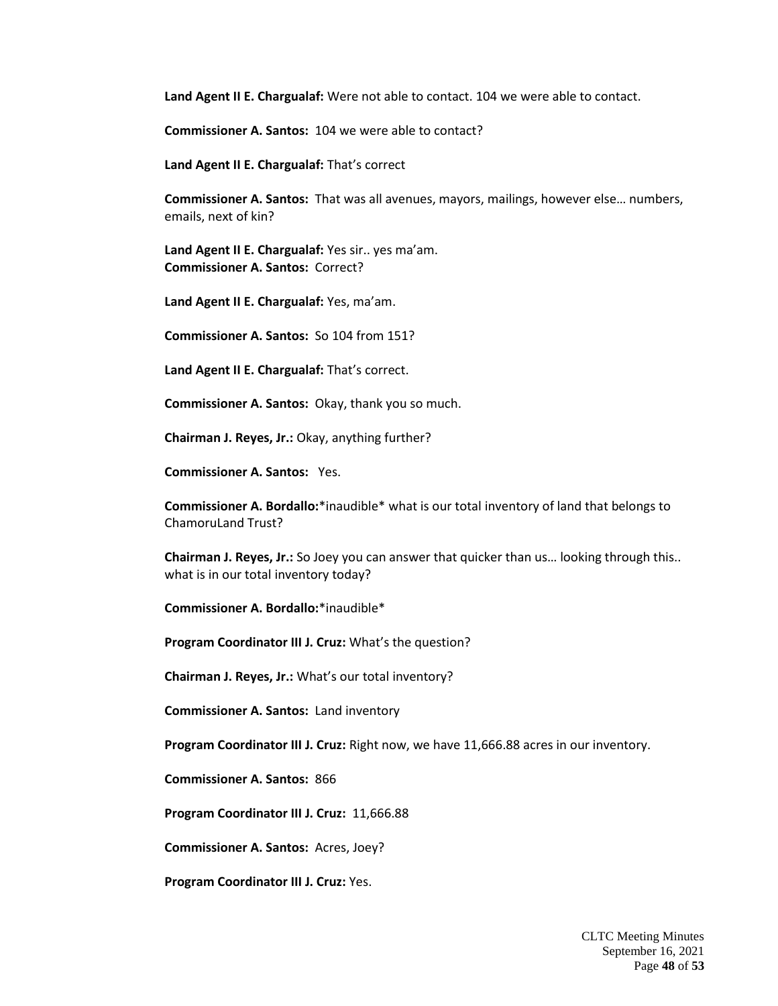**Land Agent II E. Chargualaf:** Were not able to contact. 104 we were able to contact.

**Commissioner A. Santos:** 104 we were able to contact?

**Land Agent II E. Chargualaf:** That's correct

**Commissioner A. Santos:** That was all avenues, mayors, mailings, however else… numbers, emails, next of kin?

**Land Agent II E. Chargualaf:** Yes sir.. yes ma'am. **Commissioner A. Santos:** Correct?

**Land Agent II E. Chargualaf:** Yes, ma'am.

**Commissioner A. Santos:** So 104 from 151?

**Land Agent II E. Chargualaf:** That's correct.

**Commissioner A. Santos:** Okay, thank you so much.

**Chairman J. Reyes, Jr.:** Okay, anything further?

**Commissioner A. Santos:** Yes.

**Commissioner A. Bordallo:**\*inaudible\* what is our total inventory of land that belongs to ChamoruLand Trust?

**Chairman J. Reyes, Jr.:** So Joey you can answer that quicker than us… looking through this.. what is in our total inventory today?

**Commissioner A. Bordallo:**\*inaudible\*

**Program Coordinator III J. Cruz:** What's the question?

**Chairman J. Reyes, Jr.:** What's our total inventory?

**Commissioner A. Santos:** Land inventory

**Program Coordinator III J. Cruz:** Right now, we have 11,666.88 acres in our inventory.

**Commissioner A. Santos:** 866

**Program Coordinator III J. Cruz:** 11,666.88

**Commissioner A. Santos:** Acres, Joey?

**Program Coordinator III J. Cruz:** Yes.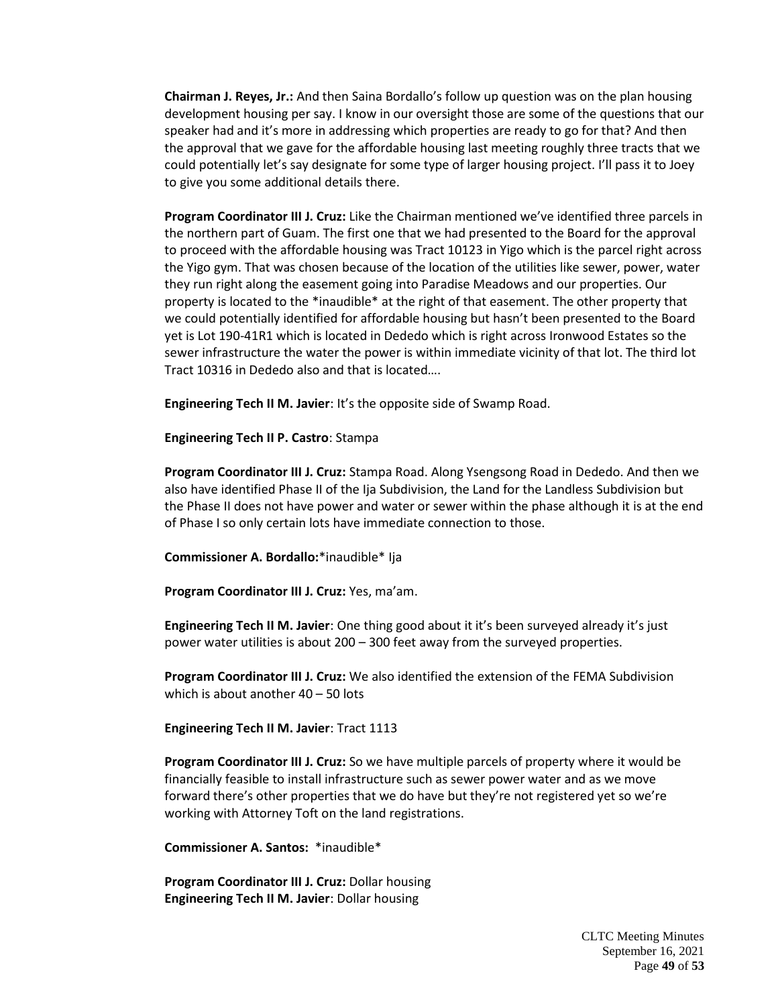**Chairman J. Reyes, Jr.:** And then Saina Bordallo's follow up question was on the plan housing development housing per say. I know in our oversight those are some of the questions that our speaker had and it's more in addressing which properties are ready to go for that? And then the approval that we gave for the affordable housing last meeting roughly three tracts that we could potentially let's say designate for some type of larger housing project. I'll pass it to Joey to give you some additional details there.

**Program Coordinator III J. Cruz:** Like the Chairman mentioned we've identified three parcels in the northern part of Guam. The first one that we had presented to the Board for the approval to proceed with the affordable housing was Tract 10123 in Yigo which is the parcel right across the Yigo gym. That was chosen because of the location of the utilities like sewer, power, water they run right along the easement going into Paradise Meadows and our properties. Our property is located to the \*inaudible\* at the right of that easement. The other property that we could potentially identified for affordable housing but hasn't been presented to the Board yet is Lot 190-41R1 which is located in Dededo which is right across Ironwood Estates so the sewer infrastructure the water the power is within immediate vicinity of that lot. The third lot Tract 10316 in Dededo also and that is located….

**Engineering Tech II M. Javier**: It's the opposite side of Swamp Road.

**Engineering Tech II P. Castro**: Stampa

**Program Coordinator III J. Cruz:** Stampa Road. Along Ysengsong Road in Dededo. And then we also have identified Phase II of the Ija Subdivision, the Land for the Landless Subdivision but the Phase II does not have power and water or sewer within the phase although it is at the end of Phase I so only certain lots have immediate connection to those.

**Commissioner A. Bordallo:**\*inaudible\* Ija

**Program Coordinator III J. Cruz:** Yes, ma'am.

**Engineering Tech II M. Javier**: One thing good about it it's been surveyed already it's just power water utilities is about 200 – 300 feet away from the surveyed properties.

**Program Coordinator III J. Cruz:** We also identified the extension of the FEMA Subdivision which is about another 40 – 50 lots

**Engineering Tech II M. Javier**: Tract 1113

**Program Coordinator III J. Cruz:** So we have multiple parcels of property where it would be financially feasible to install infrastructure such as sewer power water and as we move forward there's other properties that we do have but they're not registered yet so we're working with Attorney Toft on the land registrations.

**Commissioner A. Santos:** \*inaudible\*

**Program Coordinator III J. Cruz:** Dollar housing **Engineering Tech II M. Javier**: Dollar housing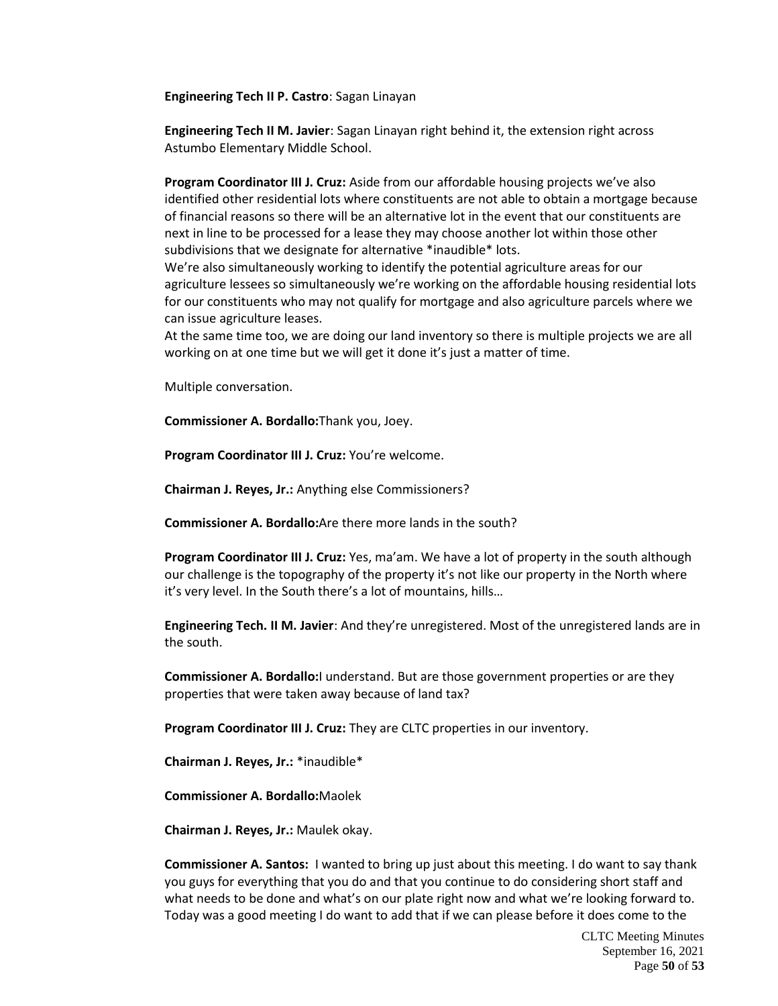**Engineering Tech II P. Castro**: Sagan Linayan

**Engineering Tech II M. Javier**: Sagan Linayan right behind it, the extension right across Astumbo Elementary Middle School.

**Program Coordinator III J. Cruz:** Aside from our affordable housing projects we've also identified other residential lots where constituents are not able to obtain a mortgage because of financial reasons so there will be an alternative lot in the event that our constituents are next in line to be processed for a lease they may choose another lot within those other subdivisions that we designate for alternative \*inaudible\* lots.

We're also simultaneously working to identify the potential agriculture areas for our agriculture lessees so simultaneously we're working on the affordable housing residential lots for our constituents who may not qualify for mortgage and also agriculture parcels where we can issue agriculture leases.

At the same time too, we are doing our land inventory so there is multiple projects we are all working on at one time but we will get it done it's just a matter of time.

Multiple conversation.

**Commissioner A. Bordallo:**Thank you, Joey.

**Program Coordinator III J. Cruz:** You're welcome.

**Chairman J. Reyes, Jr.:** Anything else Commissioners?

**Commissioner A. Bordallo:**Are there more lands in the south?

**Program Coordinator III J. Cruz:** Yes, ma'am. We have a lot of property in the south although our challenge is the topography of the property it's not like our property in the North where it's very level. In the South there's a lot of mountains, hills…

**Engineering Tech. II M. Javier**: And they're unregistered. Most of the unregistered lands are in the south.

**Commissioner A. Bordallo:**I understand. But are those government properties or are they properties that were taken away because of land tax?

**Program Coordinator III J. Cruz:** They are CLTC properties in our inventory.

**Chairman J. Reyes, Jr.:** \*inaudible\*

**Commissioner A. Bordallo:**Maolek

**Chairman J. Reyes, Jr.:** Maulek okay.

**Commissioner A. Santos:** I wanted to bring up just about this meeting. I do want to say thank you guys for everything that you do and that you continue to do considering short staff and what needs to be done and what's on our plate right now and what we're looking forward to. Today was a good meeting I do want to add that if we can please before it does come to the

> CLTC Meeting Minutes September 16, 2021 Page **50** of **53**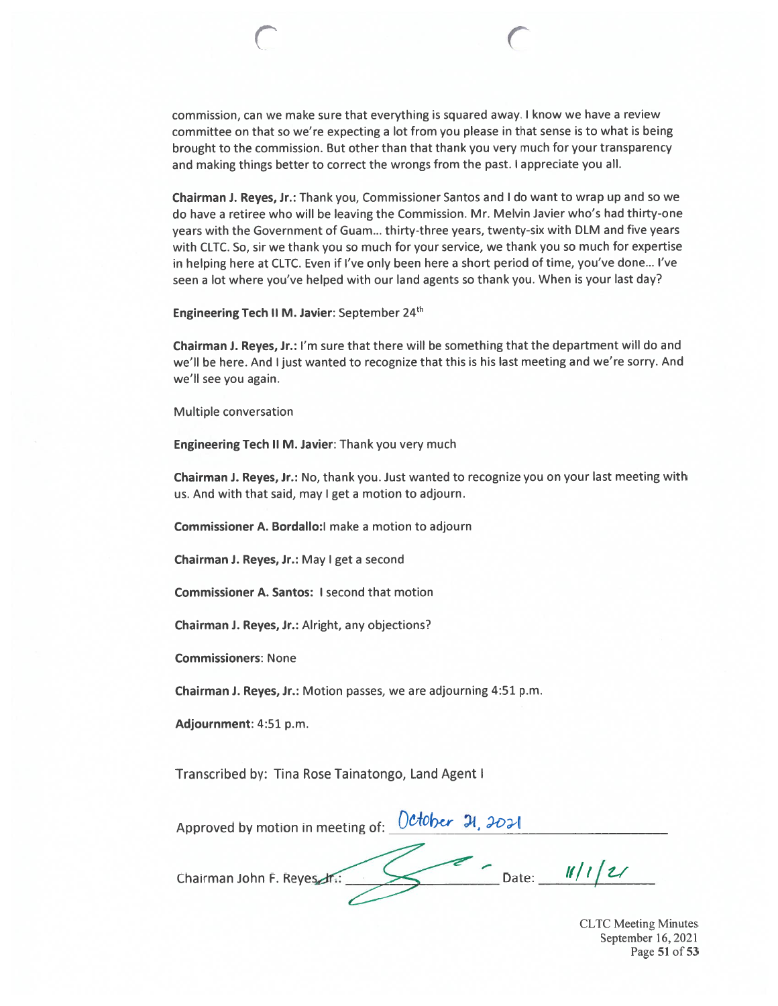commission, can we make sure that everything is squared away. I know we have a review committee on that so we're expecting a lot from you please in that sense is to what is being brought to the commission. But other than that thank you very much for your transparency and making things better to correct the wrongs from the past. I appreciate you all.

Chairman J. Reyes, Jr.: Thank you, Commissioner Santos and I do want to wrap up and so we do have a retiree who will be leaving the Commission. Mr. Melvin Javier who's had thirty-one years with the Government of Guam... thirty-three years, twenty-six with DLM and five years with CLTC. So, sir we thank you so much for your service, we thank you so much for expertise in helping here at CLTC. Even if I've only been here a short period of time, you've done... I've seen a lot where you've helped with our land agents so thank you. When is your last day?

Engineering Tech II M. Javier: September 24th

Chairman J. Reyes, Jr.: I'm sure that there will be something that the department will do and we'll be here. And I just wanted to recognize that this is his last meeting and we're sorry. And we'll see you again.

Multiple conversation

Engineering Tech II M. Javier: Thank you very much

Chairman J. Reyes, Jr.: No, thank you. Just wanted to recognize you on your last meeting with us. And with that said, may I get a motion to adjourn.

**Commissioner A. Bordallo:** I make a motion to adjourn

Chairman J. Reyes, Jr.: May I get a second

**Commissioner A. Santos: I second that motion** 

Chairman J. Reyes, Jr.: Alright, any objections?

**Commissioners: None** 

Chairman J. Reyes, Jr.: Motion passes, we are adjourning 4:51 p.m.

Adjournment: 4:51 p.m.

Transcribed by: Tina Rose Tainatongo, Land Agent I

Approved by motion in meeting of: October 21, 2021

Chairman John F. Reyes

 $\frac{2}{\sqrt{2}}$  - Date: 11/1/21

**CLTC** Meeting Minutes September 16, 2021 Page 51 of 53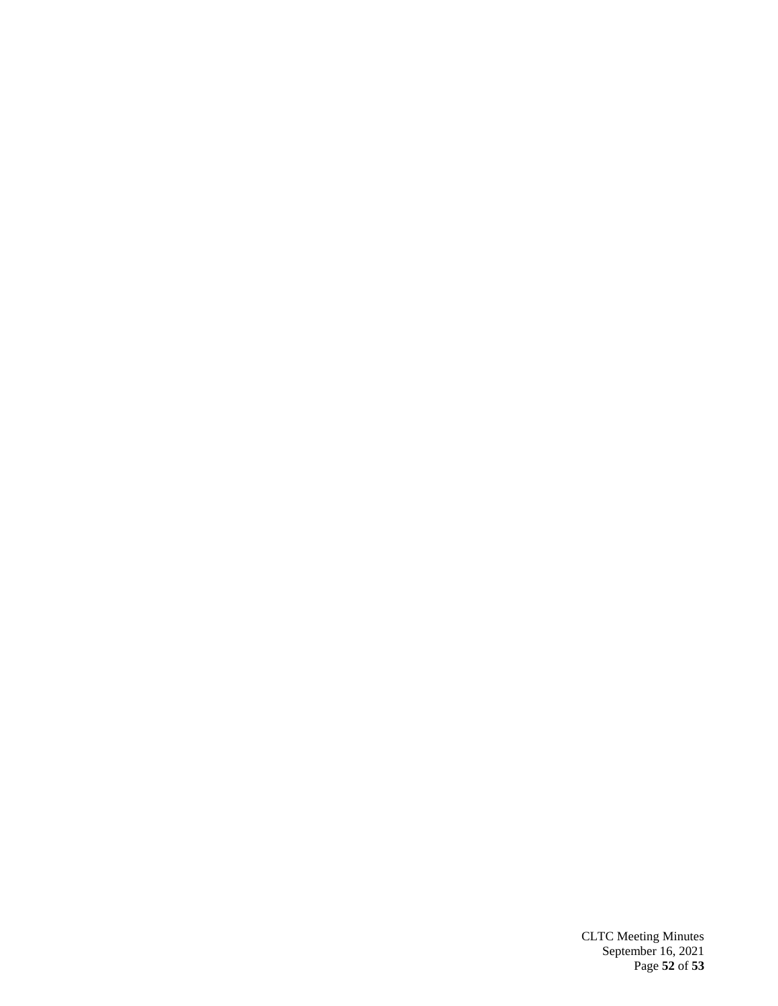CLTC Meeting Minutes September 16, 2021 Page **52** of **53**